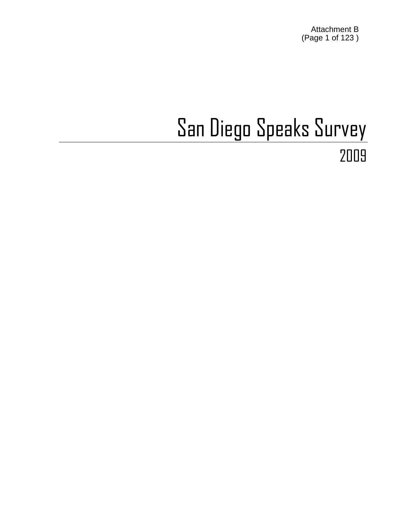Attachment B (Page 1 of 123 )

# San Diego Speaks Survey 2009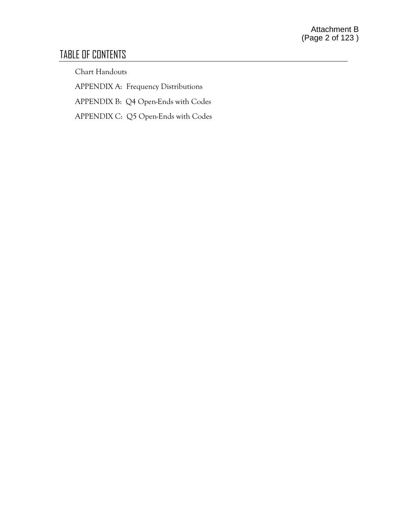# TABLE OF CONTENTS

Chart Handouts

APPENDIX A: Frequency Distributions

APPENDIX B: Q4 Open-Ends with Codes

APPENDIX C: Q5 Open-Ends with Codes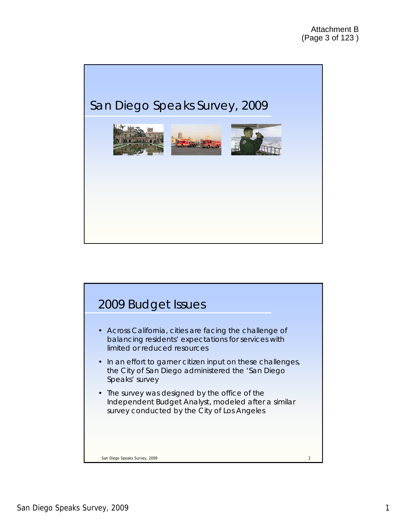# San Diego Speaks Survey, 2009



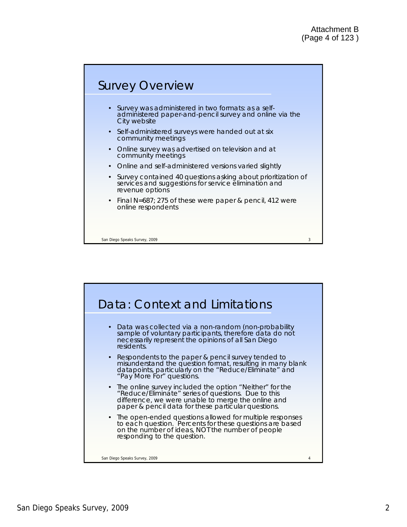## Survey Overview

- Survey was administered in two formats: as a selfadministered paper-and-pencil survey and online via the City website
- • Self-administered surveys were handed out at six community meetings
- Online survey was advertised on television and at community meetings
- Online and self-administered versions varied slightly
- Survey contained 40 questions asking about prioritization of services and suggestions for service elimination and revenue options
- • Final N=687; 275 of these were paper & pencil, 412 were online respondents

San Diego Speaks Survey, 2009 3

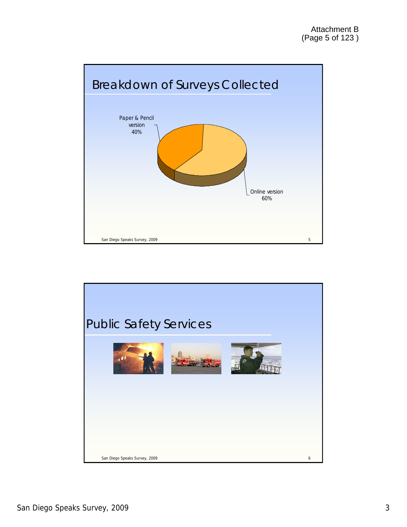

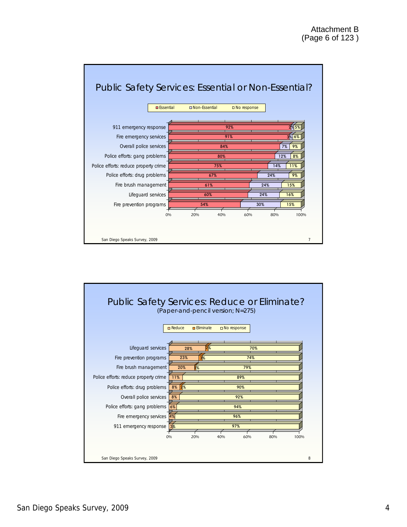

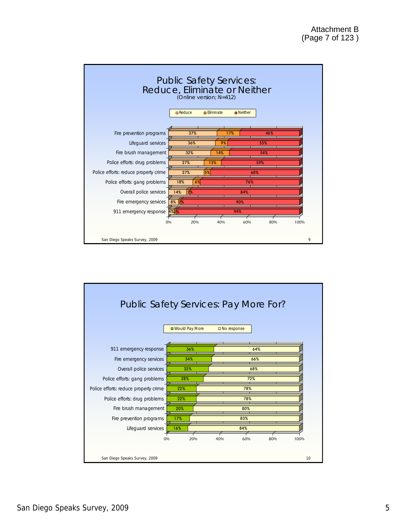

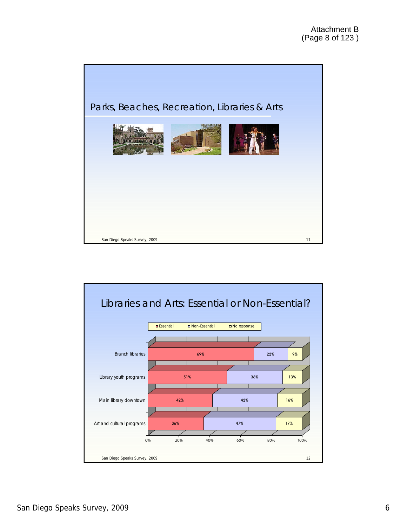

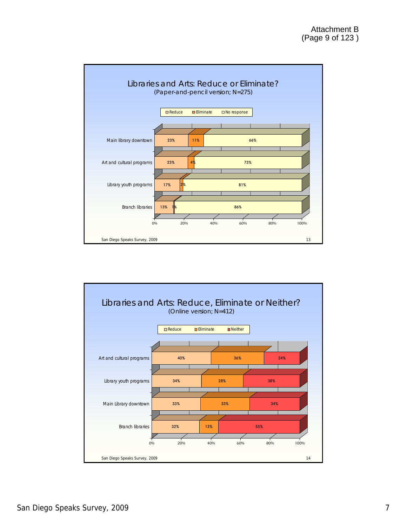

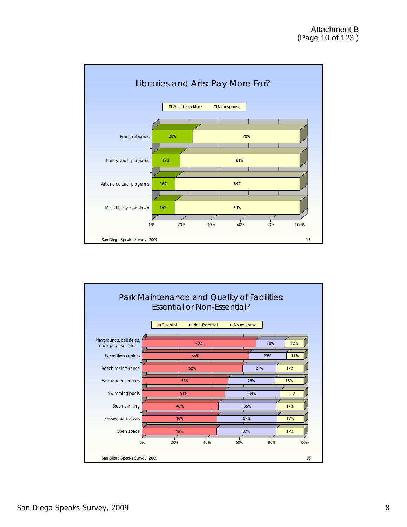

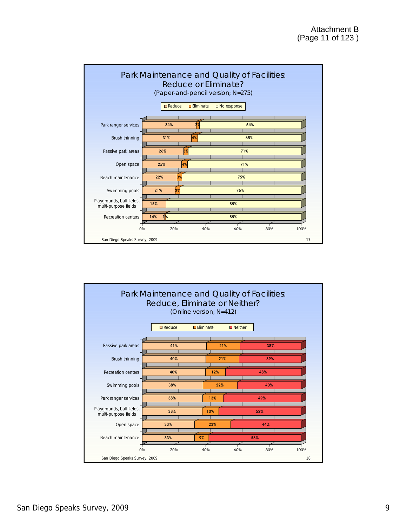

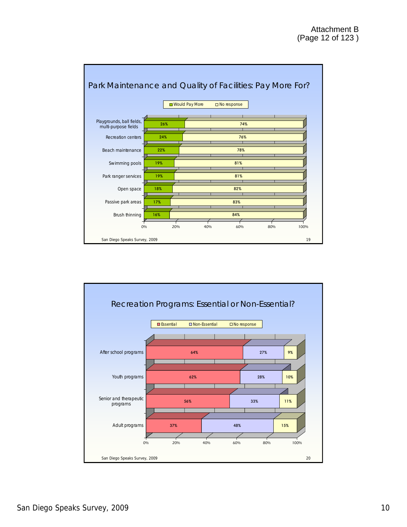

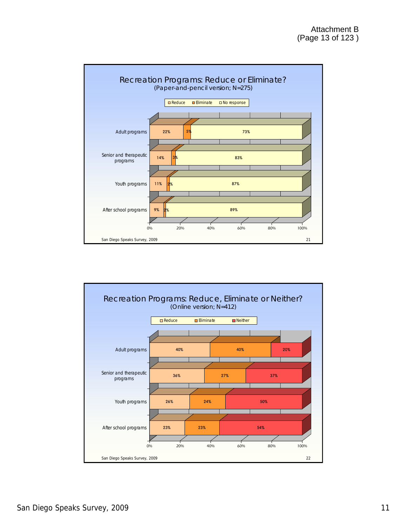

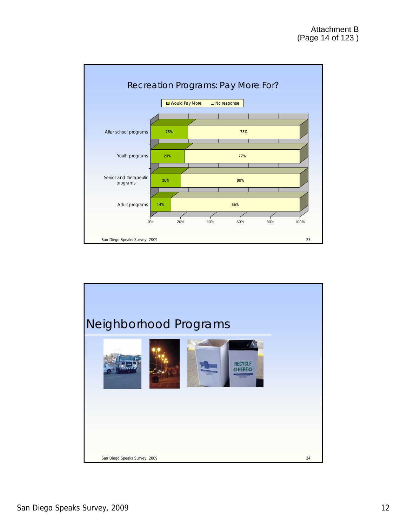

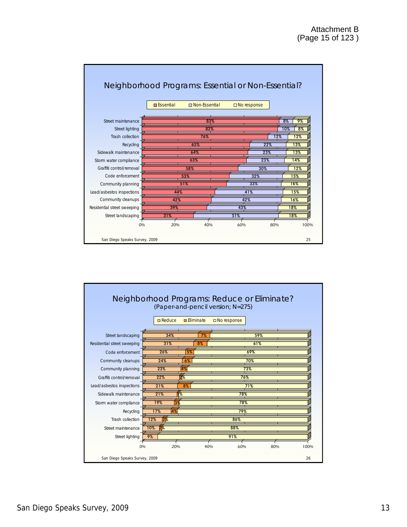

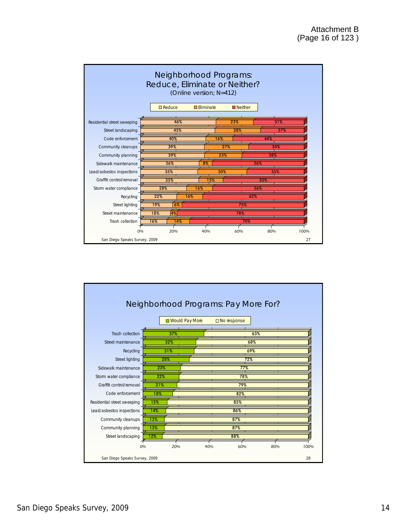

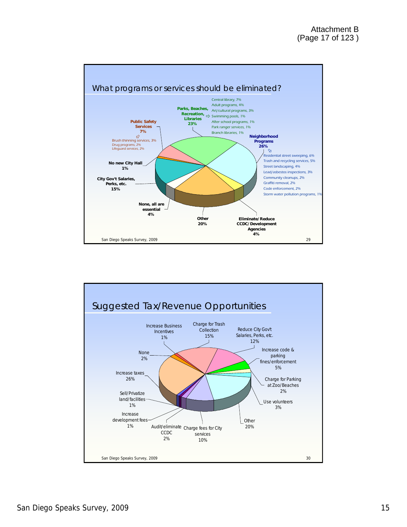

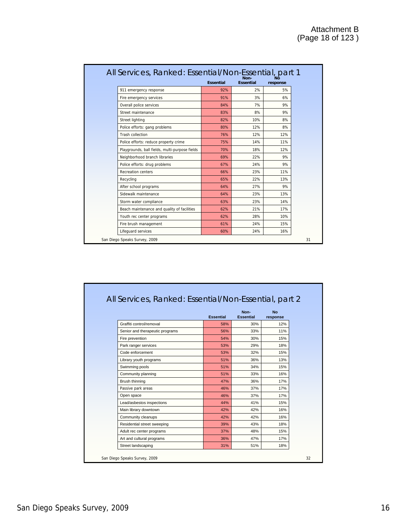|                                                | <b>Essential</b> | <b>Essential</b> | response |
|------------------------------------------------|------------------|------------------|----------|
| 911 emergency response                         | 92%              | 2%               | 5%       |
| Fire emergency services                        | 91%              | 3%               | 6%       |
| Overall police services                        | 84%              | 7%               | 9%       |
| Street maintenance                             | 83%              | 8%               | 9%       |
| <b>Street lighting</b>                         | 82%              | 10%              | 8%       |
| Police efforts: gang problems                  | 80%              | 12%              | 8%       |
| Trash collection                               | 76%              | 12%              | 12%      |
| Police efforts: reduce property crime          | 75%              | 14%              | 11%      |
| Playgrounds, ball fields, multi-purpose fields | 70%              | 18%              | 12%      |
| Neighborhood branch libraries                  | 69%              | 22%              | 9%       |
| Police efforts: drug problems                  | 67%              | 24%              | 9%       |
| Recreation centers                             | 66%              | 23%              | 11%      |
| Recycling                                      | 65%              | 22%              | 13%      |
| After school programs                          | 64%              | 27%              | 9%       |
| Sidewalk maintenance                           | 64%              | 23%              | 13%      |
| Storm water compliance                         | 63%              | 23%              | 14%      |
| Beach maintenance and quality of facilities    | 62%              | 21%              | 17%      |
| Youth rec center programs                      | 62%              | 28%              | 10%      |
| Fire brush management                          | 61%              | 24%              | 15%      |
| Lifequard services                             | 60%              | 24%              | 16%      |

|                                 | <b>Essential</b> | Non-<br><b>Essential</b> | <b>No</b><br>response |
|---------------------------------|------------------|--------------------------|-----------------------|
| Graffiti control/removal        | 58%              | 30%                      | 12%                   |
| Senior and therapeutic programs | 56%              | 33%                      | 11%                   |
| Fire prevention                 | 54%              | 30%                      | 15%                   |
| Park ranger services            | 53%              | 29%                      | 18%                   |
| Code enforcement                | 53%              | 32%                      | 15%                   |
| Library youth programs          | 51%              | 36%                      | 13%                   |
| Swimming pools                  | 51%              | 34%                      | 15%                   |
| Community planning              | 51%              | 33%                      | 16%                   |
| Brush thinning                  | 47%              | 36%                      | 17%                   |
| Passive park areas              | 46%              | 37%                      | 17%                   |
| Open space                      | 46%              | 37%                      | 17%                   |
| Lead/asbestos inspections       | 44%              | 41%                      | 15%                   |
| Main library downtown           | 42%              | 42%                      | 16%                   |
| Community cleanups              | 42%              | 42%                      | 16%                   |
| Residential street sweeping     | 39%              | 43%                      | 18%                   |
| Adult rec center programs       | 37%              | 48%                      | 15%                   |
| Art and cultural programs       | 36%              | 47%                      | 17%                   |
| Street landscaping              | 31%              | 51%                      | 18%                   |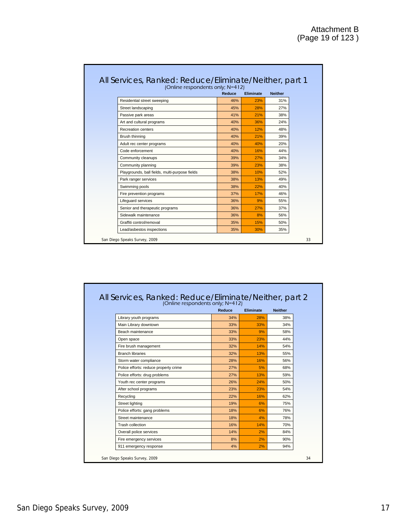T

| (Online respondents only; N=412)<br>Reduce<br>Eliminate<br><b>Neither</b> |     |     |     |  |
|---------------------------------------------------------------------------|-----|-----|-----|--|
|                                                                           |     |     |     |  |
| Residential street sweeping                                               | 46% | 23% | 31% |  |
| Street landscaping                                                        | 45% | 28% | 27% |  |
| Passive park areas                                                        | 41% | 21% | 38% |  |
| Art and cultural programs                                                 | 40% | 36% | 24% |  |
| Recreation centers                                                        | 40% | 12% | 48% |  |
| Brush thinning                                                            | 40% | 21% | 39% |  |
| Adult rec center programs                                                 | 40% | 40% | 20% |  |
| Code enforcement                                                          | 40% | 16% | 44% |  |
| Community cleanups                                                        | 39% | 27% | 34% |  |
| Community planning                                                        | 39% | 23% | 38% |  |
| Playgrounds, ball fields, multi-purpose fields                            | 38% | 10% | 52% |  |
| Park ranger services                                                      | 38% | 13% | 49% |  |
| Swimming pools                                                            | 38% | 22% | 40% |  |
| Fire prevention programs                                                  | 37% | 17% | 46% |  |
| Lifequard services                                                        | 36% | 9%  | 55% |  |
| Senior and therapeutic programs                                           | 36% | 27% | 37% |  |
| Sidewalk maintenance                                                      | 36% | 8%  | 56% |  |
| Graffiti control/removal                                                  | 35% | 15% | 50% |  |
| Lead/asbestos inspections                                                 | 35% | 30% | 35% |  |

| All Services, Ranked: Reduce/Eliminate/Neither, part 2 | Reduce | Eliminate | <b>Neither</b> |
|--------------------------------------------------------|--------|-----------|----------------|
| Library youth programs                                 | 34%    | 28%       | 38%            |
| Main Library downtown                                  | 33%    | 33%       | 34%            |
| Beach maintenance                                      | 33%    | 9%        | 58%            |
| Open space                                             | 33%    | 23%       | 44%            |
| Fire brush management                                  | 32%    | 14%       | 54%            |
| <b>Branch libraries</b>                                | 32%    | 13%       | 55%            |
| Storm water compliance                                 | 28%    | 16%       | 56%            |
| Police efforts: reduce property crime                  | 27%    | 5%        | 68%            |
| Police efforts: drug problems                          | 27%    | 13%       | 59%            |
| Youth rec center programs                              | 26%    | 24%       | 50%            |
| After school programs                                  | 23%    | 23%       | 54%            |
| Recycling                                              | 22%    | 16%       | 62%            |
| <b>Street lighting</b>                                 | 19%    | 6%        | 75%            |
| Police efforts: gang problems                          | 18%    | 6%        | 76%            |
| Street maintenance                                     | 18%    | 4%        | 78%            |
| Trash collection                                       | 16%    | 14%       | 70%            |
| Overall police services                                | 14%    | 2%        | 84%            |
| Fire emergency services                                | 8%     | 2%        | 90%            |
| 911 emergency response                                 | 4%     | 2%        | 94%            |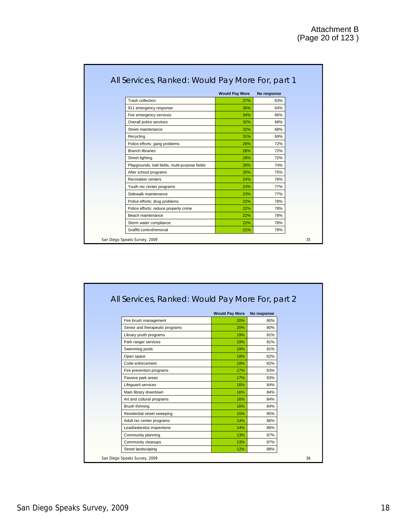| All Services, Ranked: Would Pay More For, part 1 |                       |             |    |  |  |  |
|--------------------------------------------------|-----------------------|-------------|----|--|--|--|
|                                                  | <b>Would Pay More</b> | No response |    |  |  |  |
| Trash collection                                 | 37%                   | 63%         |    |  |  |  |
| 911 emergency response                           | 36%                   | 64%         |    |  |  |  |
| Fire emergency services                          | 34%                   | 66%         |    |  |  |  |
| Overall police services                          | 32%                   | 68%         |    |  |  |  |
| Street maintenance                               | 32%                   | 68%         |    |  |  |  |
| Recycling                                        | 31%                   | 69%         |    |  |  |  |
| Police efforts: gang problems                    | 28%                   | 72%         |    |  |  |  |
| <b>Branch libraries</b>                          | 28%                   | 72%         |    |  |  |  |
| Street lighting                                  | 28%                   | 72%         |    |  |  |  |
| Playgrounds, ball fields, multi-purpose fields   | 26%                   | 74%         |    |  |  |  |
| After school programs                            | 25%                   | 75%         |    |  |  |  |
| Recreation centers                               | 24%                   | 76%         |    |  |  |  |
| Youth rec center programs                        | 23%                   | 77%         |    |  |  |  |
| Sidewalk maintenance                             | 23%                   | 77%         |    |  |  |  |
| Police efforts: drug problems                    | 22%                   | 78%         |    |  |  |  |
| Police efforts: reduce property crime            | 22%                   | 78%         |    |  |  |  |
| Beach maintenance                                | 22%                   | 78%         |    |  |  |  |
| Storm water compliance                           | 22%                   | 78%         |    |  |  |  |
| Graffiti control/removal                         | 21%                   | 79%         |    |  |  |  |
| San Diego Speaks Survey, 2009                    |                       |             | 35 |  |  |  |

|                                 | <b>Would Pay More</b><br>20% | No response<br>80% |  |
|---------------------------------|------------------------------|--------------------|--|
| Fire brush management           |                              |                    |  |
| Senior and therapeutic programs | 20%                          | 80%                |  |
| Library youth programs          | 19%                          | 81%                |  |
| Park ranger services            | 19%                          | 81%                |  |
| Swimming pools                  | 19%                          | 81%                |  |
| Open space                      | 18%                          | 82%                |  |
| Code enforcement                | 18%                          | 82%                |  |
| Fire prevention programs        | 17%                          | 83%                |  |
| Passive park areas              | 17%                          | 83%                |  |
| Lifeguard services              | 16%                          | 84%                |  |
| Main library downtown           | 16%                          | 84%                |  |
| Art and cultural programs       | 16%                          | 84%                |  |
| Brush thinning                  | 16%                          | 84%                |  |
| Residential street sweeping     | 15%                          | 85%                |  |
| Adult rec center programs       | 14%                          | 86%                |  |
| Lead/asbestos inspections       | 14%                          | 86%                |  |
| Community planning              | 13%                          | 87%                |  |
| Community cleanups              | 13%                          | 87%                |  |
| Street landscaping              | 12%                          | 88%                |  |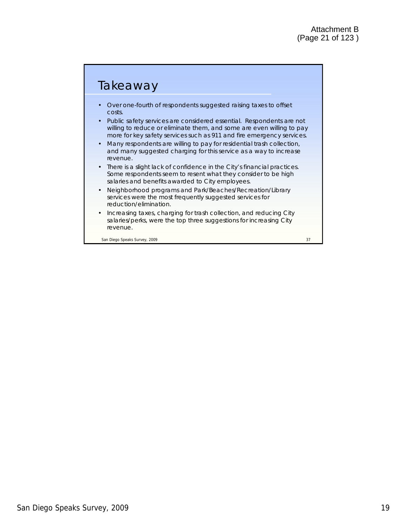# **Takeaway**

- Over one-fourth of respondents suggested raising taxes to offset costs.
- Public safety services are considered essential. Respondents are not willing to reduce or eliminate them, and some are even willing to pay more for key safety services such as 911 and fire emergency services.
- Many respondents are willing to pay for residential trash collection, and many suggested charging for this service as a way to increase revenue.
- There is a slight lack of confidence in the City's financial practices. Some respondents seem to resent what they consider to be high salaries and benefits awarded to City employees.
- Neighborhood programs and Park/Beaches/Recreation/Library services were the most frequently suggested services for reduction/elimination.
- Increasing taxes, charging for trash collection, and reducing City salaries/perks, were the top three suggestions for increasing City revenue.

San Diego Speaks Survey, 2009 37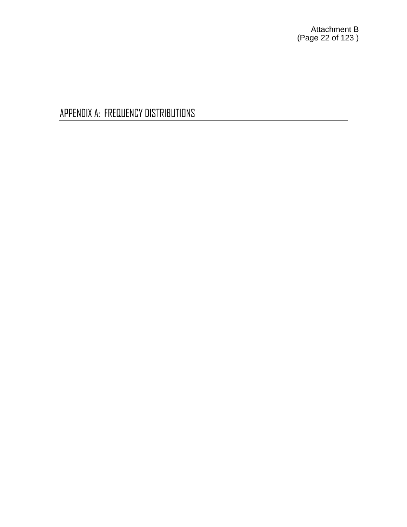APPENDIX A: FREQUENCY DISTRIBUTIONS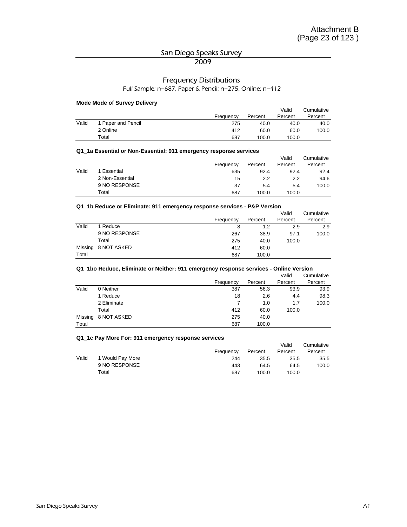### San Diego Speaks Survey

#### 2009

#### Frequency Distributions

Full Sample: n=687, Paper & Pencil: n=275, Online: n=412

#### **Mode Mode of Survey Delivery**

|       |                    |           |         | Valid   | Cumulative |
|-------|--------------------|-----------|---------|---------|------------|
|       |                    | Frequency | Percent | Percent | Percent    |
| Valid | 1 Paper and Pencil | 275       | 40.0    | 40.0    | 40.0       |
|       | 2 Online           | 412       | 60.0    | 60.0    | 100.0      |
|       | $\tau$ otal        | 687       | 100.0   | 100.0   |            |

#### **Q1\_1a Essential or Non-Essential: 911 emergency response services**

|       |                 |           |         | Valid   | Cumulative |
|-------|-----------------|-----------|---------|---------|------------|
|       |                 | Frequency | Percent | Percent | Percent    |
| Valid | Essential       | 635       | 92.4    | 92.4    | 92.4       |
|       | 2 Non-Essential | 15        | 2.2     | 2.2     | 94.6       |
|       | 9 NO RESPONSE   | 37        | 5.4     | 5.4     | 100.0      |
|       | Total           | 687       | 100.0   | 100.0   |            |

#### **Q1\_1b Reduce or Eliminate: 911 emergency response services - P&P Version**

|         |               |           |         | Valid   | Cumulative |
|---------|---------------|-----------|---------|---------|------------|
|         |               | Frequency | Percent | Percent | Percent    |
| Valid   | 1 Reduce      | 8         | 1.2     | 2.9     | 2.9        |
|         | 9 NO RESPONSE | 267       | 38.9    | 97.1    | 100.0      |
|         | Total         | 275       | 40.0    | 100.0   |            |
| Missing | 8 NOT ASKED   | 412       | 60.0    |         |            |
| Total   |               | 687       | 100.0   |         |            |

#### **Q1\_1bo Reduce, Eliminate or Neither: 911 emergency response services - Online Version**

|         |             |           |         | Valid   | Cumulative |
|---------|-------------|-----------|---------|---------|------------|
|         |             | Frequency | Percent | Percent | Percent    |
| Valid   | 0 Neither   | 387       | 56.3    | 93.9    | 93.9       |
|         | 1 Reduce    | 18        | 2.6     | 4.4     | 98.3       |
|         | 2 Eliminate | 7         | 1.0     | 1.7     | 100.0      |
|         | Total       | 412       | 60.0    | 100.0   |            |
| Missing | 8 NOT ASKED | 275       | 40.0    |         |            |
| Total   |             | 687       | 100.0   |         |            |

#### **Q1\_1c Pay More For: 911 emergency response services**

|       |                  |           |         | Valid   | Cumulative |
|-------|------------------|-----------|---------|---------|------------|
|       |                  | Frequency | Percent | Percent | Percent    |
| Valid | 1 Would Pay More | 244       | 35.5    | 35.5    | 35.5       |
|       | 9 NO RESPONSE    | 443       | 64.5    | 64.5    | 100.0      |
|       | Total            | 687       | 100.0   | 100.0   |            |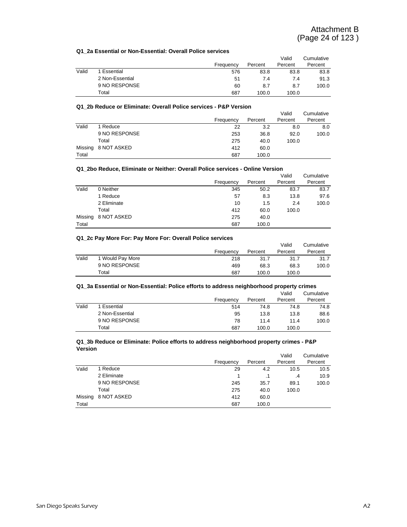#### **Q1\_2a Essential or Non-Essential: Overall Police services**

|       | w Lu Luuthuu VI Null Luuthuu, O Niul I Viivu Jul 11000 |           |         |         |            |  |  |  |
|-------|--------------------------------------------------------|-----------|---------|---------|------------|--|--|--|
|       |                                                        |           |         | Valid   | Cumulative |  |  |  |
|       |                                                        | Frequency | Percent | Percent | Percent    |  |  |  |
| Valid | 1 Essential                                            | 576       | 83.8    | 83.8    | 83.8       |  |  |  |
|       | 2 Non-Essential                                        | 51        | 7.4     | 7.4     | 91.3       |  |  |  |
|       | 9 NO RESPONSE                                          | 60        | 8.7     | 8.7     | 100.0      |  |  |  |
|       | Total                                                  | 687       | 100.0   | 100.0   |            |  |  |  |

#### **Q1\_2b Reduce or Eliminate: Overall Police services - P&P Version**

|       |                     |           |         | Valid   | Cumulative |
|-------|---------------------|-----------|---------|---------|------------|
|       |                     | Frequency | Percent | Percent | Percent    |
| Valid | 1 Reduce            | 22        | 3.2     | 8.0     | 8.0        |
|       | 9 NO RESPONSE       | 253       | 36.8    | 92.0    | 100.0      |
|       | Total               | 275       | 40.0    | 100.0   |            |
|       | Missing 8 NOT ASKED | 412       | 60.0    |         |            |
| Total |                     | 687       | 100.0   |         |            |

#### **Q1\_2bo Reduce, Eliminate or Neither: Overall Police services - Online Version**

|         |             |           |         | Valid   | Cumulative |
|---------|-------------|-----------|---------|---------|------------|
|         |             | Frequency | Percent | Percent | Percent    |
| Valid   | 0 Neither   | 345       | 50.2    | 83.7    | 83.7       |
|         | 1 Reduce    | 57        | 8.3     | 13.8    | 97.6       |
|         | 2 Eliminate | 10        | 1.5     | 2.4     | 100.0      |
|         | Total       | 412       | 60.0    | 100.0   |            |
| Missing | 8 NOT ASKED | 275       | 40.0    |         |            |
| Total   |             | 687       | 100.0   |         |            |

#### **Q1\_2c Pay More For: Pay More For: Overall Police services**

|       |                  |           |         | Valid   | Cumulative |
|-------|------------------|-----------|---------|---------|------------|
|       |                  | Frequency | Percent | Percent | Percent    |
| Valid | 1 Would Pay More | 218       | 31.7    | 31.7    | 31.7       |
|       | 9 NO RESPONSE    | 469       | 68.3    | 68.3    | 100.0      |
|       | Total            | 687       | 100.0   | 100.0   |            |

#### **Q1\_3a Essential or Non-Essential: Police efforts to address neighborhood property crimes**

|       |                 |           |         | Valid   | Cumulative |
|-------|-----------------|-----------|---------|---------|------------|
|       |                 | Frequency | Percent | Percent | Percent    |
| Valid | 1 Essential     | 514       | 74.8    | 74.8    | 74.8       |
|       | 2 Non-Essential | 95        | 13.8    | 13.8    | 88.6       |
|       | 9 NO RESPONSE   | 78        | 11.4    | 11.4    | 100.0      |
|       | Total           | 687       | 100.0   | 100.0   |            |

#### **Q1\_3b Reduce or Eliminate: Police efforts to address neighborhood property crimes - P&P Version**

|         |               |           |         | Valid   | Cumulative |
|---------|---------------|-----------|---------|---------|------------|
|         |               | Frequency | Percent | Percent | Percent    |
| Valid   | 1 Reduce      | 29        | 4.2     | 10.5    | 10.5       |
|         | 2 Eliminate   |           |         | .4      | 10.9       |
|         | 9 NO RESPONSE | 245       | 35.7    | 89.1    | 100.0      |
|         | Total         | 275       | 40.0    | 100.0   |            |
| Missing | 8 NOT ASKED   | 412       | 60.0    |         |            |
| Total   |               | 687       | 100.0   |         |            |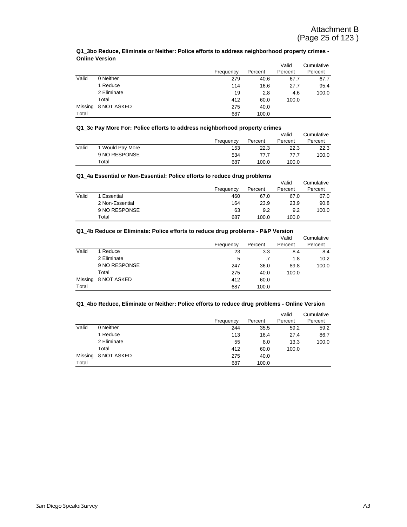#### **Q1\_3bo Reduce, Eliminate or Neither: Police efforts to address neighborhood property crimes - Online Version**

|         |             |           |         | Valid   | Cumulative |
|---------|-------------|-----------|---------|---------|------------|
|         |             | Frequency | Percent | Percent | Percent    |
| Valid   | 0 Neither   | 279       | 40.6    | 67.7    | 67.7       |
|         | 1 Reduce    | 114       | 16.6    | 27.7    | 95.4       |
|         | 2 Eliminate | 19        | 2.8     | 4.6     | 100.0      |
|         | Total       | 412       | 60.0    | 100.0   |            |
| Missing | 8 NOT ASKED | 275       | 40.0    |         |            |
| Total   |             | 687       | 100.0   |         |            |

#### **Q1\_3c Pay More For: Police efforts to address neighborhood property crimes**

|       |                  |           |         | Valid   | Cumulative |
|-------|------------------|-----------|---------|---------|------------|
|       |                  | Frequency | Percent | Percent | Percent    |
| Valid | 1 Would Pay More | 153       | 22.3    | 22.3    | 22.3       |
|       | 9 NO RESPONSE    | 534       | 77 7    | 77.7    | 100.0      |
|       | Total            | 687       | 100.0   | 100.0   |            |

#### **Q1\_4a Essential or Non-Essential: Police efforts to reduce drug problems**

|       |                 |           |         | Valid   | Cumulative |
|-------|-----------------|-----------|---------|---------|------------|
|       |                 | Frequency | Percent | Percent | Percent    |
| Valid | Essential       | 460       | 67.0    | 67.0    | 67.0       |
|       | 2 Non-Essential | 164       | 23.9    | 23.9    | 90.8       |
|       | 9 NO RESPONSE   | 63        | 9.2     | 9.2     | 100.0      |
|       | Total           | 687       | 100.0   | 100.0   |            |

#### **Q1\_4b Reduce or Eliminate: Police efforts to reduce drug problems - P&P Version**

|         |               |           |         | Valid   | Cumulative |
|---------|---------------|-----------|---------|---------|------------|
|         |               | Frequency | Percent | Percent | Percent    |
| Valid   | 1 Reduce      | 23        | 3.3     | 8.4     | 8.4        |
|         | 2 Eliminate   | 5         |         | 1.8     | 10.2       |
|         | 9 NO RESPONSE | 247       | 36.0    | 89.8    | 100.0      |
|         | Total         | 275       | 40.0    | 100.0   |            |
| Missing | 8 NOT ASKED   | 412       | 60.0    |         |            |
| Total   |               | 687       | 100.0   |         |            |

#### **Q1\_4bo Reduce, Eliminate or Neither: Police efforts to reduce drug problems - Online Version**

|         |             |           |         | Valid   | Cumulative |
|---------|-------------|-----------|---------|---------|------------|
|         |             | Frequency | Percent | Percent | Percent    |
| Valid   | 0 Neither   | 244       | 35.5    | 59.2    | 59.2       |
|         | 1 Reduce    | 113       | 16.4    | 27.4    | 86.7       |
|         | 2 Eliminate | 55        | 8.0     | 13.3    | 100.0      |
|         | Total       | 412       | 60.0    | 100.0   |            |
| Missing | 8 NOT ASKED | 275       | 40.0    |         |            |
| Total   |             | 687       | 100.0   |         |            |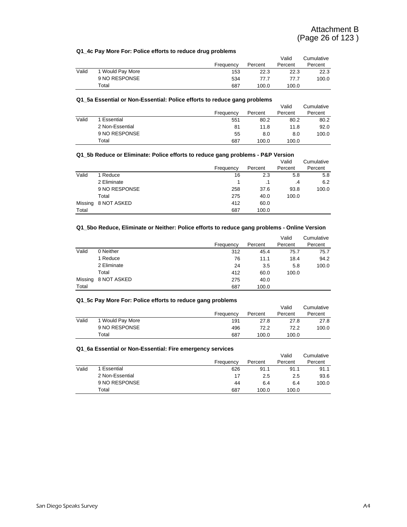#### **Q1\_4c Pay More For: Police efforts to reduce drug problems**

|       |                  | Frequency | Percent | Valid<br>Percent | Cumulative<br>Percent |
|-------|------------------|-----------|---------|------------------|-----------------------|
| Valid | 1 Would Pay More | 153       | 22.3    | 22.3             | 22.3                  |
|       | 9 NO RESPONSE    | 534       | 77.7    | 77.7             | 100.0                 |
|       | Total            | 687       | 100.0   | 100.0            |                       |

#### **Q1\_5a Essential or Non-Essential: Police efforts to reduce gang problems**

| at a coolinial of Non-coolinial. I once chorts to readed gaing propients |                 |           |         |         |            |  |  |
|--------------------------------------------------------------------------|-----------------|-----------|---------|---------|------------|--|--|
|                                                                          |                 |           |         | Valid   | Cumulative |  |  |
|                                                                          |                 | Frequency | Percent | Percent | Percent    |  |  |
| Valid                                                                    | 1 Essential     | 551       | 80.2    | 80.2    | 80.2       |  |  |
|                                                                          | 2 Non-Essential | 81        | 11.8    | 11.8    | 92.0       |  |  |
|                                                                          | 9 NO RESPONSE   | 55        | 8.0     | 8.0     | 100.0      |  |  |
|                                                                          | Total           | 687       | 100.0   | 100.0   |            |  |  |

#### **Q1\_5b Reduce or Eliminate: Police efforts to reduce gang problems - P&P Version**

|         |               |           |         | Valid   | Cumulative |
|---------|---------------|-----------|---------|---------|------------|
|         |               | Frequency | Percent | Percent | Percent    |
| Valid   | 1 Reduce      | 16        | 2.3     | 5.8     | 5.8        |
|         | 2 Eliminate   |           |         | .4      | 6.2        |
|         | 9 NO RESPONSE | 258       | 37.6    | 93.8    | 100.0      |
|         | Total         | 275       | 40.0    | 100.0   |            |
| Missing | 8 NOT ASKED   | 412       | 60.0    |         |            |
| Total   |               | 687       | 100.0   |         |            |

#### **Q1\_5bo Reduce, Eliminate or Neither: Police efforts to reduce gang problems - Online Version**

|         |             |           |         | Valid   | Cumulative |
|---------|-------------|-----------|---------|---------|------------|
|         |             | Frequency | Percent | Percent | Percent    |
| Valid   | 0 Neither   | 312       | 45.4    | 75.7    | 75.7       |
|         | 1 Reduce    | 76        | 11.1    | 18.4    | 94.2       |
|         | 2 Eliminate | 24        | 3.5     | 5.8     | 100.0      |
|         | Total       | 412       | 60.0    | 100.0   |            |
| Missing | 8 NOT ASKED | 275       | 40.0    |         |            |
| Total   |             | 687       | 100.0   |         |            |

#### **Q1\_5c Pay More For: Police efforts to reduce gang problems**

|       |                  |           |         | Valid   | Cumulative |
|-------|------------------|-----------|---------|---------|------------|
|       |                  | Frequency | Percent | Percent | Percent    |
| Valid | 1 Would Pay More | 191       | 27.8    | 27.8    | 27.8       |
|       | 9 NO RESPONSE    | 496       | 72.2    | 72.2    | 100.0      |
|       | Total            | 687       | 100.0   | 100.0   |            |

#### **Q1\_6a Essential or Non-Essential: Fire emergency services**

|       |                 |           |         | Valid   | Cumulative |
|-------|-----------------|-----------|---------|---------|------------|
|       |                 | Frequency | Percent | Percent | Percent    |
| Valid | 1 Essential     | 626       | 91.1    | 91.1    | 91.1       |
|       | 2 Non-Essential | 17        | 2.5     | 2.5     | 93.6       |
|       | 9 NO RESPONSE   | 44        | 6.4     | 6.4     | 100.0      |
|       | Total           | 687       | 100.0   | 100.0   |            |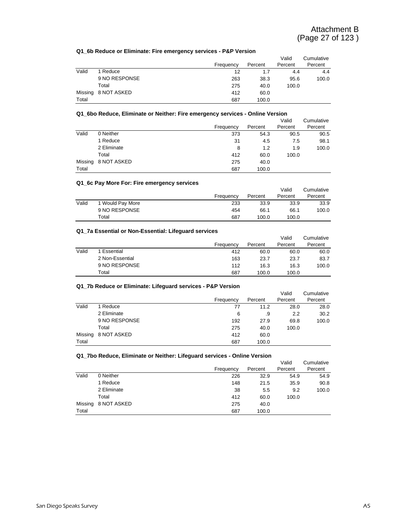#### **Q1\_6b Reduce or Eliminate: Fire emergency services - P&P Version**

|       |                     |           |         | Valid   | Cumulative |
|-------|---------------------|-----------|---------|---------|------------|
|       |                     | Frequency | Percent | Percent | Percent    |
| Valid | 1 Reduce            | 12        | 1.7     | 4.4     | 4.4        |
|       | 9 NO RESPONSE       | 263       | 38.3    | 95.6    | 100.0      |
|       | Total               | 275       | 40.0    | 100.0   |            |
|       | Missing 8 NOT ASKED | 412       | 60.0    |         |            |
| Total |                     | 687       | 100.0   |         |            |

#### **Q1\_6bo Reduce, Eliminate or Neither: Fire emergency services - Online Version**

|         |             |           |         | Valid   | Cumulative |
|---------|-------------|-----------|---------|---------|------------|
|         |             | Frequency | Percent | Percent | Percent    |
| Valid   | 0 Neither   | 373       | 54.3    | 90.5    | 90.5       |
|         | 1 Reduce    | 31        | 4.5     | 7.5     | 98.1       |
|         | 2 Eliminate | 8         | 1.2     | 1.9     | 100.0      |
|         | Total       | 412       | 60.0    | 100.0   |            |
| Missing | 8 NOT ASKED | 275       | 40.0    |         |            |
| Total   |             | 687       | 100.0   |         |            |

#### **Q1\_6c Pay More For: Fire emergency services**

|       |                  | Frequency | Percent | Valid<br>Percent | Cumulative<br>Percent |
|-------|------------------|-----------|---------|------------------|-----------------------|
| Valid | 1 Would Pay More | 233       | 33.9    | 33.9             | 33.9                  |
|       | 9 NO RESPONSE    | 454       | 66.1    | 66.1             | 100.0                 |
|       | Total            | 687       | 100.0   | 100.0            |                       |

#### **Q1\_7a Essential or Non-Essential: Lifeguard services**

|       | Q Pa Essential OP NOITESSENTIAL ENGUGIU SEI VICES |           |         |         |            |  |  |  |
|-------|---------------------------------------------------|-----------|---------|---------|------------|--|--|--|
|       |                                                   |           |         | Valid   | Cumulative |  |  |  |
|       |                                                   | Frequency | Percent | Percent | Percent    |  |  |  |
| Valid | 1 Essential                                       | 412       | 60.0    | 60.0    | 60.0       |  |  |  |
|       | 2 Non-Essential                                   | 163       | 23.7    | 23.7    | 83.7       |  |  |  |
|       | 9 NO RESPONSE                                     | 112       | 16.3    | 16.3    | 100.0      |  |  |  |
|       | Total                                             | 687       | 100.0   | 100.0   |            |  |  |  |

#### **Q1\_7b Reduce or Eliminate: Lifeguard services - P&P Version**

|         | Q1 7D Requee of Ellillingte. Lileguard Services - F&F Version |           |         |         |            |  |  |  |
|---------|---------------------------------------------------------------|-----------|---------|---------|------------|--|--|--|
|         |                                                               |           |         | Valid   | Cumulative |  |  |  |
|         |                                                               | Frequency | Percent | Percent | Percent    |  |  |  |
| Valid   | 1 Reduce                                                      | 77        | 11.2    | 28.0    | 28.0       |  |  |  |
|         | 2 Eliminate                                                   | 6         | .9      | 2.2     | 30.2       |  |  |  |
|         | 9 NO RESPONSE                                                 | 192       | 27.9    | 69.8    | 100.0      |  |  |  |
|         | Total                                                         | 275       | 40.0    | 100.0   |            |  |  |  |
| Missing | 8 NOT ASKED                                                   | 412       | 60.0    |         |            |  |  |  |
| Total   |                                                               | 687       | 100.0   |         |            |  |  |  |

#### **Q1\_7bo Reduce, Eliminate or Neither: Lifeguard services - Online Version**

|         |             |           |         | Valid   | Cumulative |
|---------|-------------|-----------|---------|---------|------------|
|         |             | Frequency | Percent | Percent | Percent    |
| Valid   | 0 Neither   | 226       | 32.9    | 54.9    | 54.9       |
|         | 1 Reduce    | 148       | 21.5    | 35.9    | 90.8       |
|         | 2 Eliminate | 38        | 5.5     | 9.2     | 100.0      |
|         | Total       | 412       | 60.0    | 100.0   |            |
| Missing | 8 NOT ASKED | 275       | 40.0    |         |            |
| Total   |             | 687       | 100.0   |         |            |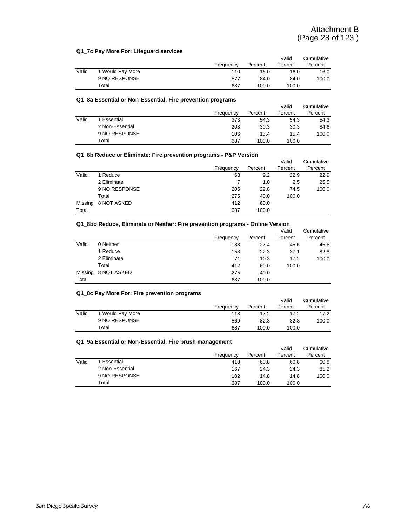#### **Q1\_7c Pay More For: Lifeguard services**

|       |                  | Frequency | Percent | Valid<br>Percent | Cumulative<br>Percent |
|-------|------------------|-----------|---------|------------------|-----------------------|
| Valid | 1 Would Pay More | 110       | 16.0    | 16.0             | 16.0                  |
|       | 9 NO RESPONSE    | 577       | 84.0    | 84.0             | 100.0                 |
|       | Total            | 687       | 100.0   | 100.0            |                       |

#### **Q1\_8a Essential or Non-Essential: Fire prevention programs**

|       | <b>Q: Ou ESSCHUU OF NOIFESSCHUUL FIIC DICYCHUOII DIOGRUMS</b> |           |         |         |            |
|-------|---------------------------------------------------------------|-----------|---------|---------|------------|
|       |                                                               |           |         | Valid   | Cumulative |
|       |                                                               | Frequency | Percent | Percent | Percent    |
| Valid | 1 Essential                                                   | 373       | 54.3    | 54.3    | 54.3       |
|       | 2 Non-Essential                                               | 208       | 30.3    | 30.3    | 84.6       |
|       | 9 NO RESPONSE                                                 | 106       | 15.4    | 15.4    | 100.0      |
|       | Total                                                         | 687       | 100.0   | 100.0   |            |

#### **Q1\_8b Reduce or Eliminate: Fire prevention programs - P&P Version**

|       | $\alpha$ . On nonder of Elliminate. The proteintent programs that terms in |           |         |         |            |  |  |  |
|-------|----------------------------------------------------------------------------|-----------|---------|---------|------------|--|--|--|
|       |                                                                            |           |         | Valid   | Cumulative |  |  |  |
|       |                                                                            | Frequency | Percent | Percent | Percent    |  |  |  |
| Valid | 1 Reduce                                                                   | 63        | 9.2     | 22.9    | 22.9       |  |  |  |
|       | 2 Eliminate                                                                |           | 1.0     | 2.5     | 25.5       |  |  |  |
|       | 9 NO RESPONSE                                                              | 205       | 29.8    | 74.5    | 100.0      |  |  |  |
|       | Total                                                                      | 275       | 40.0    | 100.0   |            |  |  |  |
|       | Missing 8 NOT ASKED                                                        | 412       | 60.0    |         |            |  |  |  |
| Total |                                                                            | 687       | 100.0   |         |            |  |  |  |

#### **Q1\_8bo Reduce, Eliminate or Neither: Fire prevention programs - Online Version**

|       |                     |           |         | Valid   | Cumulative |
|-------|---------------------|-----------|---------|---------|------------|
|       |                     | Frequency | Percent | Percent | Percent    |
| Valid | 0 Neither           | 188       | 27.4    | 45.6    | 45.6       |
|       | 1 Reduce            | 153       | 22.3    | 37.1    | 82.8       |
|       | 2 Eliminate         | 71        | 10.3    | 17.2    | 100.0      |
|       | Total               | 412       | 60.0    | 100.0   |            |
|       | Missing 8 NOT ASKED | 275       | 40.0    |         |            |
| Total |                     | 687       | 100.0   |         |            |

#### **Q1\_8c Pay More For: Fire prevention programs**

|       |                  |           |         | Valid   | Cumulative |
|-------|------------------|-----------|---------|---------|------------|
|       |                  | Frequency | Percent | Percent | Percent    |
| Valid | 1 Would Pay More | 118       | 17.2    | 17.2    | 17.2       |
|       | 9 NO RESPONSE    | 569       | 82.8    | 82.8    | 100.0      |
|       | Total            | 687       | 100.0   | 100.0   |            |

#### **Q1\_9a Essential or Non-Essential: Fire brush management**

|       |                 |           |         | Valid   | Cumulative |
|-------|-----------------|-----------|---------|---------|------------|
|       |                 | Frequency | Percent | Percent | Percent    |
| Valid | Essential       | 418       | 60.8    | 60.8    | 60.8       |
|       | 2 Non-Essential | 167       | 24.3    | 24.3    | 85.2       |
|       | 9 NO RESPONSE   | 102       | 14.8    | 14.8    | 100.0      |
|       | Total           | 687       | 100.0   | 100.0   |            |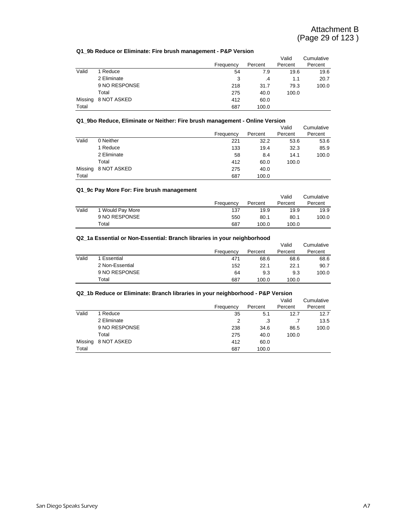#### **Q1\_9b Reduce or Eliminate: Fire brush management - P&P Version**

|         | WI JUNCULUS OF EMMINIQUE. I HE DI USH MIQHQUEMENT - I ON VEISION |           |           |         |            |  |  |  |
|---------|------------------------------------------------------------------|-----------|-----------|---------|------------|--|--|--|
|         |                                                                  |           |           | Valid   | Cumulative |  |  |  |
|         |                                                                  | Frequency | Percent   | Percent | Percent    |  |  |  |
| Valid   | 1 Reduce                                                         | 54        | 7.9       | 19.6    | 19.6       |  |  |  |
|         | 2 Eliminate                                                      | 3         | $\cdot$ 4 | 1.1     | 20.7       |  |  |  |
|         | 9 NO RESPONSE                                                    | 218       | 31.7      | 79.3    | 100.0      |  |  |  |
|         | Total                                                            | 275       | 40.0      | 100.0   |            |  |  |  |
| Missing | 8 NOT ASKED                                                      | 412       | 60.0      |         |            |  |  |  |
| Total   |                                                                  | 687       | 100.0     |         |            |  |  |  |

#### **Q1\_9bo Reduce, Eliminate or Neither: Fire brush management - Online Version**

|         |             |           |         | Valid   | Cumulative |
|---------|-------------|-----------|---------|---------|------------|
|         |             | Frequency | Percent | Percent | Percent    |
| Valid   | 0 Neither   | 221       | 32.2    | 53.6    | 53.6       |
|         | 1 Reduce    | 133       | 19.4    | 32.3    | 85.9       |
|         | 2 Eliminate | 58        | 8.4     | 14.1    | 100.0      |
|         | Total       | 412       | 60.0    | 100.0   |            |
| Missing | 8 NOT ASKED | 275       | 40.0    |         |            |
| Total   |             | 687       | 100.0   |         |            |

#### **Q1\_9c Pay More For: Fire brush management**

|       |                  |           |         | Valid   | Cumulative |
|-------|------------------|-----------|---------|---------|------------|
|       |                  | Frequency | Percent | Percent | Percent    |
| Valid | 1 Would Pay More | 137       | 19.9    | 19.9    | 19.9       |
|       | 9 NO RESPONSE    | 550       | 80.1    | 80.1    | 100.0      |
|       | Total            | 687       | 100.0   | 100.0   |            |

#### **Q2\_1a Essential or Non-Essential: Branch libraries in your neighborhood**

|       |                 |           |         | Valid   | Cumulative |
|-------|-----------------|-----------|---------|---------|------------|
|       |                 | Frequency | Percent | Percent | Percent    |
| Valid | Essential       | 471       | 68.6    | 68.6    | 68.6       |
|       | 2 Non-Essential | 152       | 22.1    | 22.1    | 90.7       |
|       | 9 NO RESPONSE   | 64        | 9.3     | 9.3     | 100.0      |
|       | Total           | 687       | 100.0   | 100.0   |            |

#### **Q2\_1b Reduce or Eliminate: Branch libraries in your neighborhood - P&P Version**

|         |               |           |         | Valid   | Cumulative |
|---------|---------------|-----------|---------|---------|------------|
|         |               | Frequency | Percent | Percent | Percent    |
| Valid   | 1 Reduce      | 35        | 5.1     | 12.7    | 12.7       |
|         | 2 Eliminate   | 2         | .3      |         | 13.5       |
|         | 9 NO RESPONSE | 238       | 34.6    | 86.5    | 100.0      |
|         | Total         | 275       | 40.0    | 100.0   |            |
| Missing | 8 NOT ASKED   | 412       | 60.0    |         |            |
| Total   |               | 687       | 100.0   |         |            |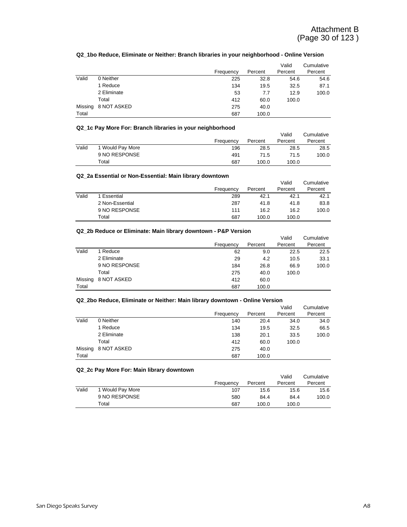#### **Q2\_1bo Reduce, Eliminate or Neither: Branch libraries in your neighborhood - Online Version**

|         |             | Frequency | Percent | Valid<br>Percent | Cumulative<br>Percent |
|---------|-------------|-----------|---------|------------------|-----------------------|
| Valid   | 0 Neither   | 225       | 32.8    | 54.6             | 54.6                  |
|         | 1 Reduce    | 134       | 19.5    | 32.5             | 87.1                  |
|         | 2 Eliminate | 53        | 7.7     | 12.9             | 100.0                 |
|         | Total       | 412       | 60.0    | 100.0            |                       |
| Missing | 8 NOT ASKED | 275       | 40.0    |                  |                       |
| Total   |             | 687       | 100.0   |                  |                       |

#### **Q2\_1c Pay More For: Branch libraries in your neighborhood**

|       |                  |           |         | Valid   | Cumulative |
|-------|------------------|-----------|---------|---------|------------|
|       |                  | Frequency | Percent | Percent | Percent    |
| Valid | 1 Would Pay More | 196       | 28.5    | 28.5    | 28.5       |
|       | 9 NO RESPONSE    | 491       | 71.5    | 71.5    | 100.0      |
|       | Total            | 687       | 100.0   | 100.0   |            |

#### **Q2\_2a Essential or Non-Essential: Main library downtown**

|       |                 |           |         | Valid   | Cumulative |
|-------|-----------------|-----------|---------|---------|------------|
|       |                 | Frequency | Percent | Percent | Percent    |
| Valid | 1 Essential     | 289       | 42.1    | 42.1    | 42.1       |
|       | 2 Non-Essential | 287       | 41.8    | 41.8    | 83.8       |
|       | 9 NO RESPONSE   | 111       | 16.2    | 16.2    | 100.0      |
|       | Total           | 687       | 100.0   | 100.0   |            |

#### **Q2\_2b Reduce or Eliminate: Main library downtown - P&P Version**

|         |               |           |         | Valid   | Cumulative |
|---------|---------------|-----------|---------|---------|------------|
|         |               | Frequency | Percent | Percent | Percent    |
| Valid   | 1 Reduce      | 62        | 9.0     | 22.5    | 22.5       |
|         | 2 Eliminate   | 29        | 4.2     | 10.5    | 33.1       |
|         | 9 NO RESPONSE | 184       | 26.8    | 66.9    | 100.0      |
|         | Total         | 275       | 40.0    | 100.0   |            |
| Missing | 8 NOT ASKED   | 412       | 60.0    |         |            |
| Total   |               | 687       | 100.0   |         |            |

#### **Q2\_2bo Reduce, Eliminate or Neither: Main library downtown - Online Version**

|         |             |           |         | Valid   | Cumulative |
|---------|-------------|-----------|---------|---------|------------|
|         |             | Frequency | Percent | Percent | Percent    |
| Valid   | 0 Neither   | 140       | 20.4    | 34.0    | 34.0       |
|         | 1 Reduce    | 134       | 19.5    | 32.5    | 66.5       |
|         | 2 Eliminate | 138       | 20.1    | 33.5    | 100.0      |
|         | Total       | 412       | 60.0    | 100.0   |            |
| Missing | 8 NOT ASKED | 275       | 40.0    |         |            |
| Total   |             | 687       | 100.0   |         |            |

#### **Q2\_2c Pay More For: Main library downtown**

|       |                  |           |         | Valid   | Cumulative |
|-------|------------------|-----------|---------|---------|------------|
|       |                  | Frequency | Percent | Percent | Percent    |
| Valid | 1 Would Pay More | 107       | 15.6    | 15.6    | 15.6       |
|       | 9 NO RESPONSE    | 580       | 84.4    | 84.4    | 100.0      |
|       | Total            | 687       | 100.0   | 100.0   |            |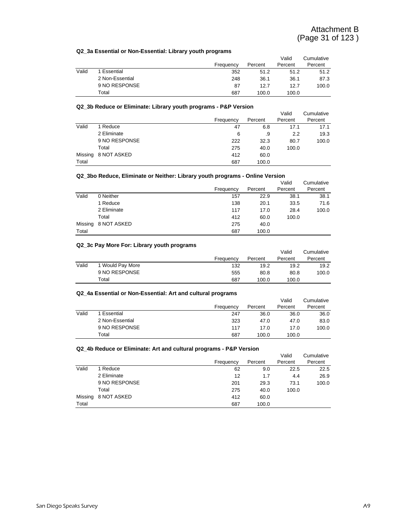#### **Q2\_3a Essential or Non-Essential: Library youth programs**

|       |                 | Frequency | Percent | Valid<br>Percent | Cumulative<br>Percent |
|-------|-----------------|-----------|---------|------------------|-----------------------|
| Valid | 1 Essential     | 352       | 51.2    | 51.2             | 51.2                  |
|       | 2 Non-Essential | 248       | 36.1    | 36.1             | 87.3                  |
|       | 9 NO RESPONSE   | 87        | 12.7    | 12.7             | 100.0                 |
|       | Total           | 687       | 100.0   | 100.0            |                       |

#### **Q2\_3b Reduce or Eliminate: Library youth programs - P&P Version**

|         |               |           |         | Valid   | Cumulative |
|---------|---------------|-----------|---------|---------|------------|
|         |               | Frequency | Percent | Percent | Percent    |
| Valid   | 1 Reduce      | 47        | 6.8     | 17.1    | 17.1       |
|         | 2 Eliminate   | 6         | .9      | 2.2     | 19.3       |
|         | 9 NO RESPONSE | 222       | 32.3    | 80.7    | 100.0      |
|         | Total         | 275       | 40.0    | 100.0   |            |
| Missing | 8 NOT ASKED   | 412       | 60.0    |         |            |
| Total   |               | 687       | 100.0   |         |            |

#### **Q2\_3bo Reduce, Eliminate or Neither: Library youth programs - Online Version**

|         |             |           |         | Valid   | Cumulative |
|---------|-------------|-----------|---------|---------|------------|
|         |             | Frequency | Percent | Percent | Percent    |
| Valid   | 0 Neither   | 157       | 22.9    | 38.1    | 38.1       |
|         | 1 Reduce    | 138       | 20.1    | 33.5    | 71.6       |
|         | 2 Eliminate | 117       | 17.0    | 28.4    | 100.0      |
|         | Total       | 412       | 60.0    | 100.0   |            |
| Missing | 8 NOT ASKED | 275       | 40.0    |         |            |
| Total   |             | 687       | 100.0   |         |            |

#### **Q2\_3c Pay More For: Library youth programs**

|       |                  |           |         | Valid   | Cumulative |
|-------|------------------|-----------|---------|---------|------------|
|       |                  | Frequency | Percent | Percent | Percent    |
| Valid | 1 Would Pay More | 132       | 19.2    | 19.2    | 19.2       |
|       | 9 NO RESPONSE    | 555       | 80.8    | 80.8    | 100.0      |
|       | Total            | 687       | 100.0   | 100.0   |            |

#### **Q2\_4a Essential or Non-Essential: Art and cultural programs**

|       |                 |           |         | Valid   | Cumulative |
|-------|-----------------|-----------|---------|---------|------------|
|       |                 | Frequency | Percent | Percent | Percent    |
| Valid | 1 Essential     | 247       | 36.0    | 36.0    | 36.0       |
|       | 2 Non-Essential | 323       | 47.0    | 47.0    | 83.0       |
|       | 9 NO RESPONSE   | 117       | 17.0    | 17.0    | 100.0      |
|       | Total           | 687       | 100.0   | 100.0   |            |

#### **Q2\_4b Reduce or Eliminate: Art and cultural programs - P&P Version**

|         |               |           |         | Valid   | Cumulative |
|---------|---------------|-----------|---------|---------|------------|
|         |               | Frequency | Percent | Percent | Percent    |
| Valid   | 1 Reduce      | 62        | 9.0     | 22.5    | 22.5       |
|         | 2 Eliminate   | 12        | 1.7     | 4.4     | 26.9       |
|         | 9 NO RESPONSE | 201       | 29.3    | 73.1    | 100.0      |
|         | Total         | 275       | 40.0    | 100.0   |            |
| Missing | 8 NOT ASKED   | 412       | 60.0    |         |            |
| Total   |               | 687       | 100.0   |         |            |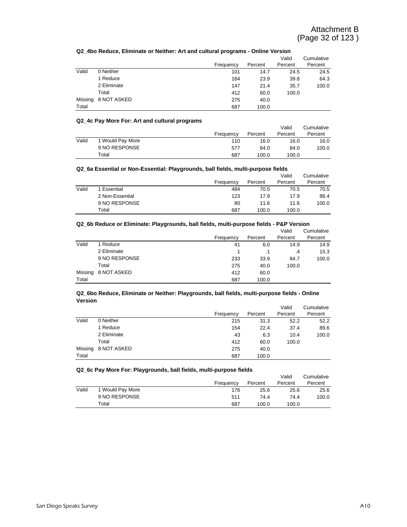|  |  |  |  |  |  |  | Q2_4bo Reduce, Eliminate or Neither: Art and cultural programs - Online Version |  |
|--|--|--|--|--|--|--|---------------------------------------------------------------------------------|--|
|--|--|--|--|--|--|--|---------------------------------------------------------------------------------|--|

|         |             |           |         | Valid   | Cumulative |
|---------|-------------|-----------|---------|---------|------------|
|         |             | Frequency | Percent | Percent | Percent    |
| Valid   | 0 Neither   | 101       | 14.7    | 24.5    | 24.5       |
|         | 1 Reduce    | 164       | 23.9    | 39.8    | 64.3       |
|         | 2 Eliminate | 147       | 21.4    | 35.7    | 100.0      |
|         | Total       | 412       | 60.0    | 100.0   |            |
| Missing | 8 NOT ASKED | 275       | 40.0    |         |            |
| Total   |             | 687       | 100.0   |         |            |

#### **Q2\_4c Pay More For: Art and cultural programs**

|       |                  |           |         | Valid   | Cumulative |
|-------|------------------|-----------|---------|---------|------------|
|       |                  | Frequency | Percent | Percent | Percent    |
| Valid | 1 Would Pay More | 110       | 16.0    | 16.0    | 16.0       |
|       | 9 NO RESPONSE    | 577       | 84.0    | 84.0    | 100.0      |
|       | Total            | 687       | 100.0   | 100.0   |            |

#### **Q2\_6a Essential or Non-Essential: Playgrounds, ball fields, multi-purpose fields**

|       |                 |           |         | Valid   | Cumulative |
|-------|-----------------|-----------|---------|---------|------------|
|       |                 | Frequency | Percent | Percent | Percent    |
| Valid | 1 Essential     | 484       | 70.5    | 70.5    | 70.5       |
|       | 2 Non-Essential | 123       | 17.9    | 17.9    | 88.4       |
|       | 9 NO RESPONSE   | 80        | 11.6    | 11.6    | 100.0      |
|       | Total           | 687       | 100.0   | 100.0   |            |

#### **Q2\_6b Reduce or Eliminate: Playgrounds, ball fields, multi-purpose fields - P&P Version**

|         |               |           |         | Valid   | Cumulative |
|---------|---------------|-----------|---------|---------|------------|
|         |               | Frequency | Percent | Percent | Percent    |
| Valid   | 1 Reduce      | 41        | 6.0     | 14.9    | 14.9       |
|         | 2 Eliminate   |           |         | .4      | 15.3       |
|         | 9 NO RESPONSE | 233       | 33.9    | 84.7    | 100.0      |
|         | Total         | 275       | 40.0    | 100.0   |            |
| Missing | 8 NOT ASKED   | 412       | 60.0    |         |            |
| Total   |               | 687       | 100.0   |         |            |

#### **Q2\_6bo Reduce, Eliminate or Neither: Playgrounds, ball fields, multi-purpose fields - Online Version**

|         |             |           |         | Valid   | Cumulative |
|---------|-------------|-----------|---------|---------|------------|
|         |             | Frequency | Percent | Percent | Percent    |
| Valid   | 0 Neither   | 215       | 31.3    | 52.2    | 52.2       |
|         | 1 Reduce    | 154       | 22.4    | 37.4    | 89.6       |
|         | 2 Eliminate | 43        | 6.3     | 10.4    | 100.0      |
|         | Total       | 412       | 60.0    | 100.0   |            |
| Missing | 8 NOT ASKED | 275       | 40.0    |         |            |
| Total   |             | 687       | 100.0   |         |            |

#### **Q2\_6c Pay More For: Playgrounds, ball fields, multi-purpose fields**

|       | <b>WE OCT By INCIET OF FIRING CONCERT INCIDE</b> , INCIDENT PUID DUST HERE |           |         |         |            |
|-------|----------------------------------------------------------------------------|-----------|---------|---------|------------|
|       |                                                                            |           |         | Valid   | Cumulative |
|       |                                                                            | Frequency | Percent | Percent | Percent    |
| Valid | 1 Would Pay More                                                           | 176       | 25.6    | 25.6    | 25.6       |
|       | 9 NO RESPONSE                                                              | 511       | 74.4    | 74.4    | 100.0      |
|       | Total                                                                      | 687       | 100.0   | 100.0   |            |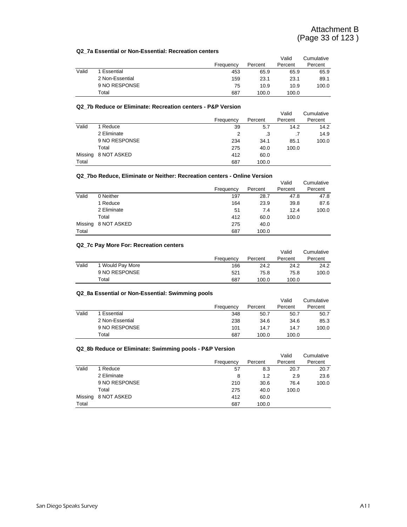#### **Q2\_7a Essential or Non-Essential: Recreation centers**

|       | we the coopinium of those coopinium thoofbullouit opinion o |           |         |         |            |  |  |  |
|-------|-------------------------------------------------------------|-----------|---------|---------|------------|--|--|--|
|       |                                                             |           |         | Valid   | Cumulative |  |  |  |
|       |                                                             | Frequency | Percent | Percent | Percent    |  |  |  |
| Valid | 1 Essential                                                 | 453       | 65.9    | 65.9    | 65.9       |  |  |  |
|       | 2 Non-Essential                                             | 159       | 23.1    | 23.1    | 89.1       |  |  |  |
|       | 9 NO RESPONSE                                               | 75        | 10.9    | 10.9    | 100.0      |  |  |  |
|       | Total                                                       | 687       | 100.0   | 100.0   |            |  |  |  |

#### **Q2\_7b Reduce or Eliminate: Recreation centers - P&P Version**

|         |               |           |         | Valid   | Cumulative |
|---------|---------------|-----------|---------|---------|------------|
|         |               | Frequency | Percent | Percent | Percent    |
| Valid   | 1 Reduce      | 39        | 5.7     | 14.2    | 14.2       |
|         | 2 Eliminate   | 2         | .3      |         | 14.9       |
|         | 9 NO RESPONSE | 234       | 34.1    | 85.1    | 100.0      |
|         | Total         | 275       | 40.0    | 100.0   |            |
| Missing | 8 NOT ASKED   | 412       | 60.0    |         |            |
| Total   |               | 687       | 100.0   |         |            |

#### **Q2\_7bo Reduce, Eliminate or Neither: Recreation centers - Online Version**

|       |                     |           |         | Valid   | Cumulative |
|-------|---------------------|-----------|---------|---------|------------|
|       |                     | Frequency | Percent | Percent | Percent    |
| Valid | 0 Neither           | 197       | 28.7    | 47.8    | 47.8       |
|       | 1 Reduce            | 164       | 23.9    | 39.8    | 87.6       |
|       | 2 Eliminate         | 51        | 7.4     | 12.4    | 100.0      |
|       | Total               | 412       | 60.0    | 100.0   |            |
|       | Missing 8 NOT ASKED | 275       | 40.0    |         |            |
| Total |                     | 687       | 100.0   |         |            |

#### **Q2\_7c Pay More For: Recreation centers**

|       |                  |           |         | Valid   | Cumulative |
|-------|------------------|-----------|---------|---------|------------|
|       |                  | Frequency | Percent | Percent | Percent    |
| Valid | 1 Would Pay More | 166       | 24.2    | 24.2    | 24.2       |
|       | 9 NO RESPONSE    | 521       | 75.8    | 75.8    | 100.0      |
|       | Total            | 687       | 100.0   | 100.0   |            |

#### **Q2\_8a Essential or Non-Essential: Swimming pools**

|       |                 |           |         | Valid   | Cumulative |
|-------|-----------------|-----------|---------|---------|------------|
|       |                 | Frequency | Percent | Percent | Percent    |
| Valid | 1 Essential     | 348       | 50.7    | 50.7    | 50.7       |
|       | 2 Non-Essential | 238       | 34.6    | 34.6    | 85.3       |
|       | 9 NO RESPONSE   | 101       | 14.7    | 14.7    | 100.0      |
|       | Total           | 687       | 100.0   | 100.0   |            |

#### **Q2\_8b Reduce or Eliminate: Swimming pools - P&P Version**

|         |               |           |         | Valid   | Cumulative |
|---------|---------------|-----------|---------|---------|------------|
|         |               | Frequency | Percent | Percent | Percent    |
| Valid   | 1 Reduce      | 57        | 8.3     | 20.7    | 20.7       |
|         | 2 Eliminate   | 8         | 1.2     | 2.9     | 23.6       |
|         | 9 NO RESPONSE | 210       | 30.6    | 76.4    | 100.0      |
|         | Total         | 275       | 40.0    | 100.0   |            |
| Missing | 8 NOT ASKED   | 412       | 60.0    |         |            |
| Total   |               | 687       | 100.0   |         |            |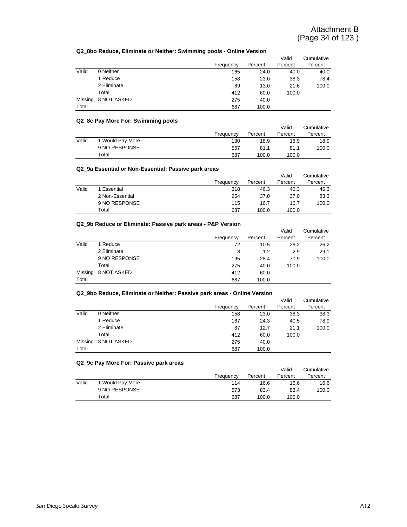#### **Q2\_8bo Reduce, Eliminate or Neither: Swimming pools - Online Version**

|         |             |           |         | Valid   | Cumulative |
|---------|-------------|-----------|---------|---------|------------|
|         |             | Frequency | Percent | Percent | Percent    |
| Valid   | 0 Neither   | 165       | 24.0    | 40.0    | 40.0       |
|         | 1 Reduce    | 158       | 23.0    | 38.3    | 78.4       |
|         | 2 Eliminate | 89        | 13.0    | 21.6    | 100.0      |
|         | Total       | 412       | 60.0    | 100.0   |            |
| Missing | 8 NOT ASKED | 275       | 40.0    |         |            |
| Total   |             | 687       | 100.0   |         |            |

#### **Q2\_8c Pay More For: Swimming pools**

|       | $\alpha$ . $\alpha$ , $\alpha$ , $\alpha$ , $\alpha$ , $\alpha$ , $\alpha$ , $\alpha$ , $\alpha$ , $\alpha$ , $\alpha$ , $\alpha$ |           |         |         |            |
|-------|-----------------------------------------------------------------------------------------------------------------------------------|-----------|---------|---------|------------|
|       |                                                                                                                                   |           |         | Valid   | Cumulative |
|       |                                                                                                                                   | Frequency | Percent | Percent | Percent    |
| Valid | 1 Would Pay More                                                                                                                  | 130       | 18.9    | 18.9    | 18.9       |
|       | 9 NO RESPONSE                                                                                                                     | 557       | 81.1    | 81.1    | 100.0      |
|       | Total                                                                                                                             | 687       | 100.0   | 100.0   |            |

#### **Q2\_9a Essential or Non-Essential: Passive park areas**

|       |                 |           |         | Valid   | Cumulative |
|-------|-----------------|-----------|---------|---------|------------|
|       |                 | Frequency | Percent | Percent | Percent    |
| Valid | Essential       | 318       | 46.3    | 46.3    | 46.3       |
|       | 2 Non-Essential | 254       | 37.0    | 37.0    | 83.3       |
|       | 9 NO RESPONSE   | 115       | 16.7    | 16.7    | 100.0      |
|       | Total           | 687       | 100.0   | 100.0   |            |

#### **Q2\_9b Reduce or Eliminate: Passive park areas - P&P Version**

|       |                     |           |         | Valid   | Cumulative |
|-------|---------------------|-----------|---------|---------|------------|
|       |                     | Frequency | Percent | Percent | Percent    |
| Valid | 1 Reduce            | 72        | 10.5    | 26.2    | 26.2       |
|       | 2 Eliminate         | 8         | 1.2     | 2.9     | 29.1       |
|       | 9 NO RESPONSE       | 195       | 28.4    | 70.9    | 100.0      |
|       | Total               | 275       | 40.0    | 100.0   |            |
|       | Missing 8 NOT ASKED | 412       | 60.0    |         |            |
| Total |                     | 687       | 100.0   |         |            |

#### **Q2\_9bo Reduce, Eliminate or Neither: Passive park areas - Online Version**

|         |             |           |         | Valid   | Cumulative |
|---------|-------------|-----------|---------|---------|------------|
|         |             | Frequency | Percent | Percent | Percent    |
| Valid   | 0 Neither   | 158       | 23.0    | 38.3    | 38.3       |
|         | 1 Reduce    | 167       | 24.3    | 40.5    | 78.9       |
|         | 2 Eliminate | 87        | 12.7    | 21.1    | 100.0      |
|         | Total       | 412       | 60.0    | 100.0   |            |
| Missing | 8 NOT ASKED | 275       | 40.0    |         |            |
| Total   |             | 687       | 100.0   |         |            |

|       | Q <sub>2</sub> 9c Pay More For: Passive park areas |           |         |         |            |
|-------|----------------------------------------------------|-----------|---------|---------|------------|
|       |                                                    |           |         | Valid   | Cumulative |
|       |                                                    | Frequency | Percent | Percent | Percent    |
| Valid | 1 Would Pay More                                   | 114       | 16.6    | 16.6    | 16.6       |
|       | 9 NO RESPONSE                                      | 573       | 83.4    | 83.4    | 100.0      |
|       | Total                                              | 687       | 100.0   | 100.0   |            |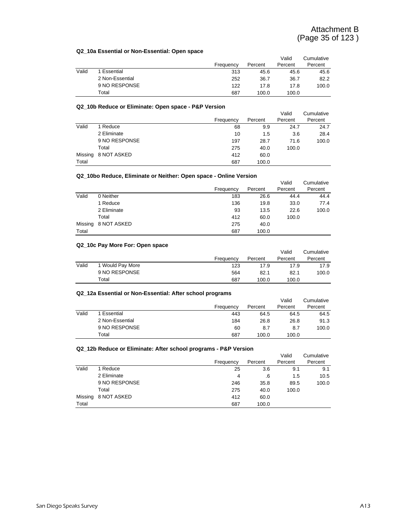#### **Q2\_10a Essential or Non-Essential: Open space**

|                 |           |         | Valid   | Cumulative |
|-----------------|-----------|---------|---------|------------|
|                 | Frequency | Percent | Percent | Percent    |
| 1 Essential     | 313       | 45.6    | 45.6    | 45.6       |
| 2 Non-Essential | 252       | 36.7    | 36.7    | 82.2       |
| 9 NO RESPONSE   | 122       | 17.8    | 17.8    | 100.0      |
| Total           | 687       | 100.0   | 100.0   |            |
|                 |           |         |         |            |

#### **Q2\_10b Reduce or Eliminate: Open space - P&P Version**

|         |               |           |         | Valid   | Cumulative |
|---------|---------------|-----------|---------|---------|------------|
|         |               | Frequency | Percent | Percent | Percent    |
| Valid   | 1 Reduce      | 68        | 9.9     | 24.7    | 24.7       |
|         | 2 Eliminate   | 10        | 1.5     | 3.6     | 28.4       |
|         | 9 NO RESPONSE | 197       | 28.7    | 71.6    | 100.0      |
|         | Total         | 275       | 40.0    | 100.0   |            |
| Missing | 8 NOT ASKED   | 412       | 60.0    |         |            |
| Total   |               | 687       | 100.0   |         |            |

#### **Q2\_10bo Reduce, Eliminate or Neither: Open space - Online Version**

|       | $\frac{1}{2}$ . The contract commute of the contract open open. $\frac{1}{2}$ |           |         |                  |                       |  |  |  |
|-------|-------------------------------------------------------------------------------|-----------|---------|------------------|-----------------------|--|--|--|
|       |                                                                               | Frequency | Percent | Valid<br>Percent | Cumulative<br>Percent |  |  |  |
|       |                                                                               |           |         |                  |                       |  |  |  |
| Valid | 0 Neither                                                                     | 183       | 26.6    | 44.4             | 44.4                  |  |  |  |
|       | 1 Reduce                                                                      | 136       | 19.8    | 33.0             | 77.4                  |  |  |  |
|       | 2 Eliminate                                                                   | 93        | 13.5    | 22.6             | 100.0                 |  |  |  |
|       | Total                                                                         | 412       | 60.0    | 100.0            |                       |  |  |  |
|       | Missing 8 NOT ASKED                                                           | 275       | 40.0    |                  |                       |  |  |  |
| Total |                                                                               | 687       | 100.0   |                  |                       |  |  |  |

#### **Q2\_10c Pay More For: Open space**

|       |                  |           |         | Valid   | Cumulative |
|-------|------------------|-----------|---------|---------|------------|
|       |                  | Frequency | Percent | Percent | Percent    |
| Valid | 1 Would Pay More | 123       | 17.9    | 17.9    | 17.9       |
|       | 9 NO RESPONSE    | 564       | 82.1    | 82.1    | 100.0      |
|       | Total            | 687       | 100.0   | 100.0   |            |

#### **Q2\_12a Essential or Non-Essential: After school programs**

|       |                 |           |         | Valid   | Cumulative |
|-------|-----------------|-----------|---------|---------|------------|
|       |                 | Frequency | Percent | Percent | Percent    |
| Valid | Essential       | 443       | 64.5    | 64.5    | 64.5       |
|       | 2 Non-Essential | 184       | 26.8    | 26.8    | 91.3       |
|       | 9 NO RESPONSE   | 60        | 8.7     | 8.7     | 100.0      |
|       | Total           | 687       | 100.0   | 100.0   |            |

#### **Q2\_12b Reduce or Eliminate: After school programs - P&P Version**

|         |               |           |         | Valid   | Cumulative |
|---------|---------------|-----------|---------|---------|------------|
|         |               | Frequency | Percent | Percent | Percent    |
| Valid   | 1 Reduce      | 25        | 3.6     | 9.1     | 9.1        |
|         | 2 Eliminate   | 4         | .6      | 1.5     | 10.5       |
|         | 9 NO RESPONSE | 246       | 35.8    | 89.5    | 100.0      |
|         | Total         | 275       | 40.0    | 100.0   |            |
| Missing | 8 NOT ASKED   | 412       | 60.0    |         |            |
| Total   |               | 687       | 100.0   |         |            |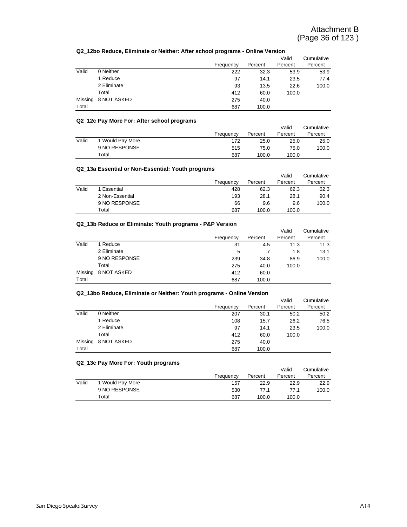#### **Q2\_12bo Reduce, Eliminate or Neither: After school programs - Online Version**

|         |             |           |         | Valid   | Cumulative |
|---------|-------------|-----------|---------|---------|------------|
|         |             | Frequency | Percent | Percent | Percent    |
| Valid   | 0 Neither   | 222       | 32.3    | 53.9    | 53.9       |
|         | 1 Reduce    | 97        | 14.1    | 23.5    | 77.4       |
|         | 2 Eliminate | 93        | 13.5    | 22.6    | 100.0      |
|         | Total       | 412       | 60.0    | 100.0   |            |
| Missing | 8 NOT ASKED | 275       | 40.0    |         |            |
| Total   |             | 687       | 100.0   |         |            |

#### **Q2\_12c Pay More For: After school programs**

|       |                  |           |         | Valid   | Cumulative |
|-------|------------------|-----------|---------|---------|------------|
|       |                  | Frequency | Percent | Percent | Percent    |
| Valid | 1 Would Pay More | 172       | 25.0    | 25.0    | 25.0       |
|       | 9 NO RESPONSE    | 515       | 75.0    | 75.0    | 100.0      |
|       | Total            | 687       | 100.0   | 100.0   |            |

#### **Q2\_13a Essential or Non-Essential: Youth programs**

|       |                 |           |         | Valid   | Cumulative |
|-------|-----------------|-----------|---------|---------|------------|
|       |                 | Frequency | Percent | Percent | Percent    |
| Valid | 1 Essential     | 428       | 62.3    | 62.3    | 62.3       |
|       | 2 Non-Essential | 193       | 28.1    | 28.1    | 90.4       |
|       | 9 NO RESPONSE   | 66        | 9.6     | 9.6     | 100.0      |
|       | Total           | 687       | 100.0   | 100.0   |            |

#### **Q2\_13b Reduce or Eliminate: Youth programs - P&P Version**

|       |                     |           |         | Valid   | Cumulative |
|-------|---------------------|-----------|---------|---------|------------|
|       |                     | Frequency | Percent | Percent | Percent    |
| Valid | 1 Reduce            | 31        | 4.5     | 11.3    | 11.3       |
|       | 2 Eliminate         | 5         |         | 1.8     | 13.1       |
|       | 9 NO RESPONSE       | 239       | 34.8    | 86.9    | 100.0      |
|       | Total               | 275       | 40.0    | 100.0   |            |
|       | Missing 8 NOT ASKED | 412       | 60.0    |         |            |
| Total |                     | 687       | 100.0   |         |            |

#### **Q2\_13bo Reduce, Eliminate or Neither: Youth programs - Online Version**

|         |             |           |         | Valid   | Cumulative |
|---------|-------------|-----------|---------|---------|------------|
|         |             | Frequency | Percent | Percent | Percent    |
| Valid   | 0 Neither   | 207       | 30.1    | 50.2    | 50.2       |
|         | 1 Reduce    | 108       | 15.7    | 26.2    | 76.5       |
|         | 2 Eliminate | 97        | 14.1    | 23.5    | 100.0      |
|         | Total       | 412       | 60.0    | 100.0   |            |
| Missing | 8 NOT ASKED | 275       | 40.0    |         |            |
| Total   |             | 687       | 100.0   |         |            |

#### **Q2\_13c Pay More For: Youth programs**  Valid Cumulative Frequency Percent Percent Percent Valid 1 Would Pay More 157 22.9 22.9 22.9 22.9 9 NO RESPONSE 530 77.1 77.1 100.0 Total 687 100.0 100.0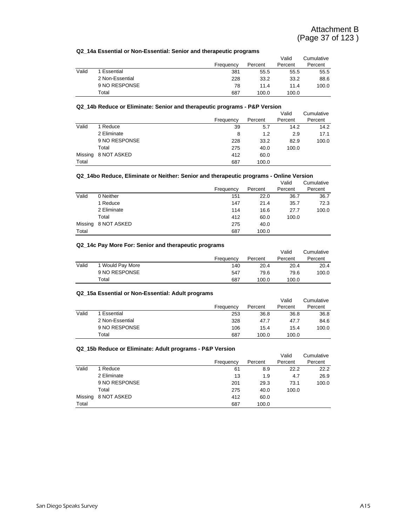## **Q2\_14a Essential or Non-Essential: Senior and therapeutic programs**

|       | QZ 140 LSSCHUGI VI NOIPLSSCHUGI. OCHIVI GHU UICIQDCUUC DIOGIQHIS |           |         |         |            |  |  |  |  |
|-------|------------------------------------------------------------------|-----------|---------|---------|------------|--|--|--|--|
|       |                                                                  |           |         | Valid   | Cumulative |  |  |  |  |
|       |                                                                  | Frequency | Percent | Percent | Percent    |  |  |  |  |
| Valid | Essential                                                        | 381       | 55.5    | 55.5    | 55.5       |  |  |  |  |
|       | 2 Non-Essential                                                  | 228       | 33.2    | 33.2    | 88.6       |  |  |  |  |
|       | 9 NO RESPONSE                                                    | 78        | 11.4    | 11.4    | 100.0      |  |  |  |  |
|       | Total                                                            | 687       | 100.0   | 100.0   |            |  |  |  |  |

## **Q2\_14b Reduce or Eliminate: Senior and therapeutic programs - P&P Version**

|         |               |           |         | Valid   | Cumulative |
|---------|---------------|-----------|---------|---------|------------|
|         |               | Frequency | Percent | Percent | Percent    |
| Valid   | 1 Reduce      | 39        | 5.7     | 14.2    | 14.2       |
|         | 2 Eliminate   | 8         | 1.2     | 2.9     | 17.1       |
|         | 9 NO RESPONSE | 228       | 33.2    | 82.9    | 100.0      |
|         | Total         | 275       | 40.0    | 100.0   |            |
| Missing | 8 NOT ASKED   | 412       | 60.0    |         |            |
| Total   |               | 687       | 100.0   |         |            |

## **Q2\_14bo Reduce, Eliminate or Neither: Senior and therapeutic programs - Online Version**

|         |             |           |         | Valid   | Cumulative |
|---------|-------------|-----------|---------|---------|------------|
|         |             | Frequency | Percent | Percent | Percent    |
| Valid   | 0 Neither   | 151       | 22.0    | 36.7    | 36.7       |
|         | 1 Reduce    | 147       | 21.4    | 35.7    | 72.3       |
|         | 2 Eliminate | 114       | 16.6    | 27.7    | 100.0      |
|         | Total       | 412       | 60.0    | 100.0   |            |
| Missing | 8 NOT ASKED | 275       | 40.0    |         |            |
| Total   |             | 687       | 100.0   |         |            |

## **Q2\_14c Pay More For: Senior and therapeutic programs**

|       |                  |           |         | Valid   | Cumulative |
|-------|------------------|-----------|---------|---------|------------|
|       |                  | Frequency | Percent | Percent | Percent    |
| Valid | 1 Would Pay More | 140       | 20.4    | 20.4    | 20.4       |
|       | 9 NO RESPONSE    | 547       | 79.6    | 79.6    | 100.0      |
|       | Total            | 687       | 100.0   | 100.0   |            |

#### **Q2\_15a Essential or Non-Essential: Adult programs**

|       |                 |           |         | Valid   | Cumulative |
|-------|-----------------|-----------|---------|---------|------------|
|       |                 | Frequency | Percent | Percent | Percent    |
| Valid | Essential       | 253       | 36.8    | 36.8    | 36.8       |
|       | 2 Non-Essential | 328       | 47.7    | 47.7    | 84.6       |
|       | 9 NO RESPONSE   | 106       | 15.4    | 15.4    | 100.0      |
|       | Total           | 687       | 100.0   | 100.0   |            |

#### **Q2\_15b Reduce or Eliminate: Adult programs - P&P Version**

|         |               |           |         | Valid   | Cumulative |
|---------|---------------|-----------|---------|---------|------------|
|         |               | Frequency | Percent | Percent | Percent    |
| Valid   | 1 Reduce      | 61        | 8.9     | 22.2    | 22.2       |
|         | 2 Eliminate   | 13        | 1.9     | 4.7     | 26.9       |
|         | 9 NO RESPONSE | 201       | 29.3    | 73.1    | 100.0      |
|         | Total         | 275       | 40.0    | 100.0   |            |
| Missing | 8 NOT ASKED   | 412       | 60.0    |         |            |
| Total   |               | 687       | 100.0   |         |            |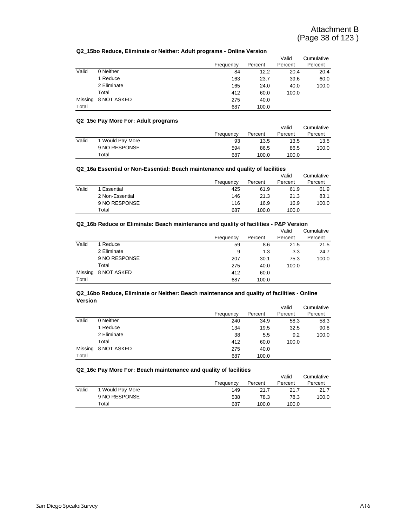## **Q2\_15bo Reduce, Eliminate or Neither: Adult programs - Online Version**

|         |             |           |         | Valid   | Cumulative |
|---------|-------------|-----------|---------|---------|------------|
|         |             | Frequency | Percent | Percent | Percent    |
| Valid   | 0 Neither   | 84        | 12.2    | 20.4    | 20.4       |
|         | 1 Reduce    | 163       | 23.7    | 39.6    | 60.0       |
|         | 2 Eliminate | 165       | 24.0    | 40.0    | 100.0      |
|         | Total       | 412       | 60.0    | 100.0   |            |
| Missing | 8 NOT ASKED | 275       | 40.0    |         |            |
| Total   |             | 687       | 100.0   |         |            |

#### **Q2\_15c Pay More For: Adult programs**

| $\alpha$ . $\alpha$ , $\alpha$ , $\alpha$ , $\alpha$ , $\alpha$ , $\alpha$ , $\alpha$ , $\alpha$ |                  |           |         |         |            |  |  |
|--------------------------------------------------------------------------------------------------|------------------|-----------|---------|---------|------------|--|--|
|                                                                                                  |                  |           |         | Valid   | Cumulative |  |  |
|                                                                                                  |                  | Frequency | Percent | Percent | Percent    |  |  |
| Valid                                                                                            | 1 Would Pay More | 93        | 13.5    | 13.5    | 13.5       |  |  |
|                                                                                                  | 9 NO RESPONSE    | 594       | 86.5    | 86.5    | 100.0      |  |  |
|                                                                                                  | Total            | 687       | 100.0   | 100.0   |            |  |  |

# **Q2\_16a Essential or Non-Essential: Beach maintenance and quality of facilities**

|       |                 |           |         | Valid   | Cumulative |
|-------|-----------------|-----------|---------|---------|------------|
|       |                 | Frequency | Percent | Percent | Percent    |
| Valid | 1 Essential     | 425       | 61.9    | 61.9    | 61.9       |
|       | 2 Non-Essential | 146       | 21.3    | 21.3    | 83.1       |
|       | 9 NO RESPONSE   | 116       | 16.9    | 16.9    | 100.0      |
|       | Total           | 687       | 100.0   | 100.0   |            |

## **Q2\_16b Reduce or Eliminate: Beach maintenance and quality of facilities - P&P Version**

|       |                     |           |         | Valid   | Cumulative |
|-------|---------------------|-----------|---------|---------|------------|
|       |                     | Frequency | Percent | Percent | Percent    |
| Valid | 1 Reduce            | 59        | 8.6     | 21.5    | 21.5       |
|       | 2 Eliminate         | 9         | 1.3     | 3.3     | 24.7       |
|       | 9 NO RESPONSE       | 207       | 30.1    | 75.3    | 100.0      |
|       | Total               | 275       | 40.0    | 100.0   |            |
|       | Missing 8 NOT ASKED | 412       | 60.0    |         |            |
| Total |                     | 687       | 100.0   |         |            |

#### **Q2\_16bo Reduce, Eliminate or Neither: Beach maintenance and quality of facilities - Online Version**

|         |             |           |         | Valid   | Cumulative |
|---------|-------------|-----------|---------|---------|------------|
|         |             | Frequency | Percent | Percent | Percent    |
| Valid   | 0 Neither   | 240       | 34.9    | 58.3    | 58.3       |
|         | 1 Reduce    | 134       | 19.5    | 32.5    | 90.8       |
|         | 2 Eliminate | 38        | 5.5     | 9.2     | 100.0      |
|         | Total       | 412       | 60.0    | 100.0   |            |
| Missing | 8 NOT ASKED | 275       | 40.0    |         |            |
| Total   |             | 687       | 100.0   |         |            |

## **Q2\_16c Pay More For: Beach maintenance and quality of facilities**

|       | <b>Example 1995</b> To the U.S. Double internative and guainy of Romance |           |         |         |            |
|-------|--------------------------------------------------------------------------|-----------|---------|---------|------------|
|       |                                                                          |           |         | Valid   | Cumulative |
|       |                                                                          | Frequency | Percent | Percent | Percent    |
| Valid | 1 Would Pay More                                                         | 149       | 21.7    | 21.7    | 21.7       |
|       | 9 NO RESPONSE                                                            | 538       | 78.3    | 78.3    | 100.0      |
|       | Total                                                                    | 687       | 100.0   | 100.0   |            |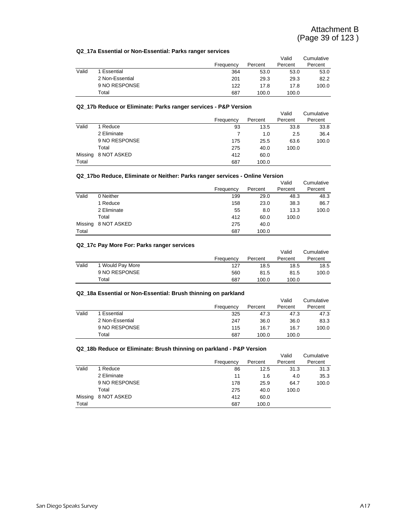## **Q2\_17a Essential or Non-Essential: Parks ranger services**

| AL THE ESSUIMATURE INSITESSUIMANT ANNOTAING TON THUSS |                 |           |         |         |            |  |  |  |
|-------------------------------------------------------|-----------------|-----------|---------|---------|------------|--|--|--|
|                                                       |                 |           |         | Valid   | Cumulative |  |  |  |
|                                                       |                 | Frequency | Percent | Percent | Percent    |  |  |  |
| Valid                                                 | 1 Essential     | 364       | 53.0    | 53.0    | 53.0       |  |  |  |
|                                                       | 2 Non-Essential | 201       | 29.3    | 29.3    | 82.2       |  |  |  |
|                                                       | 9 NO RESPONSE   | 122       | 17.8    | 17.8    | 100.0      |  |  |  |
|                                                       | Total           | 687       | 100.0   | 100.0   |            |  |  |  |

#### **Q2\_17b Reduce or Eliminate: Parks ranger services - P&P Version**

|         |               |           |         | Valid   | Cumulative |
|---------|---------------|-----------|---------|---------|------------|
|         |               | Frequency | Percent | Percent | Percent    |
| Valid   | 1 Reduce      | 93        | 13.5    | 33.8    | 33.8       |
|         | 2 Eliminate   |           | 1.0     | 2.5     | 36.4       |
|         | 9 NO RESPONSE | 175       | 25.5    | 63.6    | 100.0      |
|         | Total         | 275       | 40.0    | 100.0   |            |
| Missing | 8 NOT ASKED   | 412       | 60.0    |         |            |
| Total   |               | 687       | 100.0   |         |            |

## **Q2\_17bo Reduce, Eliminate or Neither: Parks ranger services - Online Version**

|       |                     |           |         | Valid   | Cumulative |
|-------|---------------------|-----------|---------|---------|------------|
|       |                     | Frequency | Percent | Percent | Percent    |
| Valid | 0 Neither           | 199       | 29.0    | 48.3    | 48.3       |
|       | 1 Reduce            | 158       | 23.0    | 38.3    | 86.7       |
|       | 2 Eliminate         | 55        | 8.0     | 13.3    | 100.0      |
|       | Total               | 412       | 60.0    | 100.0   |            |
|       | Missing 8 NOT ASKED | 275       | 40.0    |         |            |
| Total |                     | 687       | 100.0   |         |            |

## **Q2\_17c Pay More For: Parks ranger services**

|       |                  |           |         | Valid   | Cumulative |
|-------|------------------|-----------|---------|---------|------------|
|       |                  | Frequency | Percent | Percent | Percent    |
| Valid | 1 Would Pay More | 127       | 18.5    | 18.5    | 18.5       |
|       | 9 NO RESPONSE    | 560       | 81.5    | 81.5    | 100.0      |
|       | Total            | 687       | 100.0   | 100.0   |            |

#### **Q2\_18a Essential or Non-Essential: Brush thinning on parkland**

|       |                 |           |         | Valid   | Cumulative |
|-------|-----------------|-----------|---------|---------|------------|
|       |                 | Frequency | Percent | Percent | Percent    |
| Valid | 1 Essential     | 325       | 47.3    | 47.3    | 47.3       |
|       | 2 Non-Essential | 247       | 36.0    | 36.0    | 83.3       |
|       | 9 NO RESPONSE   | 115       | 16.7    | 16.7    | 100.0      |
|       | Total           | 687       | 100.0   | 100.0   |            |

#### **Q2\_18b Reduce or Eliminate: Brush thinning on parkland - P&P Version**

|         |               |           |         | Valid   | Cumulative |
|---------|---------------|-----------|---------|---------|------------|
|         |               | Frequency | Percent | Percent | Percent    |
| Valid   | 1 Reduce      | 86        | 12.5    | 31.3    | 31.3       |
|         | 2 Eliminate   | 11        | 1.6     | 4.0     | 35.3       |
|         | 9 NO RESPONSE | 178       | 25.9    | 64.7    | 100.0      |
|         | Total         | 275       | 40.0    | 100.0   |            |
| Missing | 8 NOT ASKED   | 412       | 60.0    |         |            |
| Total   |               | 687       | 100.0   |         |            |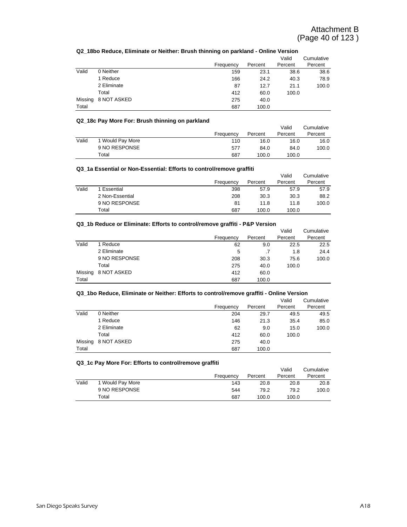## **Q2\_18bo Reduce, Eliminate or Neither: Brush thinning on parkland - Online Version**

|         |             |           |         | Valid   | Cumulative |
|---------|-------------|-----------|---------|---------|------------|
|         |             | Frequency | Percent | Percent | Percent    |
| Valid   | 0 Neither   | 159       | 23.1    | 38.6    | 38.6       |
|         | 1 Reduce    | 166       | 24.2    | 40.3    | 78.9       |
|         | 2 Eliminate | 87        | 12.7    | 21.1    | 100.0      |
|         | Total       | 412       | 60.0    | 100.0   |            |
| Missing | 8 NOT ASKED | 275       | 40.0    |         |            |
| Total   |             | 687       | 100.0   |         |            |

## **Q2\_18c Pay More For: Brush thinning on parkland**

|       |                  |           |         | Valid   | Cumulative |  |  |  |
|-------|------------------|-----------|---------|---------|------------|--|--|--|
|       |                  | Frequency | Percent | Percent | Percent    |  |  |  |
| Valid | 1 Would Pay More | 110       | 16.0    | 16.0    | 16.0       |  |  |  |
|       | 9 NO RESPONSE    | 577       | 84.0    | 84.0    | 100.0      |  |  |  |
|       | Total            | 687       | 100.0   | 100.0   |            |  |  |  |

## **Q3\_1a Essential or Non-Essential: Efforts to control/remove graffiti**

|       |                 |           |         | Valid   | Cumulative |
|-------|-----------------|-----------|---------|---------|------------|
|       |                 | Frequency | Percent | Percent | Percent    |
| Valid | 1 Essential     | 398       | 57.9    | 57.9    | 57.9       |
|       | 2 Non-Essential | 208       | 30.3    | 30.3    | 88.2       |
|       | 9 NO RESPONSE   | 81        | 11.8    | 11.8    | 100.0      |
|       | Total           | 687       | 100.0   | 100.0   |            |

## **Q3\_1b Reduce or Eliminate: Efforts to control/remove graffiti - P&P Version**

|       |                     |           |         | Valid   | Cumulative |
|-------|---------------------|-----------|---------|---------|------------|
|       |                     | Frequency | Percent | Percent | Percent    |
| Valid | 1 Reduce            | 62        | 9.0     | 22.5    | 22.5       |
|       | 2 Eliminate         | 5         |         | 1.8     | 24.4       |
|       | 9 NO RESPONSE       | 208       | 30.3    | 75.6    | 100.0      |
|       | Total               | 275       | 40.0    | 100.0   |            |
|       | Missing 8 NOT ASKED | 412       | 60.0    |         |            |
| Total |                     | 687       | 100.0   |         |            |

## **Q3\_1bo Reduce, Eliminate or Neither: Efforts to control/remove graffiti - Online Version**

|         |             |           |         | Valid   | Cumulative |
|---------|-------------|-----------|---------|---------|------------|
|         |             | Frequency | Percent | Percent | Percent    |
| Valid   | 0 Neither   | 204       | 29.7    | 49.5    | 49.5       |
|         | 1 Reduce    | 146       | 21.3    | 35.4    | 85.0       |
|         | 2 Eliminate | 62        | 9.0     | 15.0    | 100.0      |
|         | Total       | 412       | 60.0    | 100.0   |            |
| Missing | 8 NOT ASKED | 275       | 40.0    |         |            |
| Total   |             | 687       | 100.0   |         |            |

#### **Q3\_1c Pay More For: Efforts to control/remove graffiti**

|       |                  |           |         | Valid   | Cumulative |
|-------|------------------|-----------|---------|---------|------------|
|       |                  | Frequency | Percent | Percent | Percent    |
| Valid | 1 Would Pay More | 143       | 20.8    | 20.8    | 20.8       |
|       | 9 NO RESPONSE    | 544       | 79.2    | 79.2    | 100.0      |
|       | Total            | 687       | 100.0   | 100.0   |            |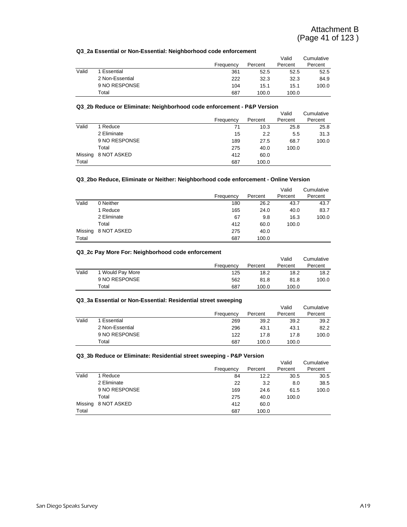## **Q3\_2a Essential or Non-Essential: Neighborhood code enforcement**

|       | QUI LA LOOGIILIAI UI NUII-LOOGIILIAI. NGIYIIDUI IIUUU CUUG GIIIUI COIIIGIIL |           |         |         |            |  |  |  |  |
|-------|-----------------------------------------------------------------------------|-----------|---------|---------|------------|--|--|--|--|
|       |                                                                             |           |         | Valid   | Cumulative |  |  |  |  |
|       |                                                                             | Frequency | Percent | Percent | Percent    |  |  |  |  |
| Valid | 1 Essential                                                                 | 361       | 52.5    | 52.5    | 52.5       |  |  |  |  |
|       | 2 Non-Essential                                                             | 222       | 32.3    | 32.3    | 84.9       |  |  |  |  |
|       | 9 NO RESPONSE                                                               | 104       | 15.1    | 15.1    | 100.0      |  |  |  |  |
|       | Total                                                                       | 687       | 100.0   | 100.0   |            |  |  |  |  |

#### **Q3\_2b Reduce or Eliminate: Neighborhood code enforcement - P&P Version**

|         |               |           |         | Valid   | Cumulative |
|---------|---------------|-----------|---------|---------|------------|
|         |               | Frequency | Percent | Percent | Percent    |
| Valid   | 1 Reduce      | 71        | 10.3    | 25.8    | 25.8       |
|         | 2 Eliminate   | 15        | 2.2     | 5.5     | 31.3       |
|         | 9 NO RESPONSE | 189       | 27.5    | 68.7    | 100.0      |
|         | Total         | 275       | 40.0    | 100.0   |            |
| Missing | 8 NOT ASKED   | 412       | 60.0    |         |            |
| Total   |               | 687       | 100.0   |         |            |

## **Q3\_2bo Reduce, Eliminate or Neither: Neighborhood code enforcement - Online Version**

|       |                     |           |         | Valid   | Cumulative |
|-------|---------------------|-----------|---------|---------|------------|
|       |                     | Frequency | Percent | Percent | Percent    |
| Valid | 0 Neither           | 180       | 26.2    | 43.7    | 43.7       |
|       | 1 Reduce            | 165       | 24.0    | 40.0    | 83.7       |
|       | 2 Eliminate         | 67        | 9.8     | 16.3    | 100.0      |
|       | Total               | 412       | 60.0    | 100.0   |            |
|       | Missing 8 NOT ASKED | 275       | 40.0    |         |            |
| Total |                     | 687       | 100.0   |         |            |

## **Q3\_2c Pay More For: Neighborhood code enforcement**

|       |                  | Frequency | Percent | Valid<br>Percent | Cumulative<br>Percent |
|-------|------------------|-----------|---------|------------------|-----------------------|
| Valid | 1 Would Pay More | 125       | 18.2    | 18.2             | 18.2                  |
|       | 9 NO RESPONSE    | 562       | 81.8    | 81.8             | 100.0                 |
|       | Total            | 687       | 100.0   | 100.0            |                       |

#### **Q3\_3a Essential or Non-Essential: Residential street sweeping**

|       |                 |           |         | Valid   | Cumulative |
|-------|-----------------|-----------|---------|---------|------------|
|       |                 | Frequency | Percent | Percent | Percent    |
| Valid | Essential       | 269       | 39.2    | 39.2    | 39.2       |
|       | 2 Non-Essential | 296       | 43.1    | 43.1    | 82.2       |
|       | 9 NO RESPONSE   | 122       | 17.8    | 17.8    | 100.0      |
|       | Total           | 687       | 100.0   | 100.0   |            |

#### **Q3\_3b Reduce or Eliminate: Residential street sweeping - P&P Version**

|         |               |           |         | Valid   | Cumulative |
|---------|---------------|-----------|---------|---------|------------|
|         |               | Frequency | Percent | Percent | Percent    |
| Valid   | 1 Reduce      | 84        | 12.2    | 30.5    | 30.5       |
|         | 2 Eliminate   | 22        | 3.2     | 8.0     | 38.5       |
|         | 9 NO RESPONSE | 169       | 24.6    | 61.5    | 100.0      |
|         | Total         | 275       | 40.0    | 100.0   |            |
| Missing | 8 NOT ASKED   | 412       | 60.0    |         |            |
| Total   |               | 687       | 100.0   |         |            |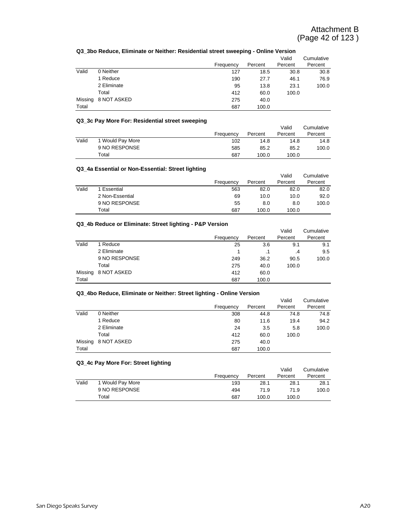## **Q3\_3bo Reduce, Eliminate or Neither: Residential street sweeping - Online Version**

|         |             |           |         | Valid   | Cumulative |
|---------|-------------|-----------|---------|---------|------------|
|         |             | Frequency | Percent | Percent | Percent    |
| Valid   | 0 Neither   | 127       | 18.5    | 30.8    | 30.8       |
|         | 1 Reduce    | 190       | 27.7    | 46.1    | 76.9       |
|         | 2 Eliminate | 95        | 13.8    | 23.1    | 100.0      |
|         | Total       | 412       | 60.0    | 100.0   |            |
| Missing | 8 NOT ASKED | 275       | 40.0    |         |            |
| Total   |             | 687       | 100.0   |         |            |

## **Q3\_3c Pay More For: Residential street sweeping**

|       | <u>was oping more roll noordening on oor on ooping</u> |           |         |         |            |
|-------|--------------------------------------------------------|-----------|---------|---------|------------|
|       |                                                        |           |         | Valid   | Cumulative |
|       |                                                        | Frequency | Percent | Percent | Percent    |
| Valid | 1 Would Pay More                                       | 102       | 14.8    | 14.8    | 14.8       |
|       | 9 NO RESPONSE                                          | 585       | 85.2    | 85.2    | 100.0      |
|       | Total                                                  | 687       | 100.0   | 100.0   |            |

## **Q3\_4a Essential or Non-Essential: Street lighting**

|       |                 |           |         | Valid   | Cumulative |
|-------|-----------------|-----------|---------|---------|------------|
|       |                 | Frequency | Percent | Percent | Percent    |
| Valid | 1 Essential     | 563       | 82.0    | 82.0    | 82.0       |
|       | 2 Non-Essential | 69        | 10.0    | 10.0    | 92.0       |
|       | 9 NO RESPONSE   | 55        | 8.0     | 8.0     | 100.0      |
|       | Total           | 687       | 100.0   | 100.0   |            |

## **Q3\_4b Reduce or Eliminate: Street lighting - P&P Version**

|       |                     |           |         | Valid   | Cumulative |
|-------|---------------------|-----------|---------|---------|------------|
|       |                     | Frequency | Percent | Percent | Percent    |
| Valid | 1 Reduce            | 25        | 3.6     | 9.1     | 9.1        |
|       | 2 Eliminate         |           |         | $\cdot$ | 9.5        |
|       | 9 NO RESPONSE       | 249       | 36.2    | 90.5    | 100.0      |
|       | Total               | 275       | 40.0    | 100.0   |            |
|       | Missing 8 NOT ASKED | 412       | 60.0    |         |            |
| Total |                     | 687       | 100.0   |         |            |

## **Q3\_4bo Reduce, Eliminate or Neither: Street lighting - Online Version**

|         |             |           |         | Valid   | Cumulative |
|---------|-------------|-----------|---------|---------|------------|
|         |             | Frequency | Percent | Percent | Percent    |
| Valid   | 0 Neither   | 308       | 44.8    | 74.8    | 74.8       |
|         | 1 Reduce    | 80        | 11.6    | 19.4    | 94.2       |
|         | 2 Eliminate | 24        | 3.5     | 5.8     | 100.0      |
|         | Total       | 412       | 60.0    | 100.0   |            |
| Missing | 8 NOT ASKED | 275       | 40.0    |         |            |
| Total   |             | 687       | 100.0   |         |            |

| Q3 4c Pay More For: Street lighting |                  |           |         |         |            |  |  |
|-------------------------------------|------------------|-----------|---------|---------|------------|--|--|
|                                     |                  |           |         | Valid   | Cumulative |  |  |
|                                     |                  | Frequency | Percent | Percent | Percent    |  |  |
| Valid                               | 1 Would Pay More | 193       | 28.1    | 28.1    | 28.1       |  |  |
|                                     | 9 NO RESPONSE    | 494       | 71.9    | 71.9    | 100.0      |  |  |
|                                     | Total            | 687       | 100.0   | 100.0   |            |  |  |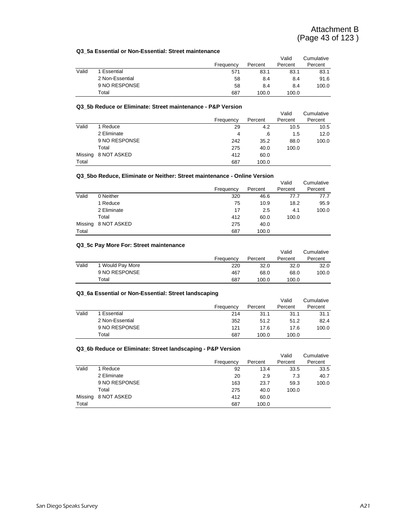## **Q3\_5a Essential or Non-Essential: Street maintenance**

| wo od Eggerhad of Non-Eggerhad. Ou ook munikendinoe |                 |           |         |         |            |  |  |  |
|-----------------------------------------------------|-----------------|-----------|---------|---------|------------|--|--|--|
|                                                     |                 |           |         | Valid   | Cumulative |  |  |  |
|                                                     |                 | Frequency | Percent | Percent | Percent    |  |  |  |
| Valid                                               | 1 Essential     | 571       | 83.1    | 83.1    | 83.1       |  |  |  |
|                                                     | 2 Non-Essential | 58        | 8.4     | 8.4     | 91.6       |  |  |  |
|                                                     | 9 NO RESPONSE   | 58        | 8.4     | 8.4     | 100.0      |  |  |  |
|                                                     | Total           | 687       | 100.0   | 100.0   |            |  |  |  |

#### **Q3\_5b Reduce or Eliminate: Street maintenance - P&P Version**

|         |               |           |         | Valid   | Cumulative |
|---------|---------------|-----------|---------|---------|------------|
|         |               | Frequency | Percent | Percent | Percent    |
| Valid   | 1 Reduce      | 29        | 4.2     | 10.5    | 10.5       |
|         | 2 Eliminate   | 4         | .6      | 1.5     | 12.0       |
|         | 9 NO RESPONSE | 242       | 35.2    | 88.0    | 100.0      |
|         | Total         | 275       | 40.0    | 100.0   |            |
| Missing | 8 NOT ASKED   | 412       | 60.0    |         |            |
| Total   |               | 687       | 100.0   |         |            |

#### **Q3\_5bo Reduce, Eliminate or Neither: Street maintenance - Online Version**

|       |                     |           |         | Valid   | Cumulative |
|-------|---------------------|-----------|---------|---------|------------|
|       |                     | Frequency | Percent | Percent | Percent    |
| Valid | 0 Neither           | 320       | 46.6    | 77.7    | 77.7       |
|       | 1 Reduce            | 75        | 10.9    | 18.2    | 95.9       |
|       | 2 Eliminate         | 17        | 2.5     | 4.1     | 100.0      |
|       | Total               | 412       | 60.0    | 100.0   |            |
|       | Missing 8 NOT ASKED | 275       | 40.0    |         |            |
| Total |                     | 687       | 100.0   |         |            |

## **Q3\_5c Pay More For: Street maintenance**

|       |                  |           |         | Valid   | Cumulative |
|-------|------------------|-----------|---------|---------|------------|
|       |                  | Frequency | Percent | Percent | Percent    |
| Valid | 1 Would Pay More | 220       | 32.0    | 32.0    | 32.0       |
|       | 9 NO RESPONSE    | 467       | 68.0    | 68.0    | 100.0      |
|       | Total            | 687       | 100.0   | 100.0   |            |

#### **Q3\_6a Essential or Non-Essential: Street landscaping**

|       |                 |           |         | Valid   | Cumulative |
|-------|-----------------|-----------|---------|---------|------------|
|       |                 | Frequency | Percent | Percent | Percent    |
| Valid | 1 Essential     | 214       | 31.1    | 31.1    | 31.1       |
|       | 2 Non-Essential | 352       | 51.2    | 51.2    | 82.4       |
|       | 9 NO RESPONSE   | 121       | 17.6    | 17.6    | 100.0      |
|       | Total           | 687       | 100.0   | 100.0   |            |

## **Q3\_6b Reduce or Eliminate: Street landscaping - P&P Version**

|         |               |           |         | Valid   | Cumulative |
|---------|---------------|-----------|---------|---------|------------|
|         |               | Frequency | Percent | Percent | Percent    |
| Valid   | 1 Reduce      | 92        | 13.4    | 33.5    | 33.5       |
|         | 2 Eliminate   | 20        | 2.9     | 7.3     | 40.7       |
|         | 9 NO RESPONSE | 163       | 23.7    | 59.3    | 100.0      |
|         | Total         | 275       | 40.0    | 100.0   |            |
| Missing | 8 NOT ASKED   | 412       | 60.0    |         |            |
| Total   |               | 687       | 100.0   |         |            |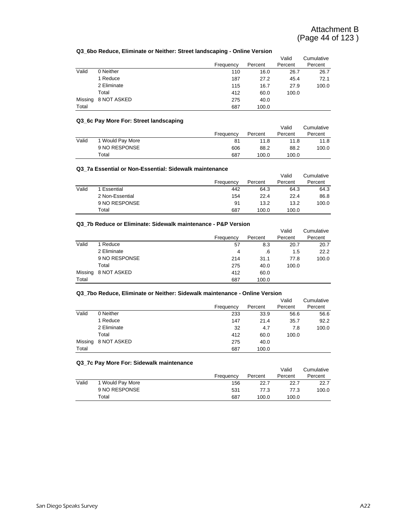## **Q3\_6bo Reduce, Eliminate or Neither: Street landscaping - Online Version**

|         |             |           |         | Valid   | Cumulative |
|---------|-------------|-----------|---------|---------|------------|
|         |             | Frequency | Percent | Percent | Percent    |
| Valid   | 0 Neither   | 110       | 16.0    | 26.7    | 26.7       |
|         | 1 Reduce    | 187       | 27.2    | 45.4    | 72.1       |
|         | 2 Eliminate | 115       | 16.7    | 27.9    | 100.0      |
|         | Total       | 412       | 60.0    | 100.0   |            |
| Missing | 8 NOT ASKED | 275       | 40.0    |         |            |
| Total   |             | 687       | 100.0   |         |            |

## **Q3\_6c Pay More For: Street landscaping**

|       |                  |           |         | Valid   | Cumulative |
|-------|------------------|-----------|---------|---------|------------|
|       |                  | Frequency | Percent | Percent | Percent    |
| Valid | 1 Would Pay More | 81        | 11.8    | 11.8    | 11.8       |
|       | 9 NO RESPONSE    | 606       | 88.2    | 88.2    | 100.0      |
|       | Total            | 687       | 100.0   | 100.0   |            |

## **Q3\_7a Essential or Non-Essential: Sidewalk maintenance**

|       |                 |           |         | Valid   | Cumulative |
|-------|-----------------|-----------|---------|---------|------------|
|       |                 | Frequency | Percent | Percent | Percent    |
| Valid | 1 Essential     | 442       | 64.3    | 64.3    | 64.3       |
|       | 2 Non-Essential | 154       | 22.4    | 22.4    | 86.8       |
|       | 9 NO RESPONSE   | 91        | 13.2    | 13.2    | 100.0      |
|       | Total           | 687       | 100.0   | 100.0   |            |

## **Q3\_7b Reduce or Eliminate: Sidewalk maintenance - P&P Version**

|       |                     |           |         | Valid   | Cumulative |
|-------|---------------------|-----------|---------|---------|------------|
|       |                     | Frequency | Percent | Percent | Percent    |
| Valid | 1 Reduce            | 57        | 8.3     | 20.7    | 20.7       |
|       | 2 Eliminate         | 4         | .6      | 1.5     | 22.2       |
|       | 9 NO RESPONSE       | 214       | 31.1    | 77.8    | 100.0      |
|       | Total               | 275       | 40.0    | 100.0   |            |
|       | Missing 8 NOT ASKED | 412       | 60.0    |         |            |
| Total |                     | 687       | 100.0   |         |            |

#### **Q3\_7bo Reduce, Eliminate or Neither: Sidewalk maintenance - Online Version**

|         |             |           |         | Valid   | Cumulative |
|---------|-------------|-----------|---------|---------|------------|
|         |             | Frequency | Percent | Percent | Percent    |
| Valid   | 0 Neither   | 233       | 33.9    | 56.6    | 56.6       |
|         | 1 Reduce    | 147       | 21.4    | 35.7    | 92.2       |
|         | 2 Eliminate | 32        | 4.7     | 7.8     | 100.0      |
|         | Total       | 412       | 60.0    | 100.0   |            |
| Missing | 8 NOT ASKED | 275       | 40.0    |         |            |
| Total   |             | 687       | 100.0   |         |            |

#### **Q3\_7c Pay More For: Sidewalk maintenance**

|       |                  | Frequency | Percent | Valid<br>Percent | Cumulative<br>Percent |
|-------|------------------|-----------|---------|------------------|-----------------------|
|       |                  |           |         |                  |                       |
| Valid | 1 Would Pay More | 156       | 22.7    | 22.7             | 22.7                  |
|       | 9 NO RESPONSE    | 531       | 77.3    | 77.3             | 100.0                 |
|       | Total            | 687       | 100.0   | 100.0            |                       |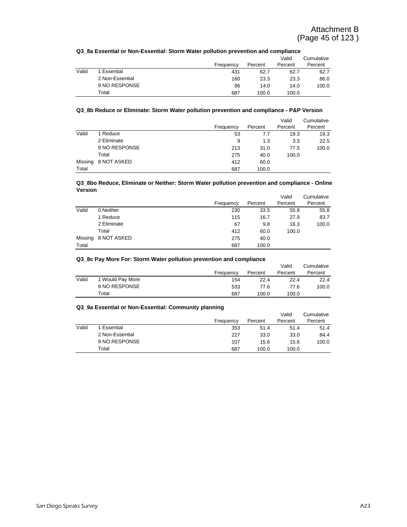## **Q3\_8a Essential or Non-Essential: Storm Water pollution prevention and compliance**

|       |                 |           |         | Valid   | Cumulative |
|-------|-----------------|-----------|---------|---------|------------|
|       |                 | Frequency | Percent | Percent | Percent    |
| Valid | 1 Essential     | 431       | 62.7    | 62.7    | 62.7       |
|       | 2 Non-Essential | 160       | 23.3    | 23.3    | 86.0       |
|       | 9 NO RESPONSE   | 96        | 14.0    | 14.0    | 100.0      |
|       | Total           | 687       | 100.0   | 100.0   |            |

## **Q3\_8b Reduce or Eliminate: Storm Water pollution prevention and compliance - P&P Version**

|         |               |           |         | Valid   | Cumulative |
|---------|---------------|-----------|---------|---------|------------|
|         |               | Frequency | Percent | Percent | Percent    |
| Valid   | 1 Reduce      | 53        | 7.7     | 19.3    | 19.3       |
|         | 2 Eliminate   | 9         | 1.3     | 3.3     | 22.5       |
|         | 9 NO RESPONSE | 213       | 31.0    | 77.5    | 100.0      |
|         | Total         | 275       | 40.0    | 100.0   |            |
| Missing | 8 NOT ASKED   | 412       | 60.0    |         |            |
| Total   |               | 687       | 100.0   |         |            |

#### **Q3\_8bo Reduce, Eliminate or Neither: Storm Water pollution prevention and compliance - Online Version**

|         |             |           |         | Valid   | Cumulative |
|---------|-------------|-----------|---------|---------|------------|
|         |             | Frequency | Percent | Percent | Percent    |
| Valid   | 0 Neither   | 230       | 33.5    | 55.8    | 55.8       |
|         | 1 Reduce    | 115       | 16.7    | 27.9    | 83.7       |
|         | 2 Eliminate | 67        | 9.8     | 16.3    | 100.0      |
|         | Total       | 412       | 60.0    | 100.0   |            |
| Missing | 8 NOT ASKED | 275       | 40.0    |         |            |
| Total   |             | 687       | 100.0   |         |            |

## **Q3\_8c Pay More For: Storm Water pollution prevention and compliance**

|       |                  |           |         | Valid   | Cumulative |
|-------|------------------|-----------|---------|---------|------------|
|       |                  | Frequency | Percent | Percent | Percent    |
| Valid | 1 Would Pay More | 154       | 22.4    | 22.4    | 22.4       |
|       | 9 NO RESPONSE    | 533       | 77.6    | 77.6    | 100.0      |
|       | Total            | 687       | 100.0   | 100.0   |            |

## **Q3\_9a Essential or Non-Essential: Community planning**

|       |                 | Frequency | Percent | Valid<br>Percent | Cumulative<br>Percent |
|-------|-----------------|-----------|---------|------------------|-----------------------|
| Valid | 1 Essential     | 353       | 51.4    | 51.4             | 51.4                  |
|       | 2 Non-Essential | 227       | 33.0    | 33.0             | 84.4                  |
|       | 9 NO RESPONSE   | 107       | 15.6    | 15.6             | 100.0                 |
|       | Total           | 687       | 100.0   | 100.0            |                       |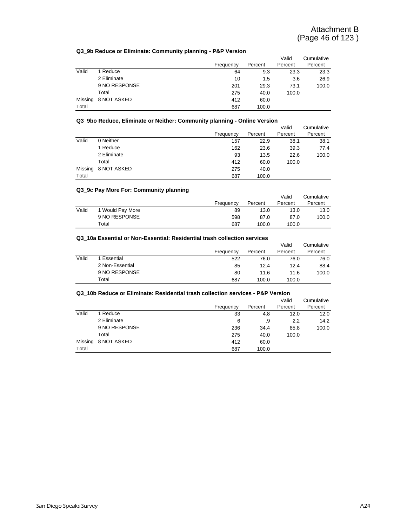## **Q3\_9b Reduce or Eliminate: Community planning - P&P Version**

|         | $\alpha$ , $\alpha$ , $\alpha$ , $\alpha$ , $\alpha$ , $\alpha$ , $\alpha$ , $\alpha$ , $\alpha$ , $\alpha$ , $\alpha$ , $\alpha$ , $\alpha$ , $\alpha$ , $\alpha$ , $\alpha$ , $\alpha$ , $\alpha$ , $\alpha$ , $\alpha$ , $\alpha$ , $\alpha$ , $\alpha$ , $\alpha$ , $\alpha$ , $\alpha$ , $\alpha$ , $\alpha$ , $\alpha$ , $\alpha$ , $\alpha$ , $\alpha$ , $\alpha$ , $\alpha$ , $\alpha$ , $\alpha$ , $\alpha$ , |           |         |         |            |
|---------|------------------------------------------------------------------------------------------------------------------------------------------------------------------------------------------------------------------------------------------------------------------------------------------------------------------------------------------------------------------------------------------------------------------------|-----------|---------|---------|------------|
|         |                                                                                                                                                                                                                                                                                                                                                                                                                        |           |         | Valid   | Cumulative |
|         |                                                                                                                                                                                                                                                                                                                                                                                                                        | Frequency | Percent | Percent | Percent    |
| Valid   | 1 Reduce                                                                                                                                                                                                                                                                                                                                                                                                               | 64        | 9.3     | 23.3    | 23.3       |
|         | 2 Eliminate                                                                                                                                                                                                                                                                                                                                                                                                            | 10        | 1.5     | 3.6     | 26.9       |
|         | 9 NO RESPONSE                                                                                                                                                                                                                                                                                                                                                                                                          | 201       | 29.3    | 73.1    | 100.0      |
|         | Total                                                                                                                                                                                                                                                                                                                                                                                                                  | 275       | 40.0    | 100.0   |            |
| Missing | 8 NOT ASKED                                                                                                                                                                                                                                                                                                                                                                                                            | 412       | 60.0    |         |            |
| Total   |                                                                                                                                                                                                                                                                                                                                                                                                                        | 687       | 100.0   |         |            |

## **Q3\_9bo Reduce, Eliminate or Neither: Community planning - Online Version**

|         | Q3 9bo Reduce, Eliminate or Neither: Community planning - Online Version |           |         |         |            |
|---------|--------------------------------------------------------------------------|-----------|---------|---------|------------|
|         |                                                                          |           |         | Valid   | Cumulative |
|         |                                                                          | Frequency | Percent | Percent | Percent    |
| Valid   | 0 Neither                                                                | 157       | 22.9    | 38.1    | 38.1       |
|         | 1 Reduce                                                                 | 162       | 23.6    | 39.3    | 77.4       |
|         | 2 Eliminate                                                              | 93        | 13.5    | 22.6    | 100.0      |
|         | Total                                                                    | 412       | 60.0    | 100.0   |            |
| Missing | 8 NOT ASKED                                                              | 275       | 40.0    |         |            |
| Total   |                                                                          | 687       | 100.0   |         |            |

## **Q3\_9c Pay More For: Community planning**

|       |                  |           |         | Valid   | Cumulative |
|-------|------------------|-----------|---------|---------|------------|
|       |                  | Frequency | Percent | Percent | Percent    |
| Valid | 1 Would Pay More | 89        | 13.0    | 13.0    | 13.0       |
|       | 9 NO RESPONSE    | 598       | 87.0    | 87.0    | 100.0      |
|       | Total            | 687       | 100.0   | 100.0   |            |

## **Q3\_10a Essential or Non-Essential: Residential trash collection services**

|       |                 |           |         | Valid   | Cumulative |
|-------|-----------------|-----------|---------|---------|------------|
|       |                 | Frequency | Percent | Percent | Percent    |
| Valid | 1 Essential     | 522       | 76.0    | 76.0    | 76.0       |
|       | 2 Non-Essential | 85        | 12.4    | 12.4    | 88.4       |
|       | 9 NO RESPONSE   | 80        | 11.6    | 11.6    | 100.0      |
|       | Total           | 687       | 100.0   | 100.0   |            |

#### **Q3\_10b Reduce or Eliminate: Residential trash collection services - P&P Version**

|         |               |           |         | Valid   | Cumulative |
|---------|---------------|-----------|---------|---------|------------|
|         |               | Frequency | Percent | Percent | Percent    |
| Valid   | 1 Reduce      | 33        | 4.8     | 12.0    | 12.0       |
|         | 2 Eliminate   | 6         | .9      | 2.2     | 14.2       |
|         | 9 NO RESPONSE | 236       | 34.4    | 85.8    | 100.0      |
|         | Total         | 275       | 40.0    | 100.0   |            |
| Missing | 8 NOT ASKED   | 412       | 60.0    |         |            |
| Total   |               | 687       | 100.0   |         |            |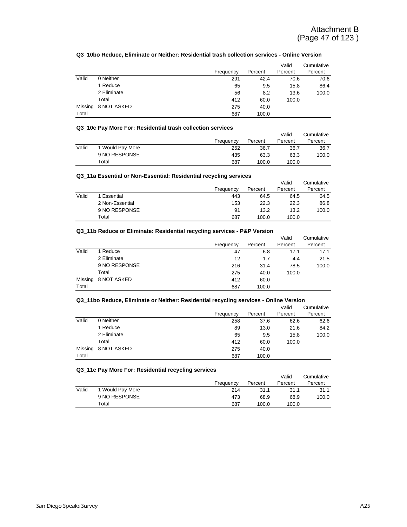## **Q3\_10bo Reduce, Eliminate or Neither: Residential trash collection services - Online Version**

|         |             | Frequency | Percent | Valid<br>Percent | Cumulative<br>Percent |
|---------|-------------|-----------|---------|------------------|-----------------------|
| Valid   | 0 Neither   | 291       | 42.4    | 70.6             | 70.6                  |
|         | 1 Reduce    | 65        | 9.5     | 15.8             | 86.4                  |
|         | 2 Eliminate | 56        | 8.2     | 13.6             | 100.0                 |
|         | Total       | 412       | 60.0    | 100.0            |                       |
| Missing | 8 NOT ASKED | 275       | 40.0    |                  |                       |
| Total   |             | 687       | 100.0   |                  |                       |

## **Q3\_10c Pay More For: Residential trash collection services**

|       |                  |           |         | Valid   | Cumulative |
|-------|------------------|-----------|---------|---------|------------|
|       |                  | Frequency | Percent | Percent | Percent    |
| Valid | 1 Would Pay More | 252       | 36.7    | 36.7    | 36.7       |
|       | 9 NO RESPONSE    | 435       | 63.3    | 63.3    | 100.0      |
|       | Total            | 687       | 100.0   | 100.0   |            |

## **Q3\_11a Essential or Non-Essential: Residential recycling services**

|       | wo Tha Essential of Non-Essential. Residential recycling services |           |         |         |            |  |  |  |  |
|-------|-------------------------------------------------------------------|-----------|---------|---------|------------|--|--|--|--|
|       |                                                                   |           |         | Valid   | Cumulative |  |  |  |  |
|       |                                                                   | Frequency | Percent | Percent | Percent    |  |  |  |  |
| Valid | 1 Essential                                                       | 443       | 64.5    | 64.5    | 64.5       |  |  |  |  |
|       | 2 Non-Essential                                                   | 153       | 22.3    | 22.3    | 86.8       |  |  |  |  |
|       | 9 NO RESPONSE                                                     | 91        | 13.2    | 13.2    | 100.0      |  |  |  |  |
|       | Total                                                             | 687       | 100.0   | 100.0   |            |  |  |  |  |

#### **Q3\_11b Reduce or Eliminate: Residential recycling services - P&P Version**

|         |               |           |         | Valid   | Cumulative |
|---------|---------------|-----------|---------|---------|------------|
|         |               | Frequency | Percent | Percent | Percent    |
| Valid   | Reduce        | 47        | 6.8     | 17.1    | 17.1       |
|         | 2 Eliminate   | 12        | 1.7     | 4.4     | 21.5       |
|         | 9 NO RESPONSE | 216       | 31.4    | 78.5    | 100.0      |
|         | Total         | 275       | 40.0    | 100.0   |            |
| Missing | 8 NOT ASKED   | 412       | 60.0    |         |            |
| Total   |               | 687       | 100.0   |         |            |

## **Q3\_11bo Reduce, Eliminate or Neither: Residential recycling services - Online Version**

|         |             |           |         | Valid   | Cumulative |
|---------|-------------|-----------|---------|---------|------------|
|         |             | Frequency | Percent | Percent | Percent    |
| Valid   | 0 Neither   | 258       | 37.6    | 62.6    | 62.6       |
|         | 1 Reduce    | 89        | 13.0    | 21.6    | 84.2       |
|         | 2 Eliminate | 65        | 9.5     | 15.8    | 100.0      |
|         | Total       | 412       | 60.0    | 100.0   |            |
| Missing | 8 NOT ASKED | 275       | 40.0    |         |            |
| Total   |             | 687       | 100.0   |         |            |

## **Q3\_11c Pay More For: Residential recycling services**

|       |                  |           |         | Valid   | Cumulative |
|-------|------------------|-----------|---------|---------|------------|
|       |                  | Frequency | Percent | Percent | Percent    |
| Valid | 1 Would Pay More | 214       | 31.1    | 31.1    | 31.1       |
|       | 9 NO RESPONSE    | 473       | 68.9    | 68.9    | 100.0      |
|       | Total            | 687       | 100.0   | 100.0   |            |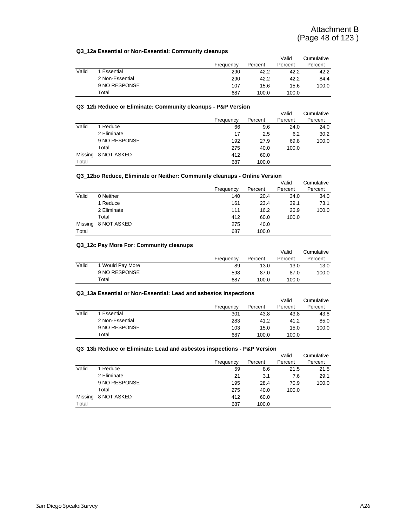## **Q3\_12a Essential or Non-Essential: Community cleanups**

|       | av Tra Essential of Non-Essentian. Commitmity cicamaps |           |         |         |            |  |  |  |  |
|-------|--------------------------------------------------------|-----------|---------|---------|------------|--|--|--|--|
|       |                                                        |           |         | Valid   | Cumulative |  |  |  |  |
|       |                                                        | Frequency | Percent | Percent | Percent    |  |  |  |  |
| Valid | 1 Essential                                            | 290       | 42.2    | 42.2    | 42.2       |  |  |  |  |
|       | 2 Non-Essential                                        | 290       | 42.2    | 42.2    | 84.4       |  |  |  |  |
|       | 9 NO RESPONSE                                          | 107       | 15.6    | 15.6    | 100.0      |  |  |  |  |
|       | Total                                                  | 687       | 100.0   | 100.0   |            |  |  |  |  |

## **Q3\_12b Reduce or Eliminate: Community cleanups - P&P Version**

|         |               |           |         | Valid   | Cumulative |
|---------|---------------|-----------|---------|---------|------------|
|         |               | Frequency | Percent | Percent | Percent    |
| Valid   | 1 Reduce      | 66        | 9.6     | 24.0    | 24.0       |
|         | 2 Eliminate   | 17        | 2.5     | 6.2     | 30.2       |
|         | 9 NO RESPONSE | 192       | 27.9    | 69.8    | 100.0      |
|         | Total         | 275       | 40.0    | 100.0   |            |
| Missing | 8 NOT ASKED   | 412       | 60.0    |         |            |
| Total   |               | 687       | 100.0   |         |            |

## **Q3\_12bo Reduce, Eliminate or Neither: Community cleanups - Online Version**

|       |                     |           |         | Valid   | Cumulative |
|-------|---------------------|-----------|---------|---------|------------|
|       |                     | Frequency | Percent | Percent | Percent    |
| Valid | 0 Neither           | 140       | 20.4    | 34.0    | 34.0       |
|       | 1 Reduce            | 161       | 23.4    | 39.1    | 73.1       |
|       | 2 Eliminate         | 111       | 16.2    | 26.9    | 100.0      |
|       | Total               | 412       | 60.0    | 100.0   |            |
|       | Missing 8 NOT ASKED | 275       | 40.0    |         |            |
| Total |                     | 687       | 100.0   |         |            |

## **Q3\_12c Pay More For: Community cleanups**

|       |                  |           |         | Valid   | Cumulative |
|-------|------------------|-----------|---------|---------|------------|
|       |                  | Frequency | Percent | Percent | Percent    |
| Valid | 1 Would Pay More | 89        | 13.0    | 13.0    | 13.0       |
|       | 9 NO RESPONSE    | 598       | 87.0    | 87.0    | 100.0      |
|       | Total            | 687       | 100.0   | 100.0   |            |

#### **Q3\_13a Essential or Non-Essential: Lead and asbestos inspections**

|       |                 |           |         | Valid   | Cumulative |
|-------|-----------------|-----------|---------|---------|------------|
|       |                 | Frequency | Percent | Percent | Percent    |
| Valid | Essential       | 301       | 43.8    | 43.8    | 43.8       |
|       | 2 Non-Essential | 283       | 41.2    | 41.2    | 85.0       |
|       | 9 NO RESPONSE   | 103       | 15.0    | 15.0    | 100.0      |
|       | Total           | 687       | 100.0   | 100.0   |            |

#### **Q3\_13b Reduce or Eliminate: Lead and asbestos inspections - P&P Version**

|         |               |           |         | Valid   | Cumulative |
|---------|---------------|-----------|---------|---------|------------|
|         |               | Frequency | Percent | Percent | Percent    |
| Valid   | 1 Reduce      | 59        | 8.6     | 21.5    | 21.5       |
|         | 2 Eliminate   | 21        | 3.1     | 7.6     | 29.1       |
|         | 9 NO RESPONSE | 195       | 28.4    | 70.9    | 100.0      |
|         | Total         | 275       | 40.0    | 100.0   |            |
| Missing | 8 NOT ASKED   | 412       | 60.0    |         |            |
| Total   |               | 687       | 100.0   |         |            |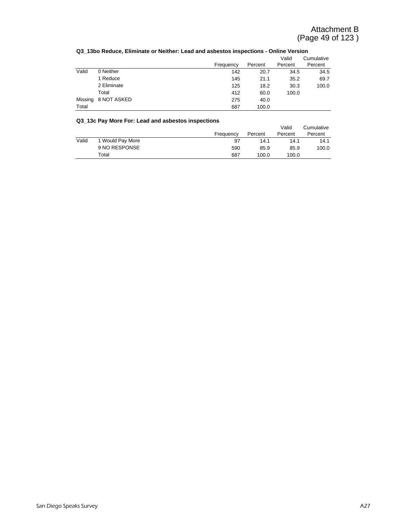|  |  |  |  |  |  | Q3_13bo Reduce, Eliminate or Neither: Lead and asbestos inspections - Online Version |
|--|--|--|--|--|--|--------------------------------------------------------------------------------------|
|--|--|--|--|--|--|--------------------------------------------------------------------------------------|

|         |             |           |         | Valid   | Cumulative |
|---------|-------------|-----------|---------|---------|------------|
|         |             | Frequency | Percent | Percent | Percent    |
| Valid   | 0 Neither   | 142       | 20.7    | 34.5    | 34.5       |
|         | 1 Reduce    | 145       | 21.1    | 35.2    | 69.7       |
|         | 2 Eliminate | 125       | 18.2    | 30.3    | 100.0      |
|         | Total       | 412       | 60.0    | 100.0   |            |
| Missing | 8 NOT ASKED | 275       | 40.0    |         |            |
| Total   |             | 687       | 100.0   |         |            |

# **Q3\_13c Pay More For: Lead and asbestos inspections**

|       | QUI TUCT QV IVIUI C I UI. LEGU GIIU QUUCUUS IIISDECUUIIS |           |         |         |            |
|-------|----------------------------------------------------------|-----------|---------|---------|------------|
|       |                                                          |           |         | Valid   | Cumulative |
|       |                                                          | Frequency | Percent | Percent | Percent    |
| Valid | 1 Would Pay More                                         | 97        | 14.1    | 14.1    | 14.1       |
|       | 9 NO RESPONSE                                            | 590       | 85.9    | 85.9    | 100.0      |
|       | Total                                                    | 687       | 100.0   | 100.0   |            |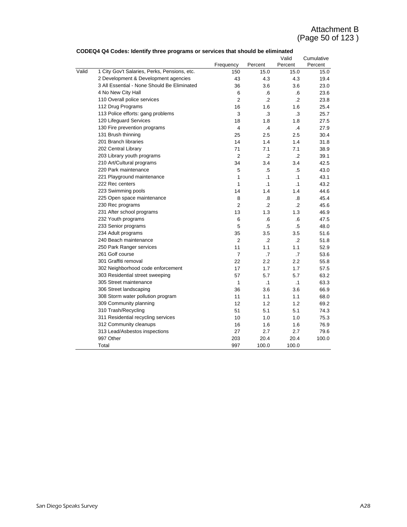|       |                                              |                |                | Valid      | Cumulative |
|-------|----------------------------------------------|----------------|----------------|------------|------------|
|       |                                              | Frequency      | Percent        | Percent    | Percent    |
| Valid | 1 City Gov't Salaries, Perks, Pensions, etc. | 150            | 15.0           | 15.0       | 15.0       |
|       | 2 Development & Development agencies         | 43             | 4.3            | 4.3        | 19.4       |
|       | 3 All Essential - None Should Be Eliminated  | 36             | 3.6            | 3.6        | 23.0       |
|       | 4 No New City Hall                           | 6              | 6.6            | 6.6        | 23.6       |
|       | 110 Overall police services                  | $\overline{2}$ | $\overline{2}$ | $\cdot$    | 23.8       |
|       | 112 Drug Programs                            | 16             | 1.6            | 1.6        | 25.4       |
|       | 113 Police efforts: gang problems            | 3              | .3             | .3         | 25.7       |
|       | 120 Lifequard Services                       | 18             | 1.8            | 1.8        | 27.5       |
|       | 130 Fire prevention programs                 | $\overline{4}$ | .4             | .4         | 27.9       |
|       | 131 Brush thinning                           | 25             | 2.5            | 2.5        | 30.4       |
|       | 201 Branch libraries                         | 14             | 1.4            | 1.4        | 31.8       |
|       | 202 Central Library                          | 71             | 7.1            | 7.1        | 38.9       |
|       | 203 Library youth programs                   | $\overline{2}$ | $\overline{2}$ | $\cdot$ .2 | 39.1       |
|       | 210 Art/Cultural programs                    | 34             | 3.4            | 3.4        | 42.5       |
|       | 220 Park maintenance                         | 5              | .5             | .5         | 43.0       |
|       | 221 Playground maintenance                   | 1              | $\cdot$ 1      | $\cdot$ 1  | 43.1       |
|       | 222 Rec centers                              | 1              | $\cdot$ 1      | $\cdot$ 1  | 43.2       |
|       | 223 Swimming pools                           | 14             | 1.4            | 1.4        | 44.6       |
|       | 225 Open space maintenance                   | 8              | .8             | .8         | 45.4       |
|       | 230 Rec programs                             | $\overline{2}$ | $\cdot$        | $\cdot$ .2 | 45.6       |
|       | 231 After school programs                    | 13             | 1.3            | 1.3        | 46.9       |
|       | 232 Youth programs                           | 6              | .6             | .6         | 47.5       |
|       | 233 Senior programs                          | 5              | .5             | .5         | 48.0       |
|       | 234 Adult programs                           | 35             | 3.5            | 3.5        | 51.6       |
|       | 240 Beach maintenance                        | $\overline{2}$ | $\overline{2}$ | $\cdot$ .2 | 51.8       |
|       | 250 Park Ranger services                     | 11             | 1.1            | 1.1        | 52.9       |
|       | 261 Golf course                              | $\overline{7}$ | .7             | $\cdot$ 7  | 53.6       |
|       | 301 Graffiti removal                         | 22             | 2.2            | 2.2        | 55.8       |
|       | 302 Neighborhood code enforcement            | 17             | 1.7            | 1.7        | 57.5       |
|       | 303 Residential street sweeping              | 57             | 5.7            | 5.7        | 63.2       |
|       | 305 Street maintenance                       | $\mathbf{1}$   | $\cdot$ 1      | $\cdot$ 1  | 63.3       |
|       | 306 Street landscaping                       | 36             | 3.6            | 3.6        | 66.9       |
|       | 308 Storm water pollution program            | 11             | 1.1            | 1.1        | 68.0       |
|       | 309 Community planning                       | 12             | 1.2            | 1.2        | 69.2       |
|       | 310 Trash/Recycling                          | 51             | 5.1            | 5.1        | 74.3       |
|       | 311 Residential recycling services           | 10             | 1.0            | 1.0        | 75.3       |
|       | 312 Community cleanups                       | 16             | 1.6            | 1.6        | 76.9       |
|       | 313 Lead/Asbestos inspections                | 27             | 2.7            | 2.7        | 79.6       |
|       | 997 Other                                    | 203            | 20.4           | 20.4       | 100.0      |
|       | Total                                        | 997            | 100.0          | 100.0      |            |

# **CODEQ4 Q4 Codes: Identify three programs or services that should be eliminated**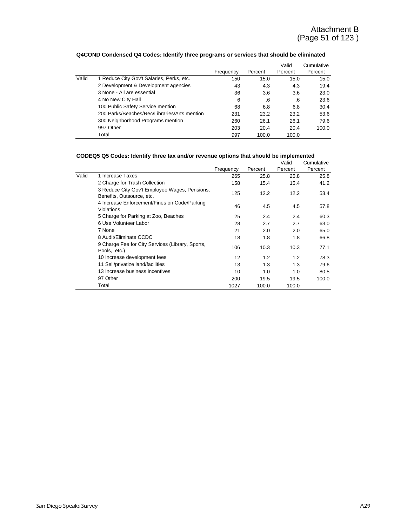|       |                                              |           |         | Valid   | Cumulative |
|-------|----------------------------------------------|-----------|---------|---------|------------|
|       |                                              | Frequency | Percent | Percent | Percent    |
| Valid | 1 Reduce City Gov't Salaries, Perks, etc.    | 150       | 15.0    | 15.0    | 15.0       |
|       | 2 Development & Development agencies         | 43        | 4.3     | 4.3     | 19.4       |
|       | 3 None - All are essential                   | 36        | 3.6     | 3.6     | 23.0       |
|       | 4 No New City Hall                           | 6         | .6      | .6      | 23.6       |
|       | 100 Public Safety Service mention            | 68        | 6.8     | 6.8     | 30.4       |
|       | 200 Parks/Beaches/Rec/Libraries/Arts mention | 231       | 23.2    | 23.2    | 53.6       |
|       | 300 Neighborhood Programs mention            | 260       | 26.1    | 26.1    | 79.6       |
|       | 997 Other                                    | 203       | 20.4    | 20.4    | 100.0      |
|       | Total                                        | 997       | 100.0   | 100.0   |            |

# **Q4COND Condensed Q4 Codes: Identify three programs or services that should be eliminated**

## **CODEQ5 Q5 Codes: Identify three tax and/or revenue options that should be implemented**

|       |                                                                            |           |         | Valid   | Cumulative |
|-------|----------------------------------------------------------------------------|-----------|---------|---------|------------|
|       |                                                                            | Frequency | Percent | Percent | Percent    |
| Valid | 1 Increase Taxes                                                           | 265       | 25.8    | 25.8    | 25.8       |
|       | 2 Charge for Trash Collection                                              | 158       | 15.4    | 15.4    | 41.2       |
|       | 3 Reduce City Gov't Employee Wages, Pensions,<br>Benefits, Outsource, etc. | 125       | 12.2    | 12.2    | 53.4       |
|       | 4 Increase Enforcement/Fines on Code/Parking<br>Violations                 | 46        | 4.5     | 4.5     | 57.8       |
|       | 5 Charge for Parking at Zoo, Beaches                                       | 25        | 2.4     | 2.4     | 60.3       |
|       | 6 Use Volunteer Labor                                                      | 28        | 2.7     | 2.7     | 63.0       |
|       | 7 None                                                                     | 21        | 2.0     | 2.0     | 65.0       |
|       | 8 Audit/Eliminate CCDC                                                     | 18        | 1.8     | 1.8     | 66.8       |
|       | 9 Charge Fee for City Services (Library, Sports,<br>Pools, etc.)           | 106       | 10.3    | 10.3    | 77.1       |
|       | 10 Increase development fees                                               | 12        | 1.2     | 1.2     | 78.3       |
|       | 11 Sell/privatize land/facilities                                          | 13        | 1.3     | 1.3     | 79.6       |
|       | 13 Increase business incentives                                            | 10        | 1.0     | 1.0     | 80.5       |
|       | 97 Other                                                                   | 200       | 19.5    | 19.5    | 100.0      |
|       | Total                                                                      | 1027      | 100.0   | 100.0   |            |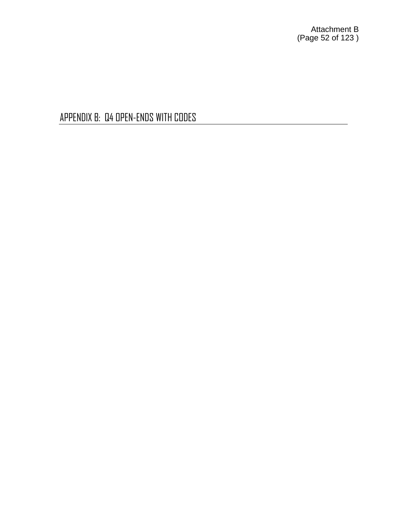APPENDIX B: Q4 OPEN-ENDS WITH CODES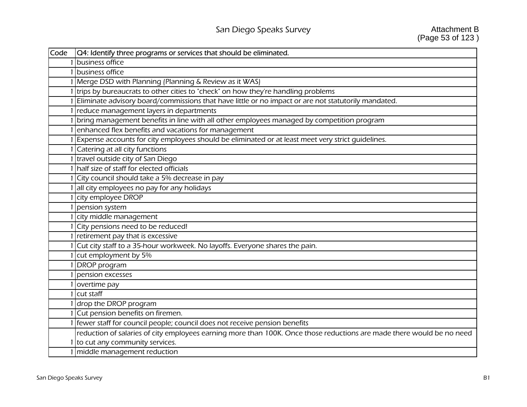| Code | O4: Identify three programs or services that should be eliminated.                                                    |
|------|-----------------------------------------------------------------------------------------------------------------------|
|      | business office                                                                                                       |
|      | business office                                                                                                       |
|      | Merge DSD with Planning (Planning & Review as it WAS)                                                                 |
|      | trips by bureaucrats to other cities to "check" on how they're handling problems                                      |
|      | Eliminate advisory board/commissions that have little or no impact or are not statutorily mandated.                   |
|      | reduce management layers in departments                                                                               |
|      | bring management benefits in line with all other employees managed by competition program                             |
|      | enhanced flex benefits and vacations for management                                                                   |
|      | Expense accounts for city employees should be eliminated or at least meet very strict quidelines.                     |
|      | Catering at all city functions                                                                                        |
|      | travel outside city of San Diego                                                                                      |
|      | half size of staff for elected officials                                                                              |
|      | City council should take a 5% decrease in pay                                                                         |
|      | all city employees no pay for any holidays                                                                            |
|      | city employee DROP                                                                                                    |
|      | pension system                                                                                                        |
|      | city middle management                                                                                                |
|      | City pensions need to be reduced!                                                                                     |
|      | retirement pay that is excessive                                                                                      |
|      | Cut city staff to a 35-hour workweek. No layoffs. Everyone shares the pain.                                           |
|      | cut employment by 5%                                                                                                  |
|      | <b>DROP</b> program                                                                                                   |
|      | pension excesses                                                                                                      |
|      | overtime pay                                                                                                          |
|      | cut staff                                                                                                             |
|      | drop the DROP program                                                                                                 |
|      | Cut pension benefits on firemen.                                                                                      |
|      | fewer staff for council people; council does not receive pension benefits                                             |
|      | reduction of salaries of city employees earning more than 100K. Once those reductions are made there would be no need |
|      | to cut any community services.                                                                                        |
|      | 1 middle management reduction                                                                                         |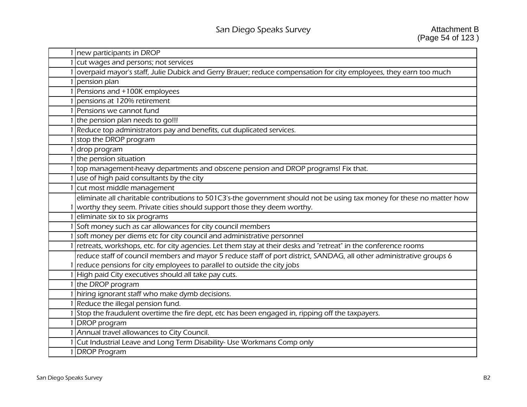| new participants in DROP                                                                                               |
|------------------------------------------------------------------------------------------------------------------------|
| cut wages and persons; not services                                                                                    |
| overpaid mayor's staff, Julie Dubick and Gerry Brauer; reduce compensation for city employees, they earn too much      |
| pension plan                                                                                                           |
| Pensions and +100K employees                                                                                           |
| pensions at 120% retirement                                                                                            |
| Pensions we cannot fund                                                                                                |
| the pension plan needs to go!!!                                                                                        |
| 1 Reduce top administrators pay and benefits, cut duplicated services.                                                 |
| stop the DROP program                                                                                                  |
| drop program                                                                                                           |
| 1 the pension situation                                                                                                |
| top management-heavy departments and obscene pension and DROP programs! Fix that.                                      |
| use of high paid consultants by the city                                                                               |
| cut most middle management                                                                                             |
| eliminate all charitable contributions to 501C3's-the government should not be using tax money for these no matter how |
| worthy they seem. Private cities should support those they deem worthy.                                                |
| eliminate six to six programs                                                                                          |
| Soft money such as car allowances for city council members                                                             |
| soft money per diems etc for city council and administrative personnel                                                 |
| retreats, workshops, etc. for city agencies. Let them stay at their desks and "retreat" in the conference rooms        |
| reduce staff of council members and mayor 5 reduce staff of port district, SANDAG, all other administrative groups 6   |
| 1 reduce pensions for city employees to parallel to outside the city jobs                                              |
| High paid City executives should all take pay cuts.                                                                    |
| the DROP program                                                                                                       |
| hiring ignorant staff who make dymb decisions.                                                                         |
| Reduce the illegal pension fund.                                                                                       |
| Stop the fraudulent overtime the fire dept, etc has been engaged in, ripping off the taxpayers.                        |
| <b>DROP</b> program                                                                                                    |
| Annual travel allowances to City Council.                                                                              |
| 1 Cut Industrial Leave and Long Term Disability- Use Workmans Comp only                                                |
| 1 DROP Program                                                                                                         |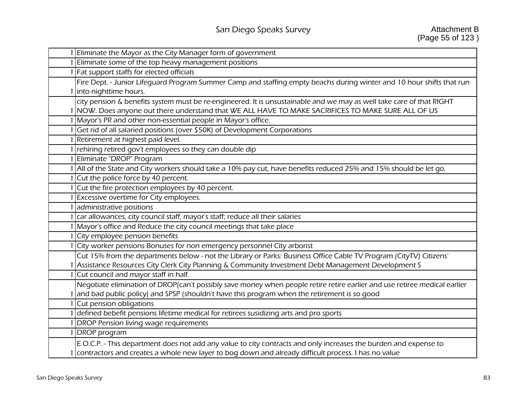| Eliminate the Mayor as the City Manager form of government                                                                |
|---------------------------------------------------------------------------------------------------------------------------|
| Eliminate some of the top heavy management positions                                                                      |
| Fat support staffs for elected officials                                                                                  |
| Fire Dept. - Junior Lifeguard Program Summer Camp and staffing empty beachs during winter and 10 hour shifts that run     |
| into nighttime hours.                                                                                                     |
| city pension & benefits system must be re-engineered. It is unsustainable and we may as well take care of that RIGHT      |
| NOW. Does anyone out there understand that WE ALL HAVE TO MAKE SACRIFICES TO MAKE SURE ALL OF US                          |
| Mayor's PR and other non-essential people in Mayor's office.                                                              |
| Get rid of all salaried positions (over \$50K) of Development Corporations                                                |
| Retirement at highest paid level.                                                                                         |
| rehiring retired gov't employees so they can double dip                                                                   |
| Eliminate "DROP" Program                                                                                                  |
| All of the State and City workers should take a 10% pay cut, have benefits reduced 25% and 15% should be let go.          |
| Cut the police force by 40 percent.                                                                                       |
| Cut the fire protection employees by 40 percent.                                                                          |
| Excessive overtime for City employees.                                                                                    |
| administrative positions                                                                                                  |
| car allowances, city council staff, mayor's staff; reduce all their salaries                                              |
| Mayor's office and Reduce the city council meetings that take place                                                       |
| City employee pension benefits                                                                                            |
| City worker pensions Bonuses for non emergency personnel City arborist                                                    |
| Cut 15% from the departments below - not the Library or Parks: Business Office Cable TV Program (CityTV) Citizens'        |
| Assistance Resources City Clerk City Planning & Community Investment Debt Management Development S                        |
| Cut council and mayor staff in half.                                                                                      |
| Negotiate elimination of DROP(can't possibly save money when people retire retire earlier and use retiree medical earlier |
| and bad public policy) and SPSP (shouldn't have this program when the retirement is so good                               |
| Cut pension obligations                                                                                                   |
| defined bebefit pensions lifetime medical for retirees susidizing arts and pro sports                                     |
| DROP Pension living wage requirements                                                                                     |
| DROP program                                                                                                              |
| E.O.C.P. - This department does not add any value to city contracts and only increases the burden and expense to          |
| contractors and creates a whole new layer to bog down and already difficult process. I has no value                       |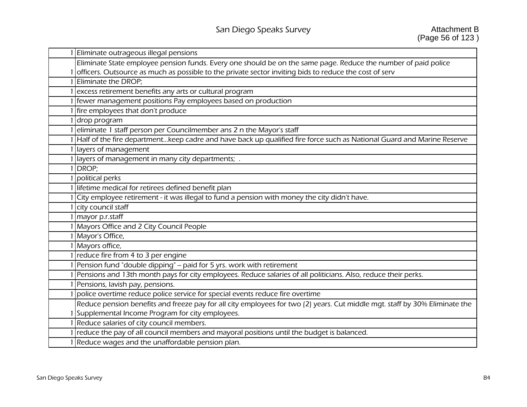| Eliminate outrageous illegal pensions                                                                                       |
|-----------------------------------------------------------------------------------------------------------------------------|
| Eliminate State employee pension funds. Every one should be on the same page. Reduce the number of paid police              |
| officers. Outsource as much as possible to the private sector inviting bids to reduce the cost of serv                      |
| Eliminate the DROP;                                                                                                         |
| excess retirement benefits any arts or cultural program                                                                     |
| fewer management positions Pay employees based on production                                                                |
| fire employees that don't produce                                                                                           |
| drop program                                                                                                                |
| eliminate 1 staff person per Councilmember ans 2 n the Mayor's staff                                                        |
| Half of the fire departmentkeep cadre and have back up qualified fire force such as National Guard and Marine Reserve       |
| layers of management                                                                                                        |
| layers of management in many city departments; .                                                                            |
| DROP;                                                                                                                       |
| political perks                                                                                                             |
| lifetime medical for retirees defined benefit plan                                                                          |
| City employee retirement - it was illegal to fund a pension with money the city didn't have.                                |
| city council staff                                                                                                          |
| mayor p.r.staff                                                                                                             |
| Mayors Office and 2 City Council People                                                                                     |
| Mayor's Office,                                                                                                             |
| Mayors office,                                                                                                              |
| reduce fire from 4 to 3 per engine                                                                                          |
| Pension fund "double dipping" - paid for 5 yrs. work with retirement                                                        |
| Pensions and 13th month pays for city employees. Reduce salaries of all politicians. Also, reduce their perks.              |
| Pensions, lavish pay, pensions.                                                                                             |
| police overtime reduce police service for special events reduce fire overtime                                               |
| Reduce pension benefits and freeze pay for all city employees for two (2) years. Cut middle mgt. staff by 30% Eliminate the |
| Supplemental Income Program for city employees.                                                                             |
| Reduce salaries of city council members.                                                                                    |
| reduce the pay of all council members and mayoral positions until the budget is balanced.                                   |
| Reduce wages and the unaffordable pension plan.                                                                             |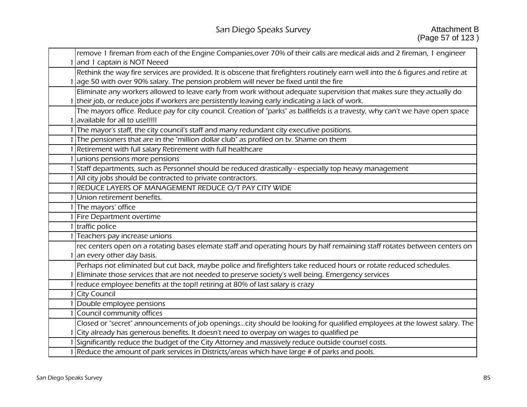| remove 1 fireman from each of the Engine Companies, over 70% of their calls are medical aids and 2 fireman, 1 engineer           |
|----------------------------------------------------------------------------------------------------------------------------------|
| and 1 captain is NOT Neeed                                                                                                       |
| Rethink the way fire services are provided. It is obscene that firefighters routinely earn well into the 6 figures and retire at |
| age 50 with over 90% salary. The pension problem will never be fixed until the fire                                              |
| Eliminate any workers allowed to leave early from work without adequate supervision that makes sure they actually do             |
| their job, or reduce jobs if workers are persistently leaving early indicating a lack of work.                                   |
| The mayors office. Reduce pay for city council. Creation of "parks" as ballfields is a travesty, why can't we have open space    |
| available for all to use!!!!!                                                                                                    |
| The mayor's staff, the city council's staff and many redundant city executive positions.                                         |
| The pensioners that are in the "million dollar club" as profiled on tv. Shame on them                                            |
| Retirement with full salary Retirement with full healthcare                                                                      |
| unions pensions more pensions                                                                                                    |
| Staff departments, such as Personnel should be reduced drastically - especially top heavy management                             |
| All city jobs should be contracted to private contractors.                                                                       |
| REDUCE LAYERS OF MANAGEMENT REDUCE O/T PAY CITY WIDE                                                                             |
| Union retirement benefits.                                                                                                       |
|                                                                                                                                  |
| The mayors' office                                                                                                               |
| Fire Department overtime                                                                                                         |
| traffic police                                                                                                                   |
| Teachers pay increase unions                                                                                                     |
| rec centers open on a rotating bases elemate staff and operating hours by half remaining staff rotates between centers on        |
| an every other day basis.                                                                                                        |
| Perhaps not eliminated but cut back, maybe police and firefighters take reduced hours or rotate reduced schedules.               |
| Eliminate those services that are not needed to preserve society's well being. Emergency services                                |
| reduce employee benefits at the top!! retiring at 80% of last salary is crazy                                                    |
| <b>City Council</b>                                                                                                              |
| Double employee pensions                                                                                                         |
| Council community offices                                                                                                        |
| Closed or "secret" announcements of job openingscity should be looking for qualified employees at the lowest salary. The         |
| City already has generous benefits. It doesn't need to overpay on wages to qualified pe                                          |
| Significantly reduce the budget of the City Attorney and massively reduce outside counsel costs.                                 |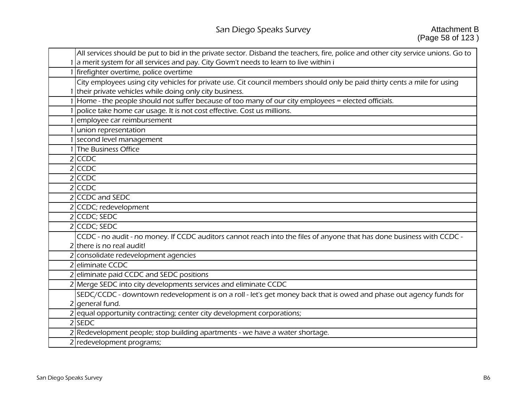| All services should be put to bid in the private sector. Disband the teachers, fire, police and other city service unions. Go to |
|----------------------------------------------------------------------------------------------------------------------------------|
| a merit system for all services and pay. City Govm't needs to learn to live within i                                             |
| firefighter overtime, police overtime                                                                                            |
| City employees using city vehicles for private use. Cit council members should only be paid thirty cents a mile for using        |
| their private vehicles while doing only city business.                                                                           |
| Home - the people should not suffer because of too many of our city employees = elected officials.                               |
| police take home car usage. It is not cost effective. Cost us millions.                                                          |
| employee car reimbursement                                                                                                       |
| union representation                                                                                                             |
| second level management                                                                                                          |
| The Business Office                                                                                                              |
| $2$ CCDC                                                                                                                         |
| $2$ CCDC                                                                                                                         |
| $2$ CCDC                                                                                                                         |
| $2$ CCDC                                                                                                                         |
| 2 CCDC and SEDC                                                                                                                  |
| 2 CCDC; redevelopment                                                                                                            |
| 2 CCDC; SEDC                                                                                                                     |
| 2 CCDC; SEDC                                                                                                                     |
| CCDC - no audit - no money. If CCDC auditors cannot reach into the files of anyone that has done business with CCDC -            |
| there is no real audit!                                                                                                          |
| consolidate redevelopment agencies                                                                                               |
| eliminate CCDC                                                                                                                   |
| 2 eliminate paid CCDC and SEDC positions                                                                                         |
| 2 Merge SEDC into city developments services and eliminate CCDC                                                                  |
| SEDC/CCDC - downtown redevelopment is on a roll - let's get money back that is owed and phase out agency funds for               |
| $2$ general fund.                                                                                                                |
| equal opportunity contracting; center city development corporations;                                                             |
| 2 SEDC                                                                                                                           |
| 2 Redevelopment people; stop building apartments - we have a water shortage.                                                     |
| 2 redevelopment programs;                                                                                                        |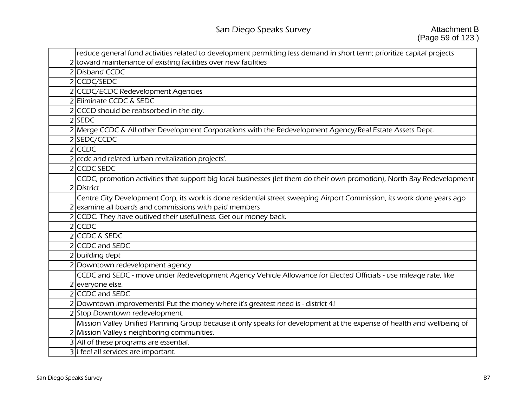| reduce general fund activities related to development permitting less demand in short term; prioritize capital projects |
|-------------------------------------------------------------------------------------------------------------------------|
| 2 toward maintenance of existing facilities over new facilities                                                         |
| 2 Disband CCDC                                                                                                          |
| 2 CCDC/SEDC                                                                                                             |
| 2 CCDC/ECDC Redevelopment Agencies                                                                                      |
| 2 Eliminate CCDC & SEDC                                                                                                 |
| 2 CCCD should be reabsorbed in the city.                                                                                |
| 2 SEDC                                                                                                                  |
| 2 Merge CCDC & All other Development Corporations with the Redevelopment Agency/Real Estate Assets Dept.                |
| 2 SEDC/CCDC                                                                                                             |
| $2$ CCDC                                                                                                                |
| 2 ccdc and related 'urban revitalization projects'.                                                                     |
| 2 CCDC SEDC                                                                                                             |
| CCDC, promotion activities that support big local businesses (let them do their own promotion), North Bay Redevelopment |
| 2 District                                                                                                              |
| Centre City Development Corp, its work is done residential street sweeping Airport Commission, its work done years ago  |
| examine all boards and commissions with paid members                                                                    |
| 2 CCDC. They have outlived their usefullness. Get our money back.                                                       |
| $2$ CCDC                                                                                                                |
| 2 CCDC & SEDC                                                                                                           |
| 2 CCDC and SEDC                                                                                                         |
| 2 building dept                                                                                                         |
| 2 Downtown redevelopment agency                                                                                         |
| CCDC and SEDC - move under Redevelopment Agency Vehicle Allowance for Elected Officials - use mileage rate, like        |
| 2 everyone else.                                                                                                        |
| 2 CCDC and SEDC                                                                                                         |
| Downtown improvements! Put the money where it's greatest need is - district 4!                                          |
| 2 Stop Downtown redevelopment.                                                                                          |
| Mission Valley Unified Planning Group because it only speaks for development at the expense of health and wellbeing of  |
| 2 Mission Valley's neighboring communities.                                                                             |
| 3 All of these programs are essential.                                                                                  |
| 3 I feel all services are important.                                                                                    |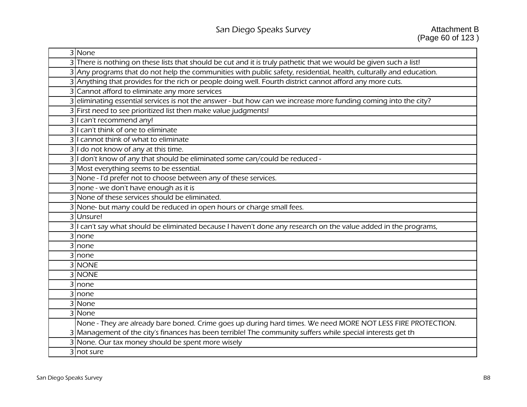| 3 None                                                                                                             |
|--------------------------------------------------------------------------------------------------------------------|
| 3 There is nothing on these lists that should be cut and it is truly pathetic that we would be given such a list!  |
| 3 Any programs that do not help the communities with public safety, residential, health, culturally and education. |
| 3 Anything that provides for the rich or people doing well. Fourth district cannot afford any more cuts.           |
| 3 Cannot afford to eliminate any more services                                                                     |
| 3 eliminating essential services is not the answer - but how can we increase more funding coming into the city?    |
| 3 First need to see prioritized list then make value judgments!                                                    |
| 3 I can't recommend any!                                                                                           |
| 3 I can't think of one to eliminate                                                                                |
| 3 I cannot think of what to eliminate                                                                              |
| 3 I do not know of any at this time.                                                                               |
| 3 I don't know of any that should be eliminated some can/could be reduced -                                        |
| 3 Most everything seems to be essential.                                                                           |
| 3 None - I'd prefer not to choose between any of these services.                                                   |
| 3 none - we don't have enough as it is                                                                             |
| 3 None of these services should be eliminated.                                                                     |
| 3 None- but many could be reduced in open hours or charge small fees.                                              |
| 3Unsure!                                                                                                           |
| 3 I can't say what should be eliminated because I haven't done any research on the value added in the programs,    |
| 3 none                                                                                                             |
| 3 none                                                                                                             |
| 3 none                                                                                                             |
| 3 NONE                                                                                                             |
| 3 NONE                                                                                                             |
| 3 none                                                                                                             |
| 3 none                                                                                                             |
| 3 None                                                                                                             |
| 3 None                                                                                                             |
| None - They are already bare boned. Crime goes up during hard times. We need MORE NOT LESS FIRE PROTECTION.        |
| 3 Management of the city's finances has been terrible! The community suffers while special interests get th        |
| 3 None. Our tax money should be spent more wisely                                                                  |
| 3 not sure                                                                                                         |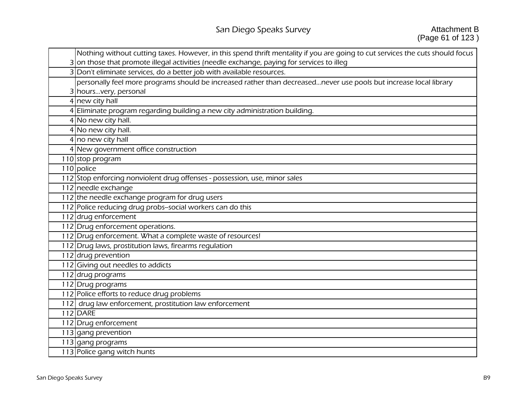| Nothing without cutting taxes. However, in this spend thrift mentality if you are going to cut services the cuts should focus |
|-------------------------------------------------------------------------------------------------------------------------------|
| 3 on those that promote illegal activities (needle exchange, paying for services to illeg                                     |
| 3 Don't eliminate services, do a better job with available resources.                                                         |
| personally feel more programs should be increased rather than decreasednever use pools but increase local library             |
| 3 hoursvery, personal                                                                                                         |
| 4 new city hall                                                                                                               |
| 4 Eliminate program regarding building a new city administration building.                                                    |
| 4 No new city hall.                                                                                                           |
| 4 No new city hall.                                                                                                           |
| 4 no new city hall                                                                                                            |
| 4 New government office construction                                                                                          |
| 110 stop program                                                                                                              |
| 110 police                                                                                                                    |
| 112 Stop enforcing nonviolent drug offenses - possession, use, minor sales                                                    |
| 112 needle exchange                                                                                                           |
| 112 the needle exchange program for drug users                                                                                |
| 112 Police reducing drug probs-social workers can do this                                                                     |
| 112 drug enforcement                                                                                                          |
| 112 Drug enforcement operations.                                                                                              |
| 112 Drug enforcement. What a complete waste of resources!                                                                     |
| 112 Drug laws, prostitution laws, firearms regulation                                                                         |
| 112 drug prevention                                                                                                           |
| 112 Giving out needles to addicts                                                                                             |
| 112 drug programs                                                                                                             |
| 112 Drug programs                                                                                                             |
| 112 Police efforts to reduce drug problems                                                                                    |
| 112 drug law enforcement, prostitution law enforcement                                                                        |
| 112 DARE                                                                                                                      |
| 112 Drug enforcement                                                                                                          |
| 113 gang prevention                                                                                                           |
| 113 gang programs                                                                                                             |
| 113 Police gang witch hunts                                                                                                   |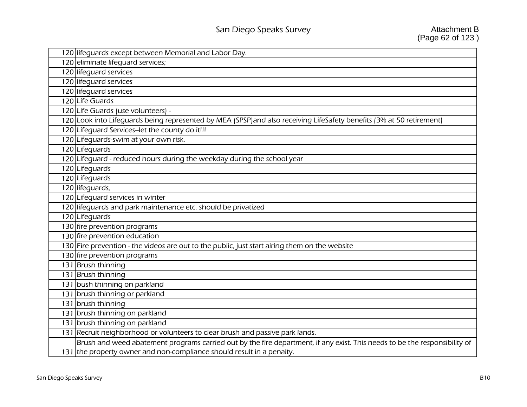|     | 120 lifequards except between Memorial and Labor Day.                                                                      |
|-----|----------------------------------------------------------------------------------------------------------------------------|
|     | 120 eliminate lifequard services;                                                                                          |
|     | 120 lifequard services                                                                                                     |
|     | 120 lifeguard services                                                                                                     |
|     | 120 lifequard services                                                                                                     |
|     | 120 Life Guards                                                                                                            |
|     | 120 Life Guards (use volunteers) -                                                                                         |
|     | 120 Look into Lifeguards being represented by MEA (SPSP)and also receiving LifeSafety benefits (3% at 50 retirement)       |
|     | 120 Lifequard Services-let the county do it!!!                                                                             |
|     | 120 Lifeguards-swim at your own risk.                                                                                      |
|     | 120 Lifequards                                                                                                             |
|     | 120 Lifequard - reduced hours during the weekday during the school year                                                    |
|     | 120 Lifeguards                                                                                                             |
|     | 120 Lifeguards                                                                                                             |
|     | 120 lifeguards,                                                                                                            |
|     | 120 Lifequard services in winter                                                                                           |
|     | 120 lifequards and park maintenance etc. should be privatized                                                              |
|     | 120 Lifeguards                                                                                                             |
|     | 130 fire prevention programs                                                                                               |
|     | 130 fire prevention education                                                                                              |
|     | 130 Fire prevention - the videos are out to the public, just start airing them on the website                              |
|     | 130 fire prevention programs                                                                                               |
|     | 131 Brush thinning                                                                                                         |
|     | 131 Brush thinning                                                                                                         |
|     | 131 bush thinning on parkland                                                                                              |
|     | 131 brush thinning or parkland                                                                                             |
|     | 131 brush thinning                                                                                                         |
| 131 | brush thinning on parkland                                                                                                 |
|     | 131 brush thinning on parkland                                                                                             |
|     | 131 Recruit neighborhood or volunteers to clear brush and passive park lands.                                              |
|     | Brush and weed abatement programs carried out by the fire department, if any exist. This needs to be the responsibility of |
|     | 131 the property owner and non-compliance should result in a penalty.                                                      |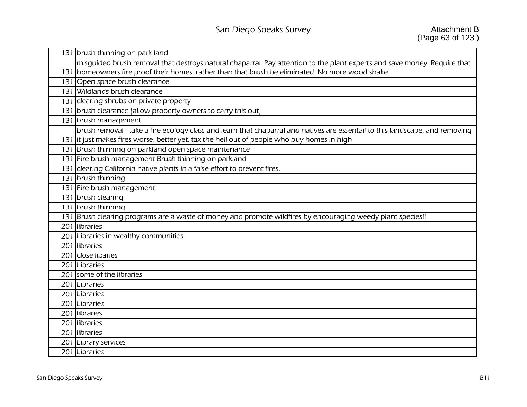|     | 131 brush thinning on park land                                                                                              |
|-----|------------------------------------------------------------------------------------------------------------------------------|
|     | misquided brush removal that destroys natural chaparral. Pay attention to the plant experts and save money. Require that     |
|     | 131 homeowners fire proof their homes, rather than that brush be eliminated. No more wood shake                              |
|     | 131 Open space brush clearance                                                                                               |
|     | 131 Wildlands brush clearance                                                                                                |
|     | 131 clearing shrubs on private property                                                                                      |
|     | 131 brush clearance (allow property owners to carry this out)                                                                |
| 131 | brush management                                                                                                             |
|     | brush removal - take a fire ecology class and learn that chaparral and natives are essentail to this landscape, and removing |
|     | 131 it just makes fires worse. better yet, tax the hell out of people who buy homes in high                                  |
|     | 131 Brush thinning on parkland open space maintenance                                                                        |
|     | 131 Fire brush management Brush thinning on parkland                                                                         |
|     | 131 clearing California native plants in a false effort to prevent fires.                                                    |
| 131 | brush thinning                                                                                                               |
|     | 131 Fire brush management                                                                                                    |
|     | 131 brush clearing                                                                                                           |
| 131 | brush thinning                                                                                                               |
| 131 | Brush clearing programs are a waste of money and promote wildfires by encouraging weedy plant species!!                      |
|     | 201 libraries                                                                                                                |
| 201 | Libraries in wealthy communities                                                                                             |
|     | 201 libraries                                                                                                                |
|     | 201 close libaries                                                                                                           |
|     | 201 Libraries                                                                                                                |
|     | 201 some of the libraries                                                                                                    |
|     | 201 Libraries                                                                                                                |
|     | 201 Libraries                                                                                                                |
|     | 201 Libraries                                                                                                                |
|     | 201 libraries                                                                                                                |
|     | 201 libraries                                                                                                                |
|     | 201 libraries                                                                                                                |
|     | 201 Library services                                                                                                         |
|     | 201 Libraries                                                                                                                |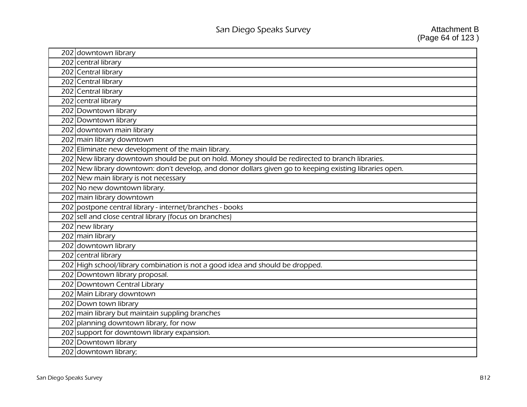| 202 downtown library                                                                                    |
|---------------------------------------------------------------------------------------------------------|
| 202 central library                                                                                     |
| 202 Central library                                                                                     |
| 202 Central library                                                                                     |
| 202 Central library                                                                                     |
| 202 central library                                                                                     |
| 202 Downtown library                                                                                    |
| 202 Downtown library                                                                                    |
| 202 downtown main library                                                                               |
| 202 main library downtown                                                                               |
| 202 Eliminate new development of the main library.                                                      |
| 202 New library downtown should be put on hold. Money should be redirected to branch libraries.         |
| 202 New library downtown: don't develop, and donor dollars given go to keeping existing libraries open. |
| 202 New main library is not necessary                                                                   |
| 202 No new downtown library.                                                                            |
| 202 main library downtown                                                                               |
| 202 postpone central library - internet/branches - books                                                |
| 202 sell and close central library (focus on branches)                                                  |
| 202 new library                                                                                         |
| 202 main library                                                                                        |
| 202 downtown library                                                                                    |
| 202 central library                                                                                     |
| 202 High school/library combination is not a good idea and should be dropped.                           |
| 202 Downtown library proposal.                                                                          |
| 202 Downtown Central Library                                                                            |
| 202 Main Library downtown                                                                               |
| 202 Down town library                                                                                   |
| 202 main library but maintain suppling branches                                                         |
| 202 planning downtown library, for now                                                                  |
| 202 support for downtown library expansion.                                                             |
| 202 Downtown library                                                                                    |
| $\overline{202}$ downtown library;                                                                      |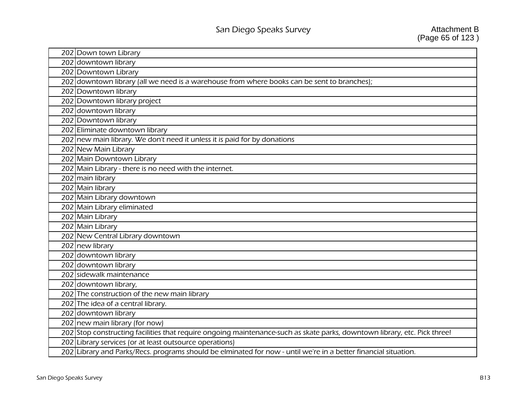| 202 Down town Library                                                                                                     |
|---------------------------------------------------------------------------------------------------------------------------|
| 202 downtown library                                                                                                      |
| 202 Downtown Library                                                                                                      |
| 202 downtown library (all we need is a warehouse from where books can be sent to branches);                               |
| 202 Downtown library                                                                                                      |
| 202 Downtown library project                                                                                              |
| 202 downtown library                                                                                                      |
| 202 Downtown library                                                                                                      |
| 202 Eliminate downtown library                                                                                            |
| $202$ new main library. We don't need it unless it is paid for by donations                                               |
| 202 New Main Library                                                                                                      |
| 202 Main Downtown Library                                                                                                 |
| 202 Main Library - there is no need with the internet.                                                                    |
| 202 main library                                                                                                          |
| 202 Main library                                                                                                          |
| 202 Main Library downtown                                                                                                 |
| 202 Main Library eliminated                                                                                               |
| 202 Main Library                                                                                                          |
| 202 Main Library                                                                                                          |
| 202 New Central Library downtown                                                                                          |
| 202 new library                                                                                                           |
| 202 downtown library                                                                                                      |
| 202 downtown library                                                                                                      |
| 202 sidewalk maintenance                                                                                                  |
| 202 downtown library,                                                                                                     |
| 202 The construction of the new main library                                                                              |
| 202 The idea of a central library.                                                                                        |
| $\overline{20}$ 2 downtown library                                                                                        |
| 202 new main library (for now)                                                                                            |
| 202 Stop constructing facilities that require ongoing maintenance-such as skate parks, downtown library, etc. Pick three! |
| 202 Library services (or at least outsource operations)                                                                   |
| 202 Library and Parks/Recs. programs should be elminated for now - until we're in a better financial situation.           |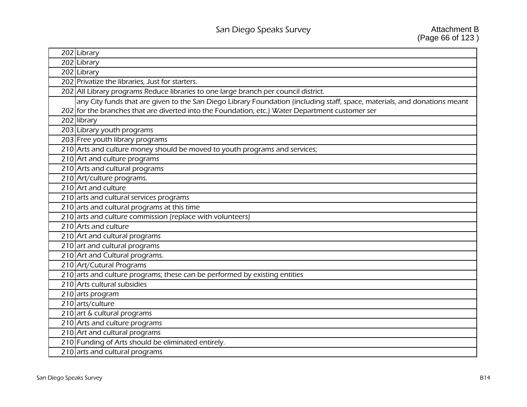| 202 Library                                                                                                               |
|---------------------------------------------------------------------------------------------------------------------------|
| 202 Library                                                                                                               |
| 202 Library                                                                                                               |
| 202 Privatize the libraries, Just for starters.                                                                           |
| 202 All Library programs Reduce libraries to one large branch per council district.                                       |
| any City funds that are given to the San Diego Library Foundation (including staff, space, materials, and donations meant |
| 202 for the branches that are diverted into the Foundation, etc.) Water Department customer ser                           |
| 202 library                                                                                                               |
| 203 Library youth programs                                                                                                |
| 203 Free youth library programs                                                                                           |
| 210 Arts and culture money should be moved to youth programs and services;                                                |
| 210 Art and culture programs                                                                                              |
| 210 Arts and cultural programs                                                                                            |
| 210 Art/culture programs.                                                                                                 |
| 210 Art and culture                                                                                                       |
| 210 arts and cultural services programs                                                                                   |
| 210 arts and cultural programs at this time                                                                               |
| 210 arts and culture commission (replace with volunteers)                                                                 |
| 210 Arts and culture                                                                                                      |
| 210 Art and cultural programs                                                                                             |
| 210 art and cultural programs                                                                                             |
| 210 Art and Cultural programs.                                                                                            |
| 210 Art/Cutural Programs                                                                                                  |
| 210 arts and culture programs; these can be performed by existing entities                                                |
| 210 Arts cultural subsidies                                                                                               |
| $\overline{210}$ arts program                                                                                             |
| 210 arts/culture                                                                                                          |
| 210 art & cultural programs                                                                                               |
| 210 Arts and culture programs                                                                                             |
| 210 Art and cultural programs                                                                                             |
| 210 Funding of Arts should be eliminated entirely.                                                                        |
| 210 arts and cultural programs                                                                                            |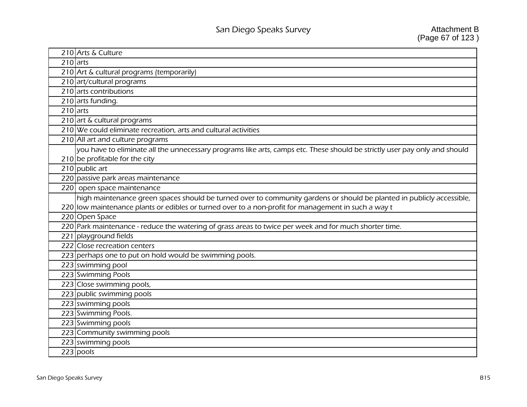|            | 210 Arts & Culture                                                                                                         |
|------------|----------------------------------------------------------------------------------------------------------------------------|
| $210$ arts |                                                                                                                            |
|            | 210 Art & cultural programs (temporarily)                                                                                  |
|            | 210 art/cultural programs                                                                                                  |
|            | 210 arts contributions                                                                                                     |
|            | 210 arts funding.                                                                                                          |
| $210$ arts |                                                                                                                            |
|            | $210$ art & cultural programs                                                                                              |
|            | 210 We could eliminate recreation, arts and cultural activities                                                            |
|            | 210 All art and culture programs                                                                                           |
|            | you have to eliminate all the unnecessary programs like arts, camps etc. These should be strictly user pay only and should |
|            | 210 be profitable for the city                                                                                             |
|            | $210$ public art                                                                                                           |
|            | 220 passive park areas maintenance                                                                                         |
|            | 220 open space maintenance                                                                                                 |
|            | high maintenance green spaces should be turned over to community gardens or should be planted in publicly accessible,      |
|            | 220 low maintenance plants or edibles or turned over to a non-profit for management in such a way t                        |
|            | 220 Open Space                                                                                                             |
|            | 220 Park maintenance - reduce the watering of grass areas to twice per week and for much shorter time.                     |
|            | 221 playground fields                                                                                                      |
|            | 222 Close recreation centers                                                                                               |
|            | 223 perhaps one to put on hold would be swimming pools.                                                                    |
|            | 223 swimming pool                                                                                                          |
|            | 223 Swimming Pools                                                                                                         |
|            | 223 Close swimming pools,                                                                                                  |
|            | 223 public swimming pools                                                                                                  |
|            | 223 swimming pools                                                                                                         |
|            | 223 Swimming Pools.                                                                                                        |
|            | 223 Swimming pools                                                                                                         |
|            | 223 Community swimming pools                                                                                               |
|            | 223 swimming pools                                                                                                         |
|            | 223 pools                                                                                                                  |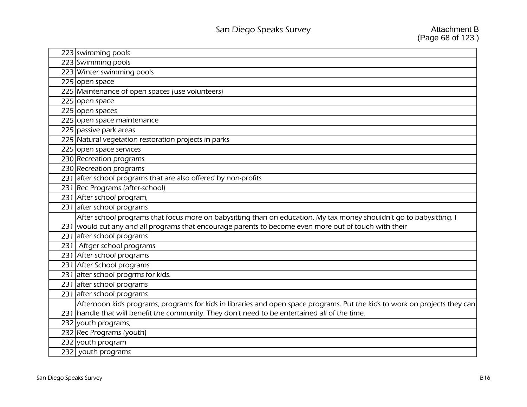| 223 swimming pools                                                                                                         |
|----------------------------------------------------------------------------------------------------------------------------|
| 223 Swimming pools                                                                                                         |
| 223 Winter swimming pools                                                                                                  |
| 225 open space                                                                                                             |
| 225 Maintenance of open spaces (use volunteers)                                                                            |
| 225 open space                                                                                                             |
| $\overline{225}$ open spaces                                                                                               |
| 225 open space maintenance                                                                                                 |
| 225 passive park areas                                                                                                     |
| 225 Natural vegetation restoration projects in parks                                                                       |
| 225 open space services                                                                                                    |
| 230 Recreation programs                                                                                                    |
| 230 Recreation programs                                                                                                    |
| 231 after school programs that are also offered by non-profits                                                             |
| 231 Rec Programs (after-school)                                                                                            |
| 231 After school program,                                                                                                  |
| 231 after school programs                                                                                                  |
| After school programs that focus more on babysitting than on education. My tax money shouldn't go to babysitting. I        |
| 231 would cut any and all programs that encourage parents to become even more out of touch with their                      |
| 231 after school programs                                                                                                  |
| 231 Aftger school programs                                                                                                 |
| 231 After school programs                                                                                                  |
| 231 After School programs                                                                                                  |
| 231 after school progrms for kids.                                                                                         |
| 231 after school programs                                                                                                  |
| 231 after school programs                                                                                                  |
| Afternoon kids programs, programs for kids in libraries and open space programs. Put the kids to work on projects they can |
| 231 handle that will benefit the community. They don't need to be entertained all of the time.                             |
| 232 youth programs;                                                                                                        |
| 232 Rec Programs (youth)                                                                                                   |
| 232 youth program                                                                                                          |
| 232 youth programs                                                                                                         |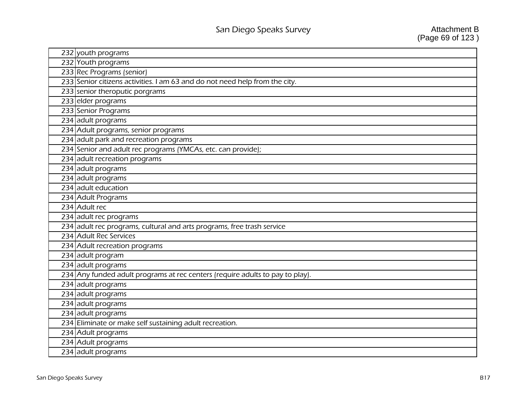| 232 youth programs<br>232 Youth programs<br>233 Rec Programs (senior)         |  |
|-------------------------------------------------------------------------------|--|
|                                                                               |  |
|                                                                               |  |
|                                                                               |  |
| 233 Senior citizens activities. I am 63 and do not need help from the city.   |  |
| 233 senior theroputic porgrams                                                |  |
| 233 elder programs                                                            |  |
| 233 Senior Programs                                                           |  |
| 234 adult programs                                                            |  |
| 234 Adult programs, senior programs                                           |  |
| 234 adult park and recreation programs                                        |  |
| 234 Senior and adult rec programs (YMCAs, etc. can provide);                  |  |
| 234 adult recreation programs                                                 |  |
|                                                                               |  |
| 234 adult programs                                                            |  |
| 234 adult programs                                                            |  |
| 234 adult education                                                           |  |
| 234 Adult Programs                                                            |  |
| 234 Adult rec                                                                 |  |
| 234 adult rec programs                                                        |  |
| 234 adult rec programs, cultural and arts programs, free trash service        |  |
| 234 Adult Rec Services                                                        |  |
| 234 Adult recreation programs                                                 |  |
| 234 adult program                                                             |  |
| 234 adult programs                                                            |  |
| 234 Any funded adult programs at rec centers (require adults to pay to play). |  |
| 234 adult programs                                                            |  |
| 234 adult programs                                                            |  |
| 234 adult programs                                                            |  |
| 234 adult programs                                                            |  |
| 234 Eliminate or make self sustaining adult recreation.                       |  |
| 234 Adult programs                                                            |  |
| 234 Adult programs                                                            |  |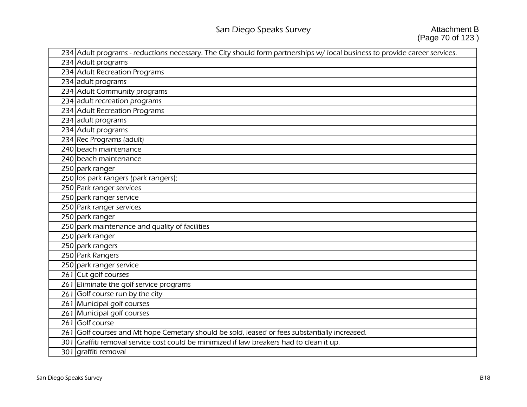|     | 234 Adult programs - reductions necessary. The City should form partnerships w/local business to provide career services. |
|-----|---------------------------------------------------------------------------------------------------------------------------|
|     | 234 Adult programs                                                                                                        |
|     | 234 Adult Recreation Programs                                                                                             |
|     | 234 adult programs                                                                                                        |
|     | 234 Adult Community programs                                                                                              |
|     | 234 adult recreation programs                                                                                             |
|     | 234 Adult Recreation Programs                                                                                             |
|     | 234 adult programs                                                                                                        |
|     | 234 Adult programs                                                                                                        |
|     | 234 Rec Programs (adult)                                                                                                  |
|     | 240 beach maintenance                                                                                                     |
|     | 240 beach maintenance                                                                                                     |
|     | 250 park ranger                                                                                                           |
|     | 250 los park rangers (park rangers);                                                                                      |
|     | 250 Park ranger services                                                                                                  |
|     | 250 park ranger service                                                                                                   |
|     | 250 Park ranger services                                                                                                  |
|     | 250 park ranger                                                                                                           |
|     | 250 park maintenance and quality of facilities                                                                            |
|     | 250 park ranger                                                                                                           |
|     | 250 park rangers                                                                                                          |
|     | 250 Park Rangers                                                                                                          |
|     | 250 park ranger service                                                                                                   |
|     | 261 Cut golf courses                                                                                                      |
|     | 261 Eliminate the golf service programs                                                                                   |
|     | 261 Golf course run by the city                                                                                           |
|     | 261 Municipal golf courses                                                                                                |
| 261 | Municipal golf courses                                                                                                    |
| 261 | Golf course                                                                                                               |
| 261 | Golf courses and Mt hope Cemetary should be sold, leased or fees substantially increased.                                 |
| 301 | Graffiti removal service cost could be minimized if law breakers had to clean it up.                                      |
|     | 301 graffiti removal                                                                                                      |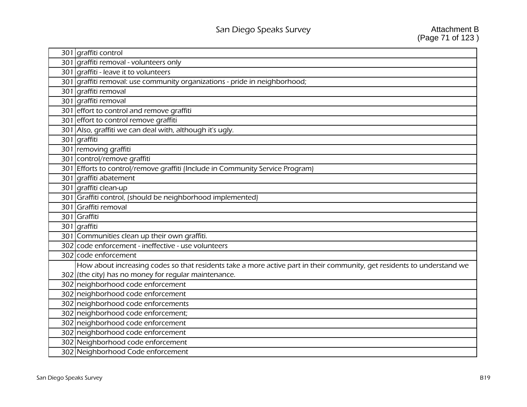| 301 graffiti control                                                                                                    |
|-------------------------------------------------------------------------------------------------------------------------|
| 301 graffiti removal - volunteers only                                                                                  |
| 301 graffiti - leave it to volunteers                                                                                   |
| 301 graffiti removal: use community organizations - pride in neighborhood;                                              |
| 301 graffiti removal                                                                                                    |
| 301 graffiti removal                                                                                                    |
| 301 effort to control and remove graffiti                                                                               |
| 301 effort to control remove graffiti                                                                                   |
| 301 Also, graffiti we can deal with, although it's ugly.                                                                |
| 301 graffiti                                                                                                            |
| 301 removing graffiti                                                                                                   |
| 301 control/remove graffiti                                                                                             |
| 301 Efforts to control/remove graffiti (Include in Community Service Program)                                           |
| 301 graffiti abatement                                                                                                  |
| 301 graffiti clean-up                                                                                                   |
| 301 Graffiti control, (should be neighborhood implemented)                                                              |
| 301 Graffiti removal                                                                                                    |
| 301 Graffiti                                                                                                            |
| 301 graffiti                                                                                                            |
| 301 Communities clean up their own graffiti.                                                                            |
| 302 code enforcement - ineffective - use volunteers                                                                     |
| 302 code enforcement                                                                                                    |
| How about increasing codes so that residents take a more active part in their community, get residents to understand we |
| 302 (the city) has no money for regular maintenance.                                                                    |
| 302 neighborhood code enforcement                                                                                       |
| 302 neighborhood code enforcement                                                                                       |
| 302 neighborhood code enforcements                                                                                      |
| 302 neighborhood code enforcement;                                                                                      |
| 302 neighborhood code enforcement                                                                                       |
| 302 neighborhood code enforcement                                                                                       |
| 302 Neighborhood code enforcement                                                                                       |
| 302 Neighborhood Code enforcement                                                                                       |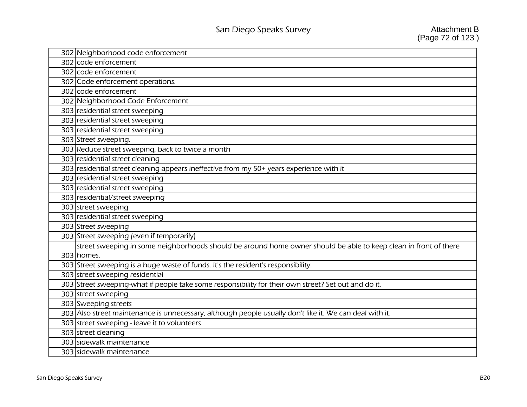| 302 Neighborhood code enforcement                                                                                |
|------------------------------------------------------------------------------------------------------------------|
| 302 code enforcement                                                                                             |
| 302 code enforcement                                                                                             |
| 302 Code enforcement operations.                                                                                 |
| 302 code enforcement                                                                                             |
| 302 Neighborhood Code Enforcement                                                                                |
| 303 residential street sweeping                                                                                  |
| 303 residential street sweeping                                                                                  |
| 303 residential street sweeping                                                                                  |
| 303 Street sweeping.                                                                                             |
| 303 Reduce street sweeping, back to twice a month                                                                |
| 303 residential street cleaning                                                                                  |
| 303 residential street cleaning appears ineffective from my 50+ years experience with it                         |
| 303 residential street sweeping                                                                                  |
| 303 residential street sweeping                                                                                  |
| 303 residential/street sweeping                                                                                  |
| 303 street sweeping                                                                                              |
| 303 residential street sweeping                                                                                  |
| 303 Street sweeping                                                                                              |
| 303 Street sweeping (even if temporarily)                                                                        |
| street sweeping in some neighborhoods should be around home owner should be able to keep clean in front of there |
| 303 homes.                                                                                                       |
| 303 Street sweeping is a huge waste of funds. It's the resident's responsibility.                                |
| 303 street sweeping residential                                                                                  |
| 303 Street sweeping-what if people take some responsibility for their own street? Set out and do it.             |
| 303 street sweeping                                                                                              |
| 303 Sweeping streets                                                                                             |
| 303 Also street maintenance is unnecessary, although people usually don't like it. We can deal with it.          |
| 303 street sweeping - leave it to volunteers                                                                     |
| 303 street cleaning                                                                                              |
| 303 sidewalk maintenance                                                                                         |
| 303 sidewalk maintenance                                                                                         |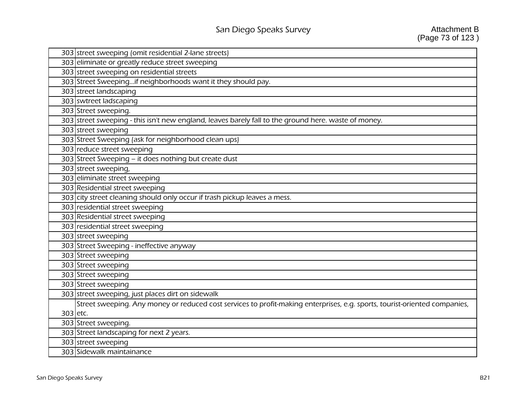|          | 303 street sweeping (omit residential 2-lane streets)                                                                      |
|----------|----------------------------------------------------------------------------------------------------------------------------|
|          | 303 eliminate or greatly reduce street sweeping                                                                            |
|          | 303 street sweeping on residential streets                                                                                 |
|          | 303 Street Sweepingif neighborhoods want it they should pay.                                                               |
|          | 303 street landscaping                                                                                                     |
|          | 303 swtreet ladscaping                                                                                                     |
|          | 303 Street sweeping.                                                                                                       |
|          | 303 street sweeping - this isn't new england, leaves barely fall to the ground here. waste of money.                       |
|          | 303 street sweeping                                                                                                        |
|          | 303 Street Sweeping (ask for neighborhood clean ups)                                                                       |
|          | 303 reduce street sweeping                                                                                                 |
|          | 303 Street Sweeping – it does nothing but create dust                                                                      |
|          | 303 street sweeping,                                                                                                       |
|          | 303 eliminate street sweeping                                                                                              |
|          | 303 Residential street sweeping                                                                                            |
|          | 303 city street cleaning should only occur if trash pickup leaves a mess.                                                  |
|          | 303 residential street sweeping                                                                                            |
|          | 303 Residential street sweeping                                                                                            |
|          | 303 residential street sweeping                                                                                            |
|          | 303 street sweeping                                                                                                        |
|          | 303 Street Sweeping - ineffective anyway                                                                                   |
|          | 303 Street sweeping                                                                                                        |
|          | 303 Street sweeping                                                                                                        |
|          | 303 Street sweeping                                                                                                        |
|          | 303 Street sweeping                                                                                                        |
|          | 303 street sweeping, just places dirt on sidewalk                                                                          |
|          | Street sweeping. Any money or reduced cost services to profit-making enterprises, e.g. sports, tourist-oriented companies, |
| 303 etc. |                                                                                                                            |
|          | 303 Street sweeping.                                                                                                       |
|          | 303 Street landscaping for next 2 years.                                                                                   |
|          | 303 street sweeping                                                                                                        |
|          | 303 Sidewalk maintainance                                                                                                  |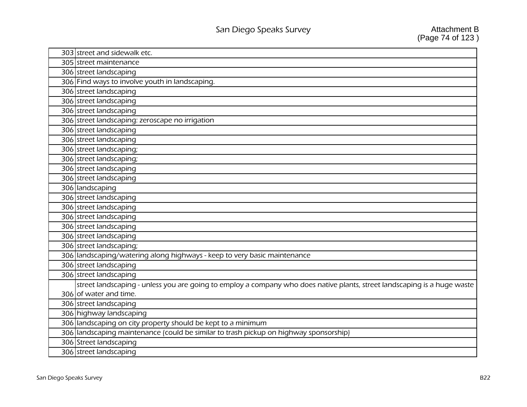| 303 street and sidewalk etc.                                                                                             |
|--------------------------------------------------------------------------------------------------------------------------|
| 305 street maintenance                                                                                                   |
| 306 street landscaping                                                                                                   |
| 306 Find ways to involve youth in landscaping.                                                                           |
| 306 street landscaping                                                                                                   |
| 306 street landscaping                                                                                                   |
| 306 street landscaping                                                                                                   |
| 306 street landscaping: zeroscape no irrigation                                                                          |
| 306 street landscaping                                                                                                   |
| 306 street landscaping                                                                                                   |
| 306 street landscaping;                                                                                                  |
| 306 street landscaping;                                                                                                  |
| 306 street landscaping                                                                                                   |
| 306 street landscaping                                                                                                   |
| 306 landscaping                                                                                                          |
| 306 street landscaping                                                                                                   |
| 306 street landscaping                                                                                                   |
| 306 street landscaping                                                                                                   |
| 306 street landscaping                                                                                                   |
| 306 street landscaping                                                                                                   |
| 306 street landscaping;                                                                                                  |
| 306 landscaping/watering along highways - keep to very basic maintenance                                                 |
| 306 street landscaping                                                                                                   |
| 306 street landscaping                                                                                                   |
| street landscaping - unless you are going to employ a company who does native plants, street landscaping is a huge waste |
| 306 of water and time.                                                                                                   |
| 306 street landscaping                                                                                                   |
| 306 highway landscaping                                                                                                  |
| 306 landscaping on city property should be kept to a minimum                                                             |
| 306 landscaping maintenance (could be similar to trash pickup on highway sponsorship)                                    |
| 306 Street landscaping                                                                                                   |
| 306 street landscaping                                                                                                   |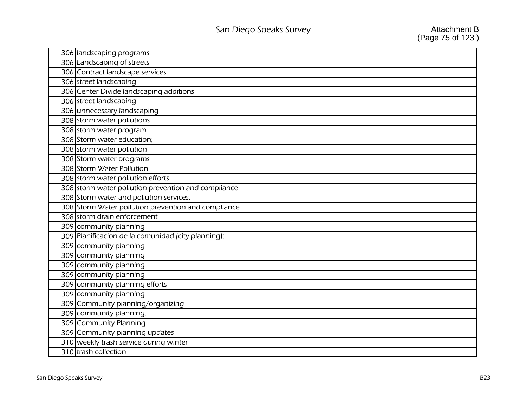| 306 landscaping programs                            |
|-----------------------------------------------------|
| 306 Landscaping of streets                          |
| 306 Contract landscape services                     |
| 306 street landscaping                              |
| 306 Center Divide landscaping additions             |
| 306 street landscaping                              |
| 306 unnecessary landscaping                         |
| 308 storm water pollutions                          |
| 308 storm water program                             |
| 308 Storm water education;                          |
| 308 storm water pollution                           |
| 308 Storm water programs                            |
| 308 Storm Water Pollution                           |
| 308 storm water pollution efforts                   |
| 308 storm water pollution prevention and compliance |
| 308 Storm water and pollution services,             |
| 308 Storm Water pollution prevention and compliance |
| 308 storm drain enforcement                         |
| 309 community planning                              |
| 309 Planificacion de la comunidad (city planning);  |
| 309 community planning                              |
| 309 community planning                              |
| 309 community planning                              |
| 309 community planning                              |
| 309 community planning efforts                      |
| 309 community planning                              |
| 309 Community planning/organizing                   |
| 309 community planning,                             |
| 309 Community Planning                              |
| 309 Community planning updates                      |
| 310 weekly trash service during winter              |
| 310 trash collection                                |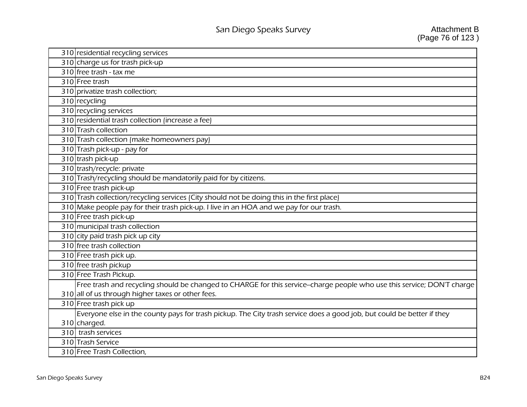| 310 residential recycling services                                                                                     |
|------------------------------------------------------------------------------------------------------------------------|
| 310 charge us for trash pick-up                                                                                        |
| 310 free trash - tax me                                                                                                |
| 310 Free trash                                                                                                         |
| 310 privatize trash collection;                                                                                        |
| 310 recycling                                                                                                          |
| 310 recycling services                                                                                                 |
| 310 residential trash collection (increase a fee)                                                                      |
| 310 Trash collection                                                                                                   |
| 310 Trash collection (make homeowners pay)                                                                             |
| 310 Trash pick-up - pay for                                                                                            |
| 310 trash pick-up                                                                                                      |
| 310 trash/recycle: private                                                                                             |
| 310 Trash/recycling should be mandatorily paid for by citizens.                                                        |
| 310 Free trash pick-up                                                                                                 |
| 310 Trash collection/recycling services (City should not be doing this in the first place)                             |
| 310 Make people pay for their trash pick-up. I live in an HOA and we pay for our trash.                                |
| 310 Free trash pick-up                                                                                                 |
| 310 municipal trash collection                                                                                         |
| 310 city paid trash pick up city                                                                                       |
| 310 free trash collection                                                                                              |
| 310 Free trash pick up.                                                                                                |
| 310 free trash pickup                                                                                                  |
| 310 Free Trash Pickup.                                                                                                 |
| Free trash and recycling should be changed to CHARGE for this service-charge people who use this service; DON'T charge |
| 310 all of us through higher taxes or other fees.                                                                      |
| 310 Free trash pick up                                                                                                 |
| Everyone else in the county pays for trash pickup. The City trash service does a good job, but could be better if they |
| 310 charged.                                                                                                           |
| 310 trash services                                                                                                     |
| 310 Trash Service                                                                                                      |
| 310 Free Trash Collection,                                                                                             |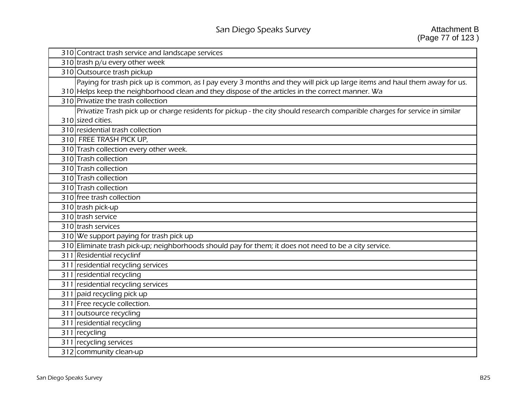|     | 310 Contract trash service and landscape services                                                                                                                                                                            |
|-----|------------------------------------------------------------------------------------------------------------------------------------------------------------------------------------------------------------------------------|
|     | 310 trash p/u every other week                                                                                                                                                                                               |
|     | 310 Outsource trash pickup                                                                                                                                                                                                   |
|     | Paying for trash pick up is common, as I pay every 3 months and they will pick up large items and haul them away for us.<br>310 Helps keep the neighborhood clean and they dispose of the articles in the correct manner. Wa |
|     | 310 Privatize the trash collection                                                                                                                                                                                           |
|     | Privatize Trash pick up or charge residents for pickup - the city should research comparible charges for service in similar                                                                                                  |
|     | 310 sized cities.                                                                                                                                                                                                            |
|     | 310 residential trash collection                                                                                                                                                                                             |
|     | 310 FREE TRASH PICK UP,                                                                                                                                                                                                      |
|     | 310 Trash collection every other week.                                                                                                                                                                                       |
|     | 310 Trash collection                                                                                                                                                                                                         |
|     | 310 Trash collection                                                                                                                                                                                                         |
|     | 310 Trash collection                                                                                                                                                                                                         |
|     | 310 Trash collection                                                                                                                                                                                                         |
|     | 310 free trash collection                                                                                                                                                                                                    |
|     | 310 trash pick-up                                                                                                                                                                                                            |
|     | 310 trash service                                                                                                                                                                                                            |
|     | 310 trash services                                                                                                                                                                                                           |
|     | 310 We support paying for trash pick up                                                                                                                                                                                      |
|     | 310 Eliminate trash pick-up; neighborhoods should pay for them; it does not need to be a city service.                                                                                                                       |
|     | 311 Residential recyclinf                                                                                                                                                                                                    |
|     | 311 residential recycling services                                                                                                                                                                                           |
|     | 311 residential recycling                                                                                                                                                                                                    |
|     | 311 residential recycling services                                                                                                                                                                                           |
|     | 311 paid recycling pick up                                                                                                                                                                                                   |
|     | 311 Free recycle collection.                                                                                                                                                                                                 |
| 311 | outsource recycling                                                                                                                                                                                                          |
|     | 311 residential recycling                                                                                                                                                                                                    |
|     | 311 recycling                                                                                                                                                                                                                |
|     | 311 recycling services                                                                                                                                                                                                       |
|     | 312 community clean-up                                                                                                                                                                                                       |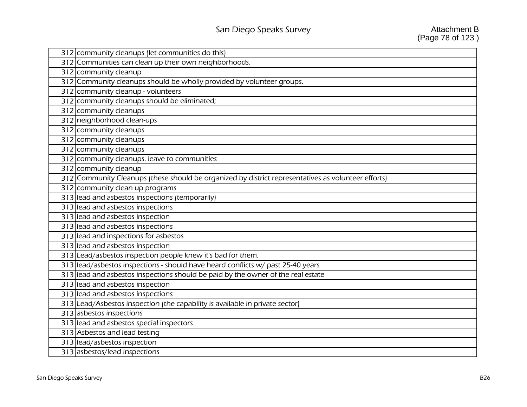| 312 community cleanups (let communities do this)                                                    |
|-----------------------------------------------------------------------------------------------------|
| 312 Communities can clean up their own neighborhoods.                                               |
| 312 community cleanup                                                                               |
| 312 Community cleanups should be wholly provided by volunteer groups.                               |
| 312 community cleanup - volunteers                                                                  |
| 312 community cleanups should be eliminated;                                                        |
| 312 community cleanups                                                                              |
| 312 neighborhood clean-ups                                                                          |
| 312 community cleanups                                                                              |
| 312 community cleanups                                                                              |
| 312 community cleanups                                                                              |
| 312 community cleanups. leave to communities                                                        |
| 312 community cleanup                                                                               |
| 312 Community Cleanups (these should be organized by district representatives as volunteer efforts) |
| 312 community clean up programs                                                                     |
| 313 lead and asbestos inspections (temporarily)                                                     |
| 313 lead and asbestos inspections                                                                   |
| 313 lead and asbestos inspection                                                                    |
| 313 lead and asbestos inspections                                                                   |
| 313 lead and inspections for asbestos                                                               |
| 313 lead and asbestos inspection                                                                    |
| 313 Lead/asbestos inspection people knew it's bad for them.                                         |
| 313 lead/asbestos inspections - should have heard conflicts w/ past 25-40 years                     |
| 313 lead and asbestos inspections should be paid by the owner of the real estate                    |
| 313 lead and asbestos inspection                                                                    |
| 313 lead and asbestos inspections                                                                   |
| 313 Lead/Asbestos inspection (the capability is available in private sector)                        |
| 313 asbestos inspections                                                                            |
| 313 lead and asbestos special inspectors                                                            |
| 313 Asbestos and lead testing                                                                       |
| 313 lead/asbestos inspection                                                                        |
| 313 asbestos/lead inspections                                                                       |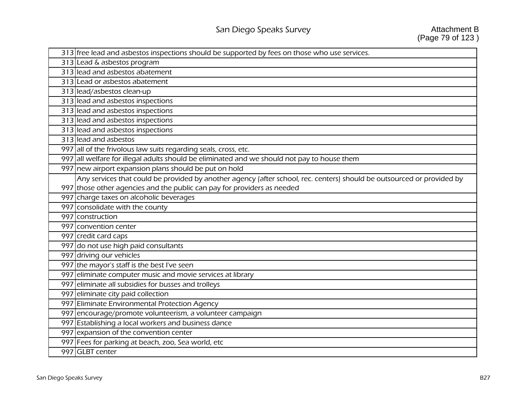## San Diego Speaks Survey

|     | 313 free lead and asbestos inspections should be supported by fees on those who use services.                          |
|-----|------------------------------------------------------------------------------------------------------------------------|
|     | 313 Lead & asbestos program                                                                                            |
|     | 313 lead and asbestos abatement                                                                                        |
|     | 313 Lead or asbestos abatement                                                                                         |
|     | 313 lead/asbestos clean-up                                                                                             |
|     | 313 lead and asbestos inspections                                                                                      |
|     | 313 lead and asbestos inspections                                                                                      |
|     | 313 lead and asbestos inspections                                                                                      |
|     | 313 lead and asbestos inspections                                                                                      |
|     | 313 lead and asbestos                                                                                                  |
|     | 997 all of the frivolous law suits regarding seals, cross, etc.                                                        |
| 997 | all welfare for illegal adults should be eliminated and we should not pay to house them                                |
|     | 997 new airport expansion plans should be put on hold                                                                  |
|     | Any services that could be provided by another agency (after school, rec. centers) should be outsourced or provided by |
|     | 997 those other agencies and the public can pay for providers as needed                                                |
| 997 | charge taxes on alcoholic beverages                                                                                    |
| 997 | consolidate with the county                                                                                            |
| 997 | construction                                                                                                           |
|     | 997 convention center                                                                                                  |
|     | 997 credit card caps                                                                                                   |
| 997 | do not use high paid consultants                                                                                       |
| 997 | driving our vehicles                                                                                                   |
| 997 | the mayor's staff is the best I've seen                                                                                |
| 997 | eliminate computer music and movie services at library                                                                 |
| 997 | eliminate all subsidies for busses and trolleys                                                                        |
| 997 | eliminate city paid collection                                                                                         |
| 997 | Eliminate Environmental Protection Agency                                                                              |
| 997 | encourage/promote volunteerism, a volunteer campaign                                                                   |
| 997 | Establishing a local workers and business dance                                                                        |
| 997 | expansion of the convention center                                                                                     |
|     | 997 Fees for parking at beach, zoo, Sea world, etc                                                                     |
| 997 | <b>GLBT</b> center                                                                                                     |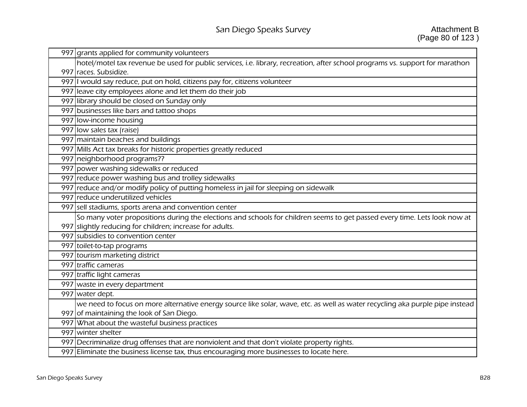|     | 997 grants applied for community volunteers                                                                                   |
|-----|-------------------------------------------------------------------------------------------------------------------------------|
|     | hotel/motel tax revenue be used for public services, i.e. library, recreation, after school programs vs. support for marathon |
|     | 997 races. Subsidize.                                                                                                         |
|     | 997  I would say reduce, put on hold, citizens pay for, citizens volunteer                                                    |
|     | 997 leave city employees alone and let them do their job                                                                      |
| 997 | library should be closed on Sunday only                                                                                       |
|     | 997 businesses like bars and tattoo shops                                                                                     |
|     | 997 low-income housing                                                                                                        |
|     | 997 low sales tax (raise)                                                                                                     |
|     | 997 maintain beaches and buildings                                                                                            |
|     | 997 Mills Act tax breaks for historic properties greatly reduced                                                              |
|     | 997 neighborhood programs??                                                                                                   |
|     | 997 power washing sidewalks or reduced                                                                                        |
|     | 997 reduce power washing bus and trolley sidewalks                                                                            |
|     | 997 reduce and/or modify policy of putting homeless in jail for sleeping on sidewalk                                          |
|     | 997 reduce underutilized vehicles                                                                                             |
|     | 997 sell stadiums, sports arena and convention center                                                                         |
|     | So many voter propositions during the elections and schools for children seems to get passed every time. Lets look now at     |
|     | 997 slightly reducing for children; increase for adults.                                                                      |
|     | 997 subsidies to convention center                                                                                            |
|     | 997 toilet-to-tap programs                                                                                                    |
| 997 | tourism marketing district                                                                                                    |
|     | 997 traffic cameras                                                                                                           |
|     | 997 traffic light cameras                                                                                                     |
|     | 997 waste in every department                                                                                                 |
|     | 997 water dept.                                                                                                               |
|     | we need to focus on more alternative energy source like solar, wave, etc. as well as water recycling aka purple pipe instead  |
|     | 997 of maintaining the look of San Diego.                                                                                     |
| 997 | What about the wasteful business practices                                                                                    |
|     | 997 winter shelter                                                                                                            |
|     | 997 Decriminalize drug offenses that are nonviolent and that don't violate property rights.                                   |
|     | 997 Eliminate the business license tax, thus encouraging more businesses to locate here.                                      |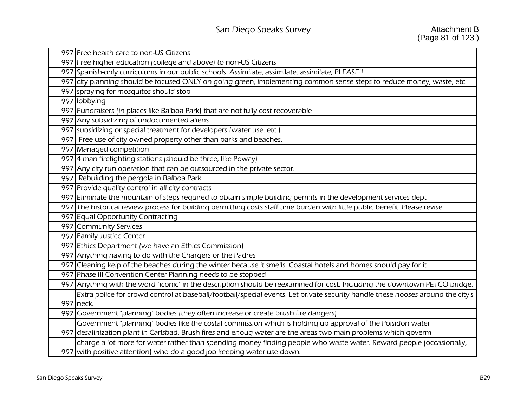|     | 997 Free health care to non-US Citizens                                                                                        |
|-----|--------------------------------------------------------------------------------------------------------------------------------|
|     | 997 Free higher education (college and above) to non-US Citizens                                                               |
|     | 997 Spanish-only curriculums in our public schools. Assimilate, assimilate, assimilate, PLEASE!!                               |
|     | 997 city planning should be focused ONLY on going green, implementing common-sense steps to reduce money, waste, etc.          |
|     | 997 spraying for mosquitos should stop                                                                                         |
|     | 997 lobbying                                                                                                                   |
|     | 997 Fundraisers (in places like Balboa Park) that are not fully cost recoverable                                               |
|     | 997 Any subsidizing of undocumented aliens.                                                                                    |
|     | 997 subsidizing or special treatment for developers (water use, etc.)                                                          |
|     | 997 Free use of city owned property other than parks and beaches.                                                              |
|     | 997 Managed competition                                                                                                        |
|     | 997 4 man firefighting stations (should be three, like Poway)                                                                  |
|     | 997 Any city run operation that can be outsourced in the private sector.                                                       |
|     | 997 Rebuilding the pergola in Balboa Park                                                                                      |
|     | 997 Provide quality control in all city contracts                                                                              |
|     | 997 Eliminate the mountain of steps required to obtain simple building permits in the development services dept                |
|     | 997 The historical review process for building permitting costs staff time burden with little public benefit. Please revise.   |
|     | 997 Equal Opportunity Contracting                                                                                              |
|     | 997 Community Services                                                                                                         |
|     | 997 Family Justice Center                                                                                                      |
|     | 997 Ethics Department (we have an Ethics Commission)                                                                           |
|     | 997 Anything having to do with the Chargers or the Padres                                                                      |
|     | 997 Cleaning kelp of the beaches during the winter because it smells. Coastal hotels and homes should pay for it.              |
|     | 997 Phase III Convention Center Planning needs to be stopped                                                                   |
|     | 997 Anything with the word "iconic" in the description should be reexamined for cost. Including the downtown PETCO bridge.     |
|     | Extra police for crowd control at baseball/football/special events. Let private security handle these nooses around the city's |
|     | 997 neck.                                                                                                                      |
| 997 | Government "planning" bodies (they often increase or create brush fire dangers).                                               |
|     | Government "planning" bodies like the costal commission which is holding up approval of the Poisidon water                     |
|     | 997 desalinization plant in Carlsbad. Brush fires and enoug water are the areas two main problems which goverm                 |
|     | charge a lot more for water rather than spending money finding people who waste water. Reward people (occasionally,            |
|     | 997 with positive attention) who do a good job keeping water use down.                                                         |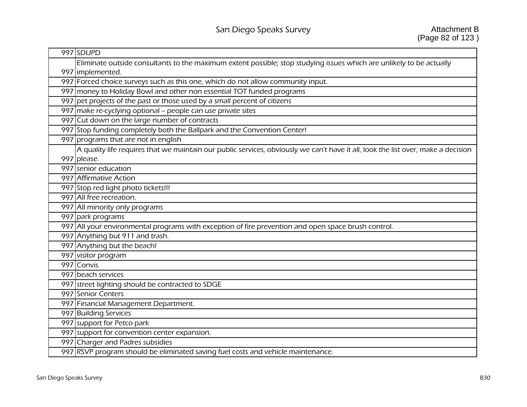|     | 997 SDUPD                                                                                                                         |
|-----|-----------------------------------------------------------------------------------------------------------------------------------|
|     | Eliminate outside consultants to the maximum extent possible; stop studying issues which are unlikely to be actually              |
|     | 997 implemented.                                                                                                                  |
|     | 997 Forced choice surveys such as this one, which do not allow community input.                                                   |
|     | 997 money to Holiday Bowl and other non essential TOT funded programs                                                             |
| 997 | pet projects of the past or those used by a small percent of citizens                                                             |
|     | 997 make re-cyclying optional - people can use private sites                                                                      |
|     | 997 Cut down on the large number of contracts                                                                                     |
|     | 997 Stop funding completely both the Ballpark and the Convention Center!                                                          |
|     | 997 programs that are not in english                                                                                              |
|     | A quality life requires that we maintain our public services, obviously we can't have it all, look the list over, make a decision |
|     | 997 please.                                                                                                                       |
|     | 997 senior education                                                                                                              |
|     | 997 Affirmative Action                                                                                                            |
|     | 997 Stop red light photo tickets!!!                                                                                               |
|     | 997 All free recreation.                                                                                                          |
|     | 997 All minority only programs                                                                                                    |
|     | 997 park programs                                                                                                                 |
|     | 997 All your environmental programs with exception of fire prevention and open space brush control.                               |
|     | 997 Anything but 911 and trash.                                                                                                   |
|     | 997 Anything but the beach!                                                                                                       |
| 997 | visitor program                                                                                                                   |
|     | 997 Convis                                                                                                                        |
|     | 997 beach services                                                                                                                |
|     | 997 street lighting should be contracted to SDGE                                                                                  |
|     | 997 Senior Centers                                                                                                                |
|     | 997 Financial Management Department.                                                                                              |
|     | 997 Building Services                                                                                                             |
|     | 997 support for Petco park                                                                                                        |
|     | 997 support for convention center expansion.                                                                                      |
|     | 997 Charger and Padres subsidies                                                                                                  |
|     | 997 RSVP program should be eliminated saving fuel costs and vehicle maintenance.                                                  |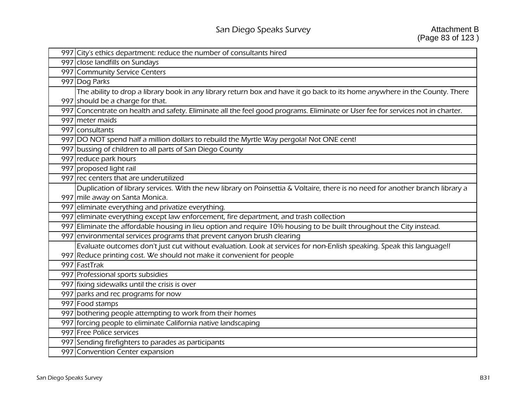|     | 997 City's ethics department: reduce the number of consultants hired                                                           |
|-----|--------------------------------------------------------------------------------------------------------------------------------|
|     | 997 close landfills on Sundays                                                                                                 |
|     | 997 Community Service Centers                                                                                                  |
|     | 997 Dog Parks                                                                                                                  |
|     | The ability to drop a library book in any library return box and have it go back to its home anywhere in the County. There     |
|     | 997 should be a charge for that.                                                                                               |
|     | 997 Concentrate on health and safety. Eliminate all the feel good programs. Eliminate or User fee for services not in charter. |
|     | 997 meter maids                                                                                                                |
|     | 997 consultants                                                                                                                |
|     | 997 DO NOT spend half a million dollars to rebuild the Myrtle Way pergola! Not ONE cent!                                       |
| 997 | bussing of children to all parts of San Diego County                                                                           |
|     | 997 reduce park hours                                                                                                          |
|     | 997 proposed light rail                                                                                                        |
|     | 997 rec centers that are underutilized                                                                                         |
|     | Duplication of library services. With the new library on Poinsettia & Voltaire, there is no need for another branch library a  |
|     | 997 mile away on Santa Monica.                                                                                                 |
| 997 | eliminate everything and privatize everything.                                                                                 |
|     | 997 eliminate everything except law enforcement, fire department, and trash collection                                         |
|     | 997 Eliminate the affordable housing in lieu option and require 10% housing to be built throughout the City instead.           |
| 997 | environmental services programs that prevent canyon brush clearing                                                             |
|     | Evaluate outcomes don't just cut without evaluation. Look at services for non-Enlish speaking. Speak this language!!           |
|     | 997 Reduce printing cost. We should not make it convenient for people                                                          |
|     | 997 FastTrak                                                                                                                   |
|     | 997 Professional sports subsidies                                                                                              |
|     | 997 fixing sidewalks until the crisis is over                                                                                  |
|     | 997 parks and rec programs for now                                                                                             |
|     | 997 Food stamps                                                                                                                |
|     | 997 bothering people attempting to work from their homes                                                                       |
|     | 997 forcing people to eliminate California native landscaping                                                                  |
|     | 997 Free Police services                                                                                                       |
|     | 997 Sending firefighters to parades as participants                                                                            |
|     | 997 Convention Center expansion                                                                                                |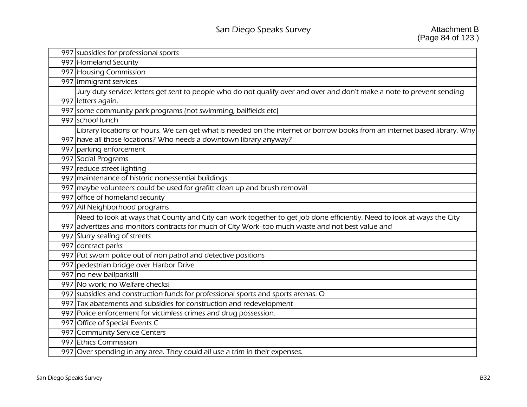|     | 997 subsidies for professional sports                                                                                     |
|-----|---------------------------------------------------------------------------------------------------------------------------|
|     | 997 Homeland Security                                                                                                     |
|     | 997 Housing Commission                                                                                                    |
|     | 997 Immigrant services                                                                                                    |
|     | Jury duty service: letters get sent to people who do not qualify over and over and don't make a note to prevent sending   |
|     | 997 letters again.                                                                                                        |
|     | 997 some community park programs (not swimming, ballfields etc)                                                           |
|     | 997 school lunch                                                                                                          |
|     | Library locations or hours. We can get what is needed on the internet or borrow books from an internet based library. Why |
|     | 997 have all those locations? Who needs a downtown library anyway?                                                        |
|     | 997 parking enforcement                                                                                                   |
|     | 997 Social Programs                                                                                                       |
|     | 997 reduce street lighting                                                                                                |
|     | 997 maintenance of historic nonessential buildings                                                                        |
|     | 997 maybe volunteers could be used for grafitt clean up and brush removal                                                 |
|     | 997 office of homeland security                                                                                           |
|     | 997 All Neighborhood programs                                                                                             |
|     | Need to look at ways that County and City can work together to get job done efficiently. Need to look at ways the City    |
|     | 997 advertizes and monitors contracts for much of City Work-too much waste and not best value and                         |
|     | 997 Slurry sealing of streets                                                                                             |
|     | 997 contract parks                                                                                                        |
|     | 997 Put sworn police out of non patrol and detective positions                                                            |
|     | 997 pedestrian bridge over Harbor Drive                                                                                   |
|     | 997 no new ballparks!!!                                                                                                   |
|     | 997 No work; no Welfare checks!                                                                                           |
|     | 997 subsidies and construction funds for professional sports and sports arenas. O                                         |
|     | 997 Tax abatements and subsidies for construction and redevelopment                                                       |
|     | 997 Police enforcement for victimless crimes and drug possession.                                                         |
| 997 | Office of Special Events C                                                                                                |
|     | 997 Community Service Centers                                                                                             |
|     | 997 Ethics Commission                                                                                                     |
|     | 997 Over spending in any area. They could all use a trim in their expenses.                                               |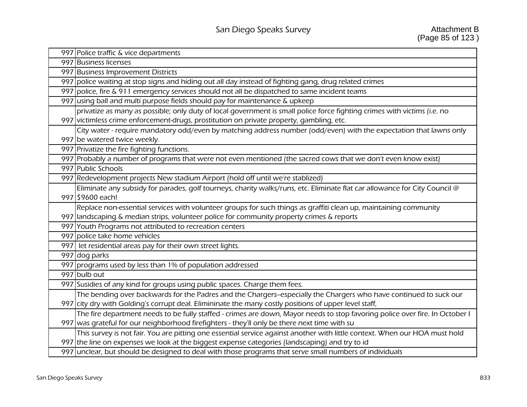| 997 Police traffic & vice departments                                                                                                                                                                                        |
|------------------------------------------------------------------------------------------------------------------------------------------------------------------------------------------------------------------------------|
| 997 Business licenses                                                                                                                                                                                                        |
| 997 Business Improvement Districts                                                                                                                                                                                           |
| 997 police waiting at stop signs and hiding out all day instead of fighting gang, drug related crimes                                                                                                                        |
| 997 police, fire & 911 emergency services should not all be dispatched to same incident teams                                                                                                                                |
| 997 using ball and multi purpose fields should pay for maintenance & upkeep                                                                                                                                                  |
| privatize as many as possible; only duty of local government is small police force fighting crimes with victims (i.e. no<br>997 victimless crime enforcement-drugs, prostitution on private property, gambling, etc.         |
| City water - require mandatory odd/even by matching address number (odd/even) with the expectation that lawns only<br>997 be watered twice weekly.                                                                           |
| 997 Privatize the fire fighting functions.                                                                                                                                                                                   |
| 997 Probably a number of programs that were not even mentioned (the sacred cows that we don't even know exist)                                                                                                               |
| 997 Public Schools                                                                                                                                                                                                           |
| 997 Redevelopment projects New stadium Airport (hold off until we're stablized)                                                                                                                                              |
| Eliminate any subsidy for parades, golf tourneys, charity walks/runs, etc. Eliminate flat car allowance for City Council @<br>997 \$9600 each!                                                                               |
| Replace non-essential services with volunteer groups for such things as graffiti clean up, maintaining community                                                                                                             |
| 997 landscaping & median strips, volunteer police for community property crimes & reports                                                                                                                                    |
| 997 Youth Programs not attributed to recreation centers                                                                                                                                                                      |
| 997 police take home vehicles                                                                                                                                                                                                |
| 997 let residential areas pay for their own street lights.                                                                                                                                                                   |
| 997 dog parks                                                                                                                                                                                                                |
| 997 programs used by less than 1% of population addressed                                                                                                                                                                    |
| 997 bulb out                                                                                                                                                                                                                 |
| 997 Susidies of any kind for groups using public spaces. Charge them fees.                                                                                                                                                   |
| The bending over backwards for the Padres and the Chargers-especially the Chargers who have continued to suck our<br>997 city dry with Golding's corrupt deal. Elimininate the many costly positions of upper level staff,   |
| The fire department needs to be fully staffed - crimes are down, Mayor needs to stop favoring police over fire. In October I<br>997 was grateful for our neighborhood firefighters - they'll only be there next time with su |
| This survey is not fair. You are pitting one essential service against another with little context. When our HOA must hold<br>997 the line on expenses we look at the biggest expense categories (landscaping) and try to id |
| 997 unclear, but should be designed to deal with those programs that serve small numbers of individuals                                                                                                                      |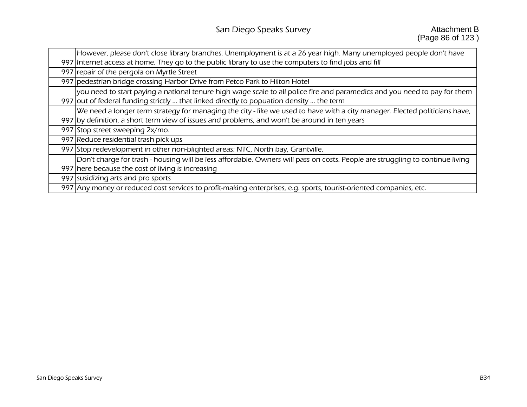| However, please don't close library branches. Unemployment is at a 26 year high. Many unemployed people don't have                                                                                                          |
|-----------------------------------------------------------------------------------------------------------------------------------------------------------------------------------------------------------------------------|
| 997 Internet access at home. They go to the public library to use the computers to find jobs and fill                                                                                                                       |
| 997 repair of the pergola on Myrtle Street                                                                                                                                                                                  |
| 997 pedestrian bridge crossing Harbor Drive from Petco Park to Hilton Hotel                                                                                                                                                 |
| you need to start paying a national tenure high wage scale to all police fire and paramedics and you need to pay for them<br>997 out of federal funding strictly  that linked directly to popuation density  the term       |
| We need a longer term strategy for managing the city - like we used to have with a city manager. Elected politicians have,<br>997 by definition, a short term view of issues and problems, and won't be around in ten years |
| 997 Stop street sweeping 2x/mo.                                                                                                                                                                                             |
| 997 Reduce residential trash pick ups                                                                                                                                                                                       |
| 997 Stop redevelopment in other non-blighted areas: NTC, North bay, Grantville.                                                                                                                                             |
| Don't charge for trash - housing will be less affordable. Owners will pass on costs. People are struggling to continue living<br>997 here because the cost of living is increasing                                          |
| 997 susidizing arts and pro sports                                                                                                                                                                                          |
| 997 Any money or reduced cost services to profit-making enterprises, e.g. sports, tourist-oriented companies, etc.                                                                                                          |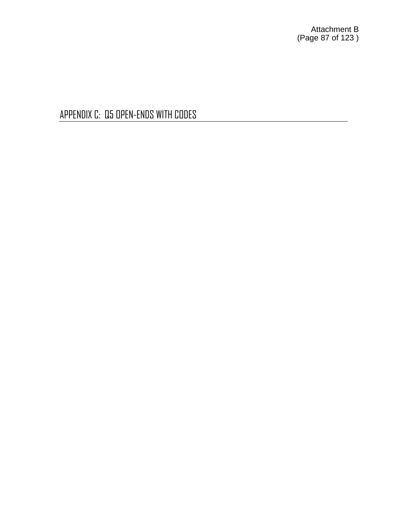APPENDIX C: Q5 OPEN-ENDS WITH CODES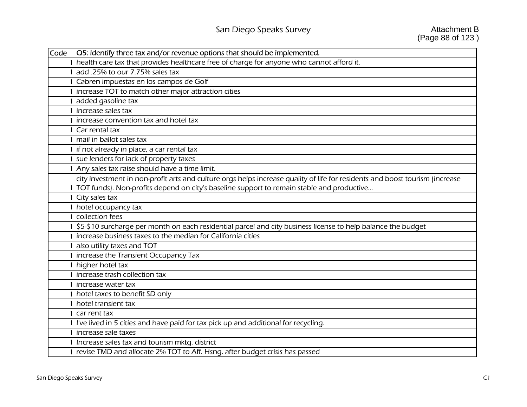| Code | Q5: Identify three tax and/or revenue options that should be implemented.                                                    |
|------|------------------------------------------------------------------------------------------------------------------------------|
|      | health care tax that provides healthcare free of charge for anyone who cannot afford it.                                     |
|      | add .25% to our 7.75% sales tax                                                                                              |
|      | Cabren impuestas en los campos de Golf                                                                                       |
|      | increase TOT to match other major attraction cities                                                                          |
|      | added gasoline tax                                                                                                           |
|      | increase sales tax                                                                                                           |
|      | increase convention tax and hotel tax                                                                                        |
|      | Car rental tax                                                                                                               |
|      | mail in ballot sales tax                                                                                                     |
|      | if not already in place, a car rental tax                                                                                    |
|      | sue lenders for lack of property taxes                                                                                       |
|      | Any sales tax raise should have a time limit.                                                                                |
|      | city investment in non-profit arts and culture orgs helps increase quality of life for residents and boost tourism (increase |
|      | TOT funds). Non-profits depend on city's baseline support to remain stable and productive                                    |
|      | City sales tax                                                                                                               |
|      | hotel occupancy tax                                                                                                          |
|      | collection fees                                                                                                              |
|      | \$5-\$10 surcharge per month on each residential parcel and city business license to help balance the budget                 |
|      | increase business taxes to the median for California cities                                                                  |
|      | also utility taxes and TOT                                                                                                   |
|      | increase the Transient Occupancy Tax                                                                                         |
|      | higher hotel tax                                                                                                             |
|      | increase trash collection tax                                                                                                |
|      | increase water tax                                                                                                           |
|      | hotel taxes to benefit SD only                                                                                               |
|      | hotel transient tax                                                                                                          |
|      | car rent tax                                                                                                                 |
|      | I've lived in 5 cities and have paid for tax pick up and additional for recycling.                                           |
|      | increase sale taxes                                                                                                          |
|      | Increase sales tax and tourism mktg. district                                                                                |
|      | revise TMD and allocate 2% TOT to Aff. Hsng. after budget crisis has passed                                                  |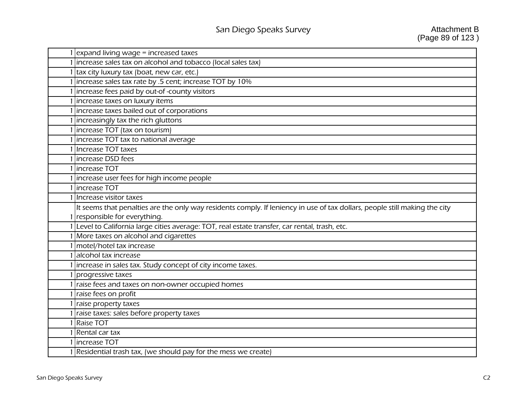| $\alpha$ expand living wage = increased taxes                                                                              |
|----------------------------------------------------------------------------------------------------------------------------|
| increase sales tax on alcohol and tobacco (local sales tax)                                                                |
| tax city luxury tax (boat, new car, etc.)                                                                                  |
| increase sales tax rate by .5 cent; increase TOT by 10%                                                                    |
| increase fees paid by out-of-county visitors                                                                               |
| increase taxes on luxury items                                                                                             |
| increase taxes bailed out of corporations                                                                                  |
| increasingly tax the rich gluttons                                                                                         |
| 1   increase TOT (tax on tourism)                                                                                          |
| increase TOT tax to national average                                                                                       |
| 1 Increase TOT taxes                                                                                                       |
| 1 lincrease DSD fees                                                                                                       |
| increase TOT                                                                                                               |
| 1 increase user fees for high income people                                                                                |
| 1 Increase TOT                                                                                                             |
| Increase visitor taxes                                                                                                     |
| It seems that penalties are the only way residents comply. If leniency in use of tax dollars, people still making the city |
| 1 responsible for everything.                                                                                              |
| Level to California large cities average: TOT, real estate transfer, car rental, trash, etc.                               |
| More taxes on alcohol and cigarettes                                                                                       |
| 1 motel/hotel tax increase                                                                                                 |
| alcohol tax increase                                                                                                       |
| 1 increase in sales tax. Study concept of city income taxes.                                                               |
| 1 progressive taxes                                                                                                        |
|                                                                                                                            |
| raise fees and taxes on non-owner occupied homes                                                                           |
| 1 raise fees on profit                                                                                                     |
| raise property taxes                                                                                                       |
| raise taxes: sales before property taxes                                                                                   |
| 1 Raise TOT                                                                                                                |
| 1 Rental car tax                                                                                                           |
| increase TOT<br>Residential trash tax, (we should pay for the mess we create)                                              |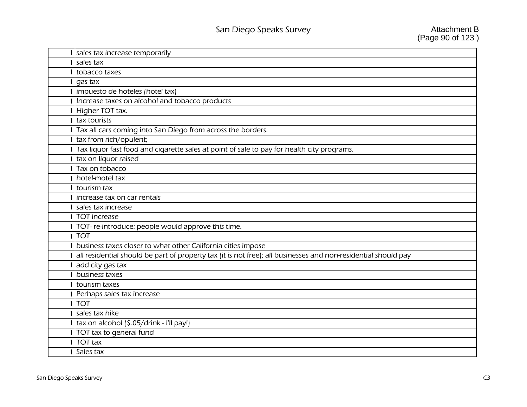| sales tax increase temporarily                                                                                 |
|----------------------------------------------------------------------------------------------------------------|
| sales tax                                                                                                      |
| 1 tobacco taxes                                                                                                |
| gas tax                                                                                                        |
| 1 impuesto de hoteles (hotel tax)                                                                              |
| 1 Increase taxes on alcohol and tobacco products                                                               |
| Higher TOT tax.                                                                                                |
| tax tourists                                                                                                   |
| Tax all cars coming into San Diego from across the borders.                                                    |
| tax from rich/opulent;                                                                                         |
| Tax liquor fast food and cigarette sales at point of sale to pay for health city programs.                     |
| tax on liquor raised                                                                                           |
| Tax on tobacco                                                                                                 |
| hotel-motel tax                                                                                                |
| 1 tourism tax                                                                                                  |
| increase tax on car rentals                                                                                    |
| sales tax increase                                                                                             |
| 11TOT increase                                                                                                 |
| 1 TOT- re-introduce: people would approve this time.                                                           |
| 1 TOT                                                                                                          |
| business taxes closer to what other California cities impose                                                   |
| all residential should be part of property tax (it is not free); all businesses and non-residential should pay |
| 1 add city gas tax                                                                                             |
| business taxes                                                                                                 |
| tourism taxes                                                                                                  |
| Perhaps sales tax increase                                                                                     |
| $1$ $TOT$                                                                                                      |
| sales tax hike                                                                                                 |
| $\sqrt{\text{tax on}}$ alcohol $\frac{5.05}{\text{drink}}$ - I'll pay!)                                        |
| 1 TOT tax to general fund                                                                                      |
| 1 TOT tax                                                                                                      |
| 1 Sales tax                                                                                                    |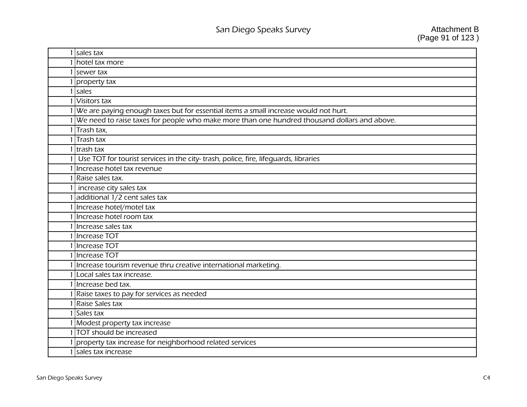| 1 sales tax                                                                                  |
|----------------------------------------------------------------------------------------------|
| hotel tax more                                                                               |
| sewer tax                                                                                    |
| property tax                                                                                 |
| 1 sales                                                                                      |
| <b>Visitors tax</b>                                                                          |
| We are paying enough taxes but for essential items a small increase would not hurt.          |
| We need to raise taxes for people who make more than one hundred thousand dollars and above. |
| Trash tax,                                                                                   |
| Trash tax                                                                                    |
| $1$ trash tax                                                                                |
| Use TOT for tourist services in the city-trash, police, fire, lifeguards, libraries          |
| Increase hotel tax revenue                                                                   |
| Raise sales tax.                                                                             |
| increase city sales tax                                                                      |
| additional 1/2 cent sales tax                                                                |
| 1 Increase hotel/motel tax                                                                   |
| Increase hotel room tax                                                                      |
| Increase sales tax                                                                           |
| 1 Increase TOT                                                                               |
| <b>Increase TOT</b>                                                                          |
| Increase TOT                                                                                 |
| Increase tourism revenue thru creative international marketing.                              |
| Local sales tax increase.                                                                    |
| Increase bed tax.                                                                            |
| Raise taxes to pay for services as needed                                                    |
| Raise Sales tax                                                                              |
| 1 Sales tax                                                                                  |
| 1 Modest property tax increase                                                               |
| 1 TOT should be increased                                                                    |
| property tax increase for neighborhood related services                                      |
| 1 sales tax increase                                                                         |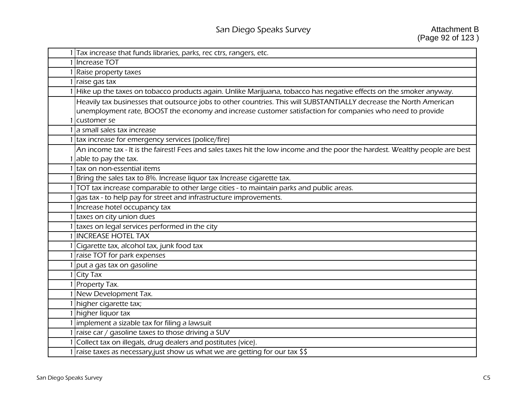| 1 Tax increase that funds libraries, parks, rec ctrs, rangers, etc.                                                          |
|------------------------------------------------------------------------------------------------------------------------------|
| <b>Increase TOT</b>                                                                                                          |
| Raise property taxes                                                                                                         |
| raise gas tax                                                                                                                |
| Hike up the taxes on tobacco products again. Unlike Marijuana, tobacco has negative effects on the smoker anyway.            |
| Heavily tax businesses that outsource jobs to other countries. This will SUBSTANTIALLY decrease the North American           |
| unemployment rate, BOOST the economy and increase customer satisfaction for companies who need to provide                    |
| customer se                                                                                                                  |
| a small sales tax increase                                                                                                   |
| tax increase for emergency services (police/fire)                                                                            |
| An income tax - It is the fairest! Fees and sales taxes hit the low income and the poor the hardest. Wealthy people are best |
| 1 able to pay the tax.                                                                                                       |
| tax on non-essential items                                                                                                   |
| Bring the sales tax to 8%. Increase liquor tax Increase cigarette tax.                                                       |
| TOT tax increase comparable to other large cities - to maintain parks and public areas.                                      |
| gas tax - to help pay for street and infrastructure improvements.                                                            |
| Increase hotel occupancy tax                                                                                                 |
| taxes on city union dues                                                                                                     |
| taxes on legal services performed in the city                                                                                |
| <b>INCREASE HOTEL TAX</b>                                                                                                    |
| Cigarette tax, alcohol tax, junk food tax                                                                                    |
| raise TOT for park expenses                                                                                                  |
| put a gas tax on gasoline                                                                                                    |
| <b>City Tax</b>                                                                                                              |
| Property Tax.                                                                                                                |
| New Development Tax.                                                                                                         |
| higher cigarette tax;                                                                                                        |
| higher liquor tax                                                                                                            |
| implement a sizable tax for filing a lawsuit                                                                                 |
| raise car / gasoline taxes to those driving a SUV                                                                            |
| Collect tax on illegals, drug dealers and postitutes (vice).                                                                 |
| 1 raise taxes as necessary, just show us what we are getting for our tax \$\$                                                |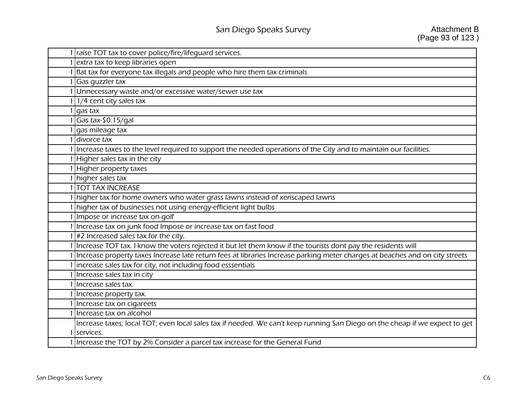| raise TOT tax to cover police/fire/lifeguard services.                                                                       |
|------------------------------------------------------------------------------------------------------------------------------|
| extra tax to keep libraries open                                                                                             |
| flat tax for everyone tax illegals and people who hire them tax criminals                                                    |
| Gas quzzler tax                                                                                                              |
| Unnecessary waste and/or excessive water/sewer use tax                                                                       |
| 1/4 cent city sales tax                                                                                                      |
| gas tax                                                                                                                      |
| Gas tax-\$0.15/gal                                                                                                           |
| gas mileage tax                                                                                                              |
| divorce tax                                                                                                                  |
| Increase taxes to the level required to support the needed operations of the City and to maintain our facilities.            |
| Higher sales tax in the city                                                                                                 |
| Higher property taxes                                                                                                        |
| higher sales tax                                                                                                             |
| <b>TOT TAX INCREASE</b>                                                                                                      |
| higher tax for home owners who water grass lawns instead of xeriscaped lawns                                                 |
| higher tax of businesses not using energy-efficient light bulbs                                                              |
| Impose or increase tax on golf                                                                                               |
| Increase tax on junk food Impose or increase tax on fast food                                                                |
| #2 Increased sales tax for the city.                                                                                         |
| Increase TOT tax. I know the voters rejected it but let them know if the tourists dont pay the residents will                |
| Increase property taxes Increase late return fees at libraries Increase parking meter charges at beaches and on city streets |
| increase sales tax for city, not including food esssentials                                                                  |
| Increase sales tax in city                                                                                                   |
| Increase sales tax.                                                                                                          |
| Increase property tax.                                                                                                       |
| Increase tax on cigareets                                                                                                    |
| Increase tax on alcohol                                                                                                      |
| Increase taxes; local TOT; even local sales tax if needed. We can't keep running San Diego on the cheap if we expect to get  |
| services.                                                                                                                    |
| Increase the TOT by 2% Consider a parcel tax increase for the General Fund                                                   |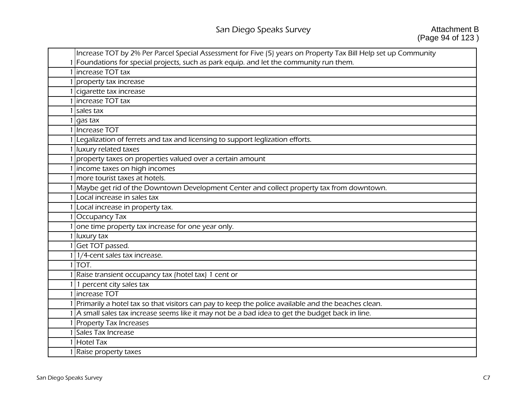| Increase TOT by 2% Per Parcel Special Assessment for Five (5) years on Property Tax Bill Help set up Community |
|----------------------------------------------------------------------------------------------------------------|
| Foundations for special projects, such as park equip. and let the community run them.                          |
| Increase TOT tax                                                                                               |
| property tax increase                                                                                          |
| cigarette tax increase                                                                                         |
| increase TOT tax                                                                                               |
| sales tax                                                                                                      |
| gas tax                                                                                                        |
| 1 Increase TOT                                                                                                 |
| Legalization of ferrets and tax and licensing to support leglization efforts.                                  |
| 1 luxury related taxes                                                                                         |
| property taxes on properties valued over a certain amount                                                      |
| income taxes on high incomes                                                                                   |
| more tourist taxes at hotels.                                                                                  |
| 1 Maybe get rid of the Downtown Development Center and collect property tax from downtown.                     |
| Local increase in sales tax                                                                                    |
| 1 Local increase in property tax.                                                                              |
| Occupancy Tax                                                                                                  |
| one time property tax increase for one year only.                                                              |
| 1 luxury tax                                                                                                   |
| Get TOT passed.                                                                                                |
| 1/4-cent sales tax increase.                                                                                   |
| 1 TOT.                                                                                                         |
| Raise transient occupancy tax (hotel tax) 1 cent or                                                            |
| 1 percent city sales tax                                                                                       |
| 1 Increase TOT                                                                                                 |
| Primarily a hotel tax so that visitors can pay to keep the police available and the beaches clean.             |
| 1 A small sales tax increase seems like it may not be a bad idea to get the budget back in line.               |
| <b>Property Tax Increases</b>                                                                                  |
| Sales Tax Increase                                                                                             |
| 1 Hotel Tax                                                                                                    |
| 1 Raise property taxes                                                                                         |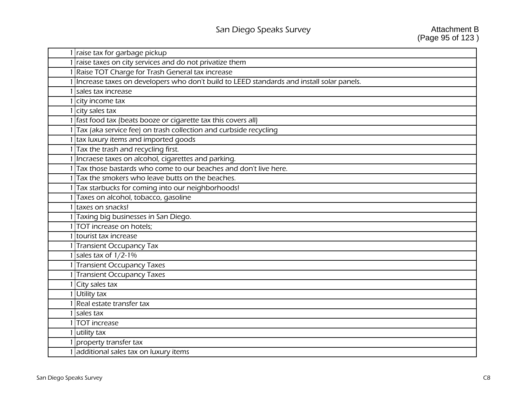| raise tax for garbage pickup                                                             |
|------------------------------------------------------------------------------------------|
| raise taxes on city services and do not privatize them                                   |
| Raise TOT Charge for Trash General tax increase                                          |
| Increase taxes on developers who don't build to LEED standards and install solar panels. |
| sales tax increase                                                                       |
| 1 city income tax                                                                        |
| city sales tax                                                                           |
| fast food tax (beats booze or cigarette tax this covers all)                             |
| Tax (aka service fee) on trash collection and curbside recycling                         |
| tax luxury items and imported goods                                                      |
| Tax the trash and recycling first.                                                       |
| Incraese taxes on alcohol, cigarettes and parking.                                       |
| Tax those bastards who come to our beaches and don't live here.                          |
| Tax the smokers who leave butts on the beaches.                                          |
| Tax starbucks for coming into our neighborhoods!                                         |
| Taxes on alcohol, tobacco, gasoline                                                      |
| taxes on snacks!                                                                         |
| Taxing big businesses in San Diego.                                                      |
| TOT increase on hotels;                                                                  |
| tourist tax increase                                                                     |
| <b>Transient Occupancy Tax</b>                                                           |
| sales tax of 1/2-1%                                                                      |
| <b>Transient Occupancy Taxes</b>                                                         |
| Transient Occupancy Taxes                                                                |
| City sales tax                                                                           |
| <b>Utility tax</b>                                                                       |
| Real estate transfer tax                                                                 |
| sales tax                                                                                |
| <b>TOT</b> increase                                                                      |
| utility tax                                                                              |
| property transfer tax                                                                    |
| additional sales tax on luxury items                                                     |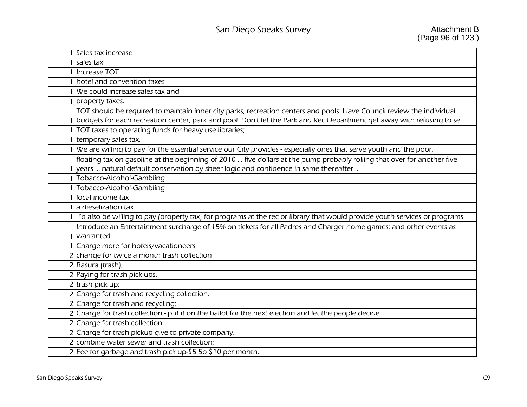| Sales tax increase                                                                                                                                                                                                                             |
|------------------------------------------------------------------------------------------------------------------------------------------------------------------------------------------------------------------------------------------------|
| sales tax                                                                                                                                                                                                                                      |
| <b>Increase TOT</b>                                                                                                                                                                                                                            |
| hotel and convention taxes                                                                                                                                                                                                                     |
| We could increase sales tax and                                                                                                                                                                                                                |
| property taxes.                                                                                                                                                                                                                                |
| TOT should be required to maintain inner city parks, recreation centers and pools. Have Council review the individual<br>budgets for each recreation center, park and pool. Don't let the Park and Rec Department get away with refusing to se |
| TOT taxes to operating funds for heavy use libraries;                                                                                                                                                                                          |
| temporary sales tax.                                                                                                                                                                                                                           |
| We are willing to pay for the essential service our City provides - especially ones that serve youth and the poor.                                                                                                                             |
| floating tax on gasoline at the beginning of 2010  five dollars at the pump probably rolling that over for another five<br>years  natural default conservation by sheer logic and confidence in same thereafter                                |
| Tobacco-Alcohol-Gambling                                                                                                                                                                                                                       |
| Tobacco-Alcohol-Gambling                                                                                                                                                                                                                       |
| local income tax                                                                                                                                                                                                                               |
| a dieselization tax                                                                                                                                                                                                                            |
| I'd also be willing to pay (property tax) for programs at the rec or library that would provide youth services or programs                                                                                                                     |
| Introduce an Entertainment surcharge of 15% on tickets for all Padres and Charger home games; and other events as<br>warranted.                                                                                                                |
| Charge more for hotels/vacationeers                                                                                                                                                                                                            |
| change for twice a month trash collection                                                                                                                                                                                                      |
| 2 Basura (trash),                                                                                                                                                                                                                              |
| Paying for trash pick-ups.                                                                                                                                                                                                                     |
| 2 trash pick-up;                                                                                                                                                                                                                               |
| Charge for trash and recycling collection.                                                                                                                                                                                                     |
| Charge for trash and recycling;                                                                                                                                                                                                                |
| Charge for trash collection - put it on the ballot for the next election and let the people decide.                                                                                                                                            |
| Charge for trash collection.                                                                                                                                                                                                                   |
| Charge for trash pickup-give to private company.                                                                                                                                                                                               |
| combine water sewer and trash collection;                                                                                                                                                                                                      |
| 2 Fee for garbage and trash pick up-\$5 50 \$10 per month.                                                                                                                                                                                     |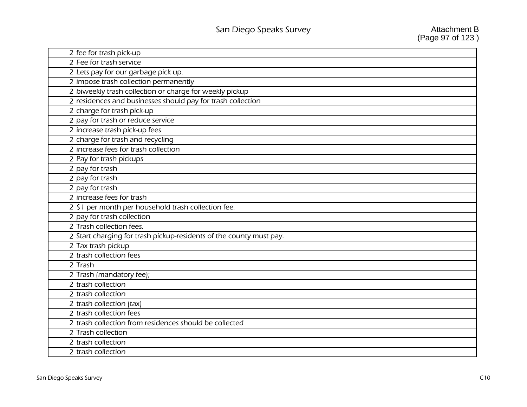| $2$ fee for trash pick-up                                           |
|---------------------------------------------------------------------|
| 2 Fee for trash service                                             |
| 2 Lets pay for our garbage pick up.                                 |
| 2 impose trash collection permanently                               |
| 2 biweekly trash collection or charge for weekly pickup             |
| 2 residences and businesses should pay for trash collection         |
| 2 charge for trash pick-up                                          |
| 2 pay for trash or reduce service                                   |
| 2 increase trash pick-up fees                                       |
| 2 charge for trash and recycling                                    |
| 2 increase fees for trash collection                                |
| 2 Pay for trash pickups                                             |
| $2$ pay for trash                                                   |
| $2$ pay for trash                                                   |
| 2 pay for trash                                                     |
| 2 increase fees for trash                                           |
| 251 per month per household trash collection fee.                   |
| $2$ pay for trash collection                                        |
| 2 Trash collection fees.                                            |
| 2 Start charging for trash pickup-residents of the county must pay. |
| 2 Tax trash pickup                                                  |
| 2 trash collection fees                                             |
| $2$ Trash                                                           |
| 2 Trash (mandatory fee);                                            |
| 2 trash collection                                                  |
| 2 trash collection                                                  |
| 2 trash collection (tax)                                            |
| 2 trash collection fees                                             |
| 2 trash collection from residences should be collected              |
| 2 Trash collection                                                  |
| 2 trash collection                                                  |
| 2 trash collection                                                  |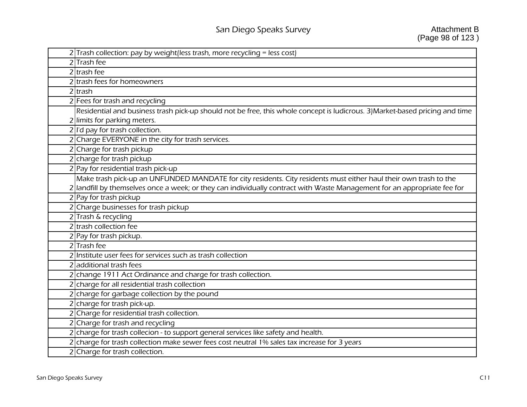| 2 Trash collection: pay by weight (less trash, more recycling = less cost)                                                   |
|------------------------------------------------------------------------------------------------------------------------------|
| <b>Trash fee</b>                                                                                                             |
| $2$ trash fee                                                                                                                |
| trash fees for homeowners                                                                                                    |
| 2 <sup></sup> trash                                                                                                          |
| 2 Fees for trash and recycling                                                                                               |
| Residential and business trash pick-up should not be free, this whole concept is ludicrous. 3) Market-based pricing and time |
| 2 limits for parking meters.                                                                                                 |
| $2$ l'd pay for trash collection.                                                                                            |
| Charge EVERYONE in the city for trash services.                                                                              |
| 2 Charge for trash pickup                                                                                                    |
| 2 charge for trash pickup                                                                                                    |
| Pay for residential trash pick-up                                                                                            |
| Make trash pick-up an UNFUNDED MANDATE for city residents. City residents must either haul their own trash to the            |
| landfill by themselves once a week; or they can individually contract with Waste Management for an appropriate fee for       |
| Pay for trash pickup                                                                                                         |
| 2 Charge businesses for trash pickup                                                                                         |
| 2 Trash & recycling                                                                                                          |
| trash collection fee                                                                                                         |
| 2 Pay for trash pickup.                                                                                                      |
| 2 Trash fee                                                                                                                  |
| Institute user fees for services such as trash collection                                                                    |
| 2 additional trash fees                                                                                                      |
| 2 change 1911 Act Ordinance and charge for trash collection.                                                                 |
| 2 charge for all residential trash collection                                                                                |
| 2 charge for garbage collection by the pound                                                                                 |
| 2 charge for trash pick-up.                                                                                                  |
| 2 Charge for residential trash collection.                                                                                   |
| Charge for trash and recycling                                                                                               |
| charge for trash collecion - to support general services like safety and health.                                             |
| 2 charge for trash collection make sewer fees cost neutral 1% sales tax increase for 3 years                                 |
| 2 Charge for trash collection.                                                                                               |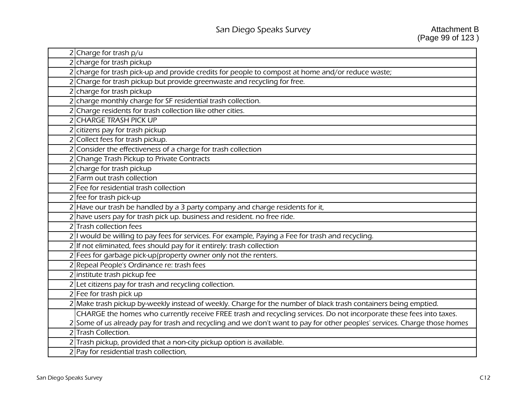| 2 Charge for trash $p/u$                                                                                                  |
|---------------------------------------------------------------------------------------------------------------------------|
| 2 charge for trash pickup                                                                                                 |
| 2 charge for trash pick-up and provide credits for people to compost at home and/or reduce waste;                         |
| 2 Charge for trash pickup but provide greenwaste and recycling for free.                                                  |
| 2 charge for trash pickup                                                                                                 |
| 2 charge monthly charge for SF residential trash collection.                                                              |
| 2 Charge residents for trash collection like other cities.                                                                |
| 2 CHARGE TRASH PICK UP                                                                                                    |
| 2 citizens pay for trash pickup                                                                                           |
| 2 Collect fees for trash pickup.                                                                                          |
| 2 Consider the effectiveness of a charge for trash collection                                                             |
| 2 Change Trash Pickup to Private Contracts                                                                                |
| 2 charge for trash pickup                                                                                                 |
| 2 Farm out trash collection                                                                                               |
| 2 Fee for residential trash collection                                                                                    |
| 2 fee for trash pick-up                                                                                                   |
| 2 Have our trash be handled by a 3 party company and charge residents for it,                                             |
| 2 have users pay for trash pick up. business and resident. no free ride.                                                  |
| 2 Trash collection fees                                                                                                   |
| 2. I would be willing to pay fees for services. For example, Paying a Fee for trash and recycling.                        |
| 2 If not eliminated, fees should pay for it entirely: trash collection                                                    |
| 2 Fees for garbage pick-up (property owner only not the renters.                                                          |
| 2 Repeal People's Ordinance re: trash fees                                                                                |
| 2 institute trash pickup fee                                                                                              |
| 2 Let citizens pay for trash and recycling collection.                                                                    |
| 2 Fee for trash pick up                                                                                                   |
| 2 Make trash pickup by-weekly instead of weekly. Charge for the number of black trash containers being emptied.           |
| CHARGE the homes who currently receive FREE trash and recycling services. Do not incorporate these fees into taxes.       |
| 2 Some of us already pay for trash and recycling and we don't want to pay for other peoples' services. Charge those homes |
| 2 Trash Collection.                                                                                                       |
| 2 Trash pickup, provided that a non-city pickup option is available.                                                      |
| 2 Pay for residential trash collection,                                                                                   |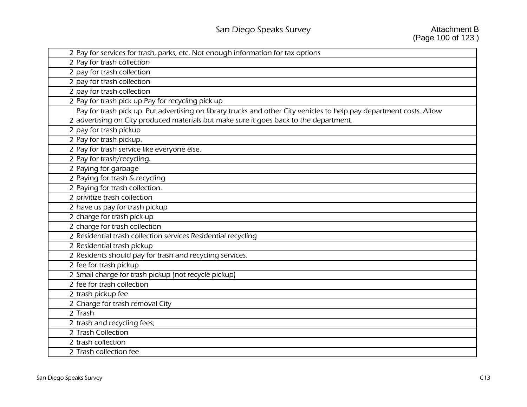| 2 Pay for services for trash, parks, etc. Not enough information for tax options                                     |
|----------------------------------------------------------------------------------------------------------------------|
| 2 Pay for trash collection                                                                                           |
| $2$ pay for trash collection                                                                                         |
| pay for trash collection                                                                                             |
| 2 pay for trash collection                                                                                           |
| 2 Pay for trash pick up Pay for recycling pick up                                                                    |
| Pay for trash pick up. Put advertising on library trucks and other City vehicles to help pay department costs. Allow |
| advertising on City produced materials but make sure it goes back to the department.                                 |
| pay for trash pickup                                                                                                 |
| 2 Pay for trash pickup.                                                                                              |
| 2 Pay for trash service like everyone else.                                                                          |
| 2 Pay for trash/recycling.                                                                                           |
| Paying for garbage                                                                                                   |
| 2 Paying for trash & recycling                                                                                       |
| 2 Paying for trash collection.                                                                                       |
| privitize trash collection                                                                                           |
| 2 have us pay for trash pickup                                                                                       |
| 2 charge for trash pick-up                                                                                           |
| 2 charge for trash collection                                                                                        |
| Residential trash collection services Residential recycling                                                          |
| 2 Residential trash pickup                                                                                           |
| Residents should pay for trash and recycling services.                                                               |
| $2$ fee for trash pickup                                                                                             |
| 2 Small charge for trash pickup (not recycle pickup)                                                                 |
| fee for trash collection                                                                                             |
| 2 trash pickup fee                                                                                                   |
| Charge for trash removal City                                                                                        |
| 2Trash                                                                                                               |
| 2 trash and recycling fees;                                                                                          |
| 2 Trash Collection                                                                                                   |
| trash collection                                                                                                     |
| 2 Trash collection fee                                                                                               |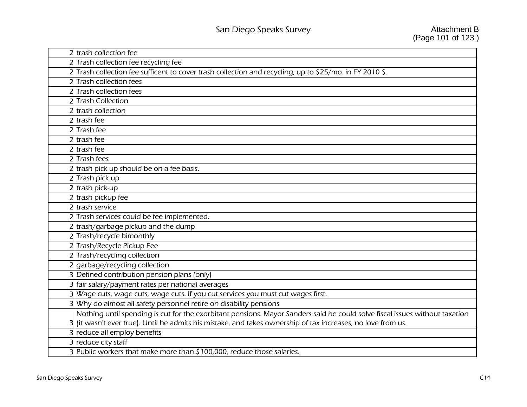| 2 trash collection fee                                                                                                      |
|-----------------------------------------------------------------------------------------------------------------------------|
| 2 Trash collection fee recycling fee                                                                                        |
| 2 Trash collection fee sufficent to cover trash collection and recycling, up to \$25/mo. in FY 2010 \$.                     |
| Trash collection fees                                                                                                       |
| 2 Trash collection fees                                                                                                     |
| 2 Trash Collection                                                                                                          |
| trash collection                                                                                                            |
| $2$ trash fee                                                                                                               |
| 2 Trash fee                                                                                                                 |
| $2$ trash fee                                                                                                               |
| 2 trash fee                                                                                                                 |
| 2Trash fees                                                                                                                 |
| 2 trash pick up should be on a fee basis.                                                                                   |
| 2 Trash pick up                                                                                                             |
| 2 trash pick-up                                                                                                             |
| 2 trash pickup fee                                                                                                          |
| 2 trash service                                                                                                             |
| 2 Trash services could be fee implemented.                                                                                  |
| 2 trash/garbage pickup and the dump                                                                                         |
| 2 Trash/recycle bimonthly                                                                                                   |
| 2 Trash/Recycle Pickup Fee                                                                                                  |
| 2 Trash/recycling collection                                                                                                |
| 2 garbage/recycling collection.                                                                                             |
| 3 Defined contribution pension plans (only)                                                                                 |
| 3 fair salary/payment rates per national averages                                                                           |
| Wage cuts, wage cuts, wage cuts. If you cut services you must cut wages first.                                              |
| Why do almost all safety personnel retire on disability pensions                                                            |
| Nothing until spending is cut for the exorbitant pensions. Mayor Sanders said he could solve fiscal issues without taxation |
| (it wasn't ever true). Until he admits his mistake, and takes ownership of tax increases, no love from us.                  |
| reduce all employ benefits                                                                                                  |
| 3 reduce city staff                                                                                                         |
| Public workers that make more than \$100,000, reduce those salaries.                                                        |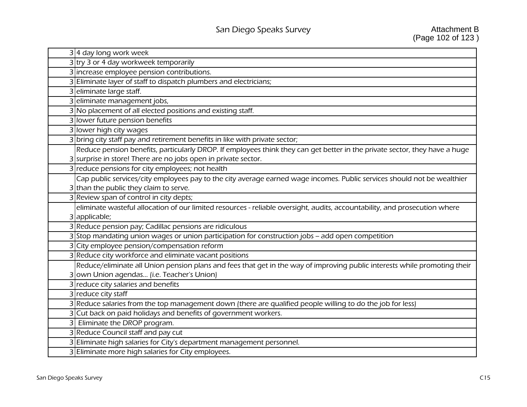| 3 4 day long work week                                                                                                      |
|-----------------------------------------------------------------------------------------------------------------------------|
| 3 try 3 or 4 day workweek temporarily                                                                                       |
| 3 increase employee pension contributions.                                                                                  |
| 3 Eliminate layer of staff to dispatch plumbers and electricians;                                                           |
| 3 eliminate large staff.                                                                                                    |
| 3 eliminate management jobs,                                                                                                |
| 3 No placement of all elected positions and existing staff.                                                                 |
| 3 lower future pension benefits                                                                                             |
| 3 lower high city wages                                                                                                     |
| 3 bring city staff pay and retirement benefits in like with private sector;                                                 |
| Reduce pension benefits, particularly DROP. If employees think they can get better in the private sector, they have a huge  |
| 3 surprise in store! There are no jobs open in private sector.                                                              |
| 3 reduce pensions for city employees; not health                                                                            |
| Cap public services/city employees pay to the city average earned wage incomes. Public services should not be wealthier     |
| 3 than the public they claim to serve.                                                                                      |
| 3 Review span of control in city depts;                                                                                     |
| eliminate wasteful allocation of our limited resources - reliable oversight, audits, accountability, and prosecution where  |
| 3 applicable;                                                                                                               |
| 3 Reduce pension pay; Cadillac pensions are ridiculous                                                                      |
| 3 Stop mandating union wages or union participation for construction jobs - add open competition                            |
| 3 City employee pension/compensation reform                                                                                 |
| 3 Reduce city workforce and eliminate vacant positions                                                                      |
| Reduce/eliminate all Union pension plans and fees that get in the way of improving public interests while promoting their   |
| 3 own Union agendas (i.e. Teacher's Union)                                                                                  |
| 3 reduce city salaries and benefits                                                                                         |
| 3 reduce city staff                                                                                                         |
| 3 Reduce salaries from the top management down (there are qualified people willing to do the job for less)                  |
| 3 Cut back on paid holidays and benefits of government workers.                                                             |
|                                                                                                                             |
| 3 Eliminate the DROP program.                                                                                               |
| 3 Reduce Council staff and pay cut                                                                                          |
| 3 Eliminate high salaries for City's department management personnel.<br>3 Eliminate more high salaries for City employees. |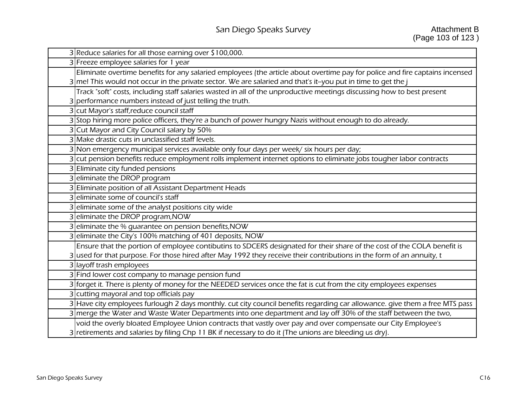| 3 Reduce salaries for all those earning over \$100,000.                                                                      |
|------------------------------------------------------------------------------------------------------------------------------|
| Freeze employee salaries for 1 year                                                                                          |
| Eliminate overtime benefits for any salaried employees (the article about overtime pay for police and fire captains incensed |
| $\vert$ me! This would not occur in the private sector. We are salaried and that's it--you put in time to get the j          |
| Track "soft" costs, including staff salaries wasted in all of the unproductive meetings discussing how to best present       |
| performance numbers instead of just telling the truth.                                                                       |
| cut Mayor's staff, reduce council staff                                                                                      |
| Stop hiring more police officers, they're a bunch of power hungry Nazis without enough to do already.                        |
| Cut Mayor and City Council salary by 50%                                                                                     |
| Make drastic cuts in unclassified staff levels.                                                                              |
| Non emergency municipal services available only four days per week/ six hours per day;                                       |
| cut pension benefits reduce employment rolls implement internet options to eliminate jobs tougher labor contracts            |
| Eliminate city funded pensions                                                                                               |
| eliminate the DROP program                                                                                                   |
| Eliminate position of all Assistant Department Heads                                                                         |
| eliminate some of council's staff                                                                                            |
| eliminate some of the analyst positions city wide                                                                            |
| eliminate the DROP program, NOW                                                                                              |
| eliminate the % guarantee on pension benefits, NOW                                                                           |
| eliminate the City's 100% matching of 401 deposits, NOW                                                                      |
| Ensure that the portion of employee contibutins to SDCERS designated for their share of the cost of the COLA benefit is      |
| used for that purpose. For those hired after May 1992 they receive their contributions in the form of an annuity, t          |
| layoff trash employees                                                                                                       |
| Find lower cost company to manage pension fund                                                                               |
| forget it. There is plenty of money for the NEEDED services once the fat is cut from the city employees expenses             |
| cutting mayoral and top officials pay                                                                                        |
| Have city employees furlough 2 days monthly. cut city council benefits regarding car allowance. give them a free MTS pass    |
| merge the Water and Waste Water Departments into one department and lay off 30% of the staff between the two,                |
| void the overly bloated Employee Union contracts that vastly over pay and over compensate our City Employee's                |
| retirements and salaries by filing Chp 11 BK if necessary to do it (The unions are bleeding us dry).                         |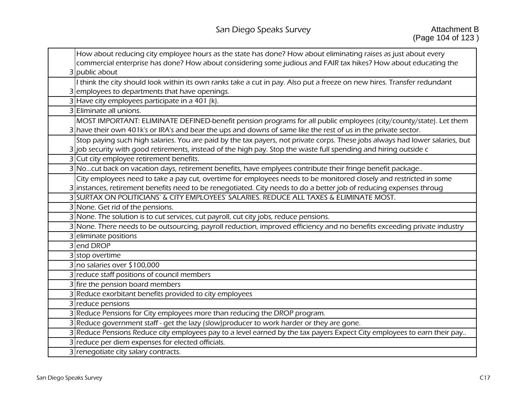| How about reducing city employee hours as the state has done? How about eliminating raises as just about every                                                                                                                                   |
|--------------------------------------------------------------------------------------------------------------------------------------------------------------------------------------------------------------------------------------------------|
| commercial enterprise has done? How about considering some judious and FAIR tax hikes? How about educating the                                                                                                                                   |
| 3 public about                                                                                                                                                                                                                                   |
| I think the city should look within its own ranks take a cut in pay. Also put a freeze on new hires. Transfer redundant                                                                                                                          |
| 3 employees to departments that have openings.                                                                                                                                                                                                   |
| 3 Have city employees participate in a 401 (k).                                                                                                                                                                                                  |
| 3 Eliminate all unions.                                                                                                                                                                                                                          |
| MOST IMPORTANT: ELIMINATE DEFINED-benefit pension programs for all public employees (city/county/state). Let them<br>3 have their own 401k's or IRA's and bear the ups and downs of same like the rest of us in the private sector.              |
| Stop paying such high salaries. You are paid by the tax payers, not private corps. These jobs always had lower salaries, but<br>3 job security with good retirements, instead of the high pay. Stop the waste full spending and hiring outside c |
| 3 Cut city employee retirement benefits.                                                                                                                                                                                                         |
| 3 Nocut back on vacation days, retirement benefits, have emplyees contribute their fringe benefit package                                                                                                                                        |
| City employees need to take a pay cut, overtime for employees needs to be monitored closely and restricted in some                                                                                                                               |
| 3 instances, retirement benefits need to be renegotiated. City needs to do a better job of reducing expenses throug                                                                                                                              |
| 3 SURTAX ON POLITICIANS' & CITY EMPLOYEES' SALARIES. REDUCE ALL TAXES & ELIMINATE MOST.                                                                                                                                                          |
| 3 None. Get rid of the pensions.                                                                                                                                                                                                                 |
| 3 None. The solution is to cut services, cut payroll, cut city jobs, reduce pensions.                                                                                                                                                            |
| 3 None. There needs to be outsourcing, payroll reduction, improved efficiency and no benefits exceeding private industry                                                                                                                         |
| 3 eliminate positions                                                                                                                                                                                                                            |
| 3 end DROP                                                                                                                                                                                                                                       |
| 3 stop overtime                                                                                                                                                                                                                                  |
| $3 $ no salaries over \$100,000                                                                                                                                                                                                                  |
| 3 reduce staff positions of council members                                                                                                                                                                                                      |
| 3 fire the pension board members                                                                                                                                                                                                                 |
| 3 Reduce exorbitant benefits provided to city employees                                                                                                                                                                                          |
| 3 reduce pensions                                                                                                                                                                                                                                |
| 3 Reduce Pensions for City employees more than reducing the DROP program.                                                                                                                                                                        |
| 3 Reduce government staff - get the lazy (slow) producer to work harder or they are gone.                                                                                                                                                        |
| 3 Reduce Pensions Reduce city employees pay to a level earned by the tax payers Expect City employees to earn their pay                                                                                                                          |
| 3 reduce per diem expenses for elected officials.                                                                                                                                                                                                |
| 3 renegotiate city salary contracts.                                                                                                                                                                                                             |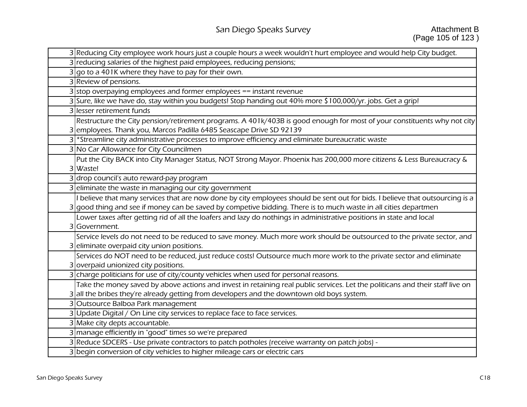| 3 Reducing City employee work hours just a couple hours a week wouldn't hurt employee and would help City budget.                                                                                                                                |
|--------------------------------------------------------------------------------------------------------------------------------------------------------------------------------------------------------------------------------------------------|
| 3 reducing salaries of the highest paid employees, reducing pensions;                                                                                                                                                                            |
| $3$ go to a 401K where they have to pay for their own.                                                                                                                                                                                           |
| 3 Review of pensions.                                                                                                                                                                                                                            |
| $3$ stop overpaying employees and former employees $==$ instant revenue                                                                                                                                                                          |
| 3 Sure, like we have do, stay within you budgets! Stop handing out 40% more \$100,000/yr. jobs. Get a grip!                                                                                                                                      |
| 3 lesser retirement funds                                                                                                                                                                                                                        |
| Restructure the City pension/retirement programs. A 401k/403B is good enough for most of your constituents why not city<br>3 employees. Thank you, Marcos Padilla 6485 Seascape Drive SD 92139                                                   |
| 3 <sup>*</sup> Streamline city administrative processes to improve efficiency and eliminate bureaucratic waste                                                                                                                                   |
| 3 No Car Allowance for City Councilmen                                                                                                                                                                                                           |
| Put the City BACK into City Manager Status, NOT Strong Mayor. Phoenix has 200,000 more citizens & Less Bureaucracy &<br>3 Waste!                                                                                                                 |
| 3 drop council's auto reward-pay program                                                                                                                                                                                                         |
| 3 eliminate the waste in managing our city government                                                                                                                                                                                            |
| I believe that many services that are now done by city employees should be sent out for bids. I believe that outsourcing is a<br>3 good thing and see if money can be saved by competive bidding. There is to much waste in all cities departmen |
| Lower taxes after getting rid of all the loafers and lazy do nothings in administrative positions in state and local<br>Government.                                                                                                              |
| Service levels do not need to be reduced to save money. Much more work should be outsourced to the private sector, and<br>3 eliminate overpaid city union positions.                                                                             |
| Services do NOT need to be reduced, just reduce costs! Outsource much more work to the private sector and eliminate<br>3 overpaid unionized city positions.                                                                                      |
| 3 charge politicians for use of city/county vehicles when used for personal reasons.                                                                                                                                                             |
| Take the money saved by above actions and invest in retaining real public services. Let the politicans and their staff live on<br>3 all the bribes they're already getting from developers and the downtown old boys system.                     |
| 3 Outsource Balboa Park management                                                                                                                                                                                                               |
| 3 Update Digital / On Line city services to replace face to face services.                                                                                                                                                                       |
| 3 Make city depts accountable.                                                                                                                                                                                                                   |
| 3 manage efficiently in "good" times so we're prepared                                                                                                                                                                                           |
| Reduce SDCERS - Use private contractors to patch potholes (receive warranty on patch jobs) -                                                                                                                                                     |
| 3 begin conversion of city vehicles to higher mileage cars or electric cars                                                                                                                                                                      |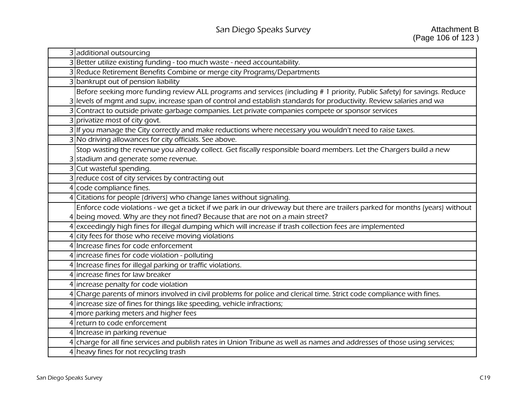|   | 3 additional outsourcing                                                                                                      |
|---|-------------------------------------------------------------------------------------------------------------------------------|
|   | 3 Better utilize existing funding - too much waste - need accountability.                                                     |
|   | 3 Reduce Retirement Benefits Combine or merge city Programs/Departments                                                       |
|   | 3 bankrupt out of pension liability                                                                                           |
|   | Before seeking more funding review ALL programs and services (including # 1 priority, Public Safety) for savings. Reduce      |
|   | 3 levels of mgmt and supv, increase span of control and establish standards for productivity. Review salaries and wa          |
|   | Contract to outside private garbage companies. Let private companies compete or sponsor services                              |
|   | 3 privatize most of city govt.                                                                                                |
|   | 3 If you manage the City correctly and make reductions where necessary you wouldn't need to raise taxes.                      |
|   | 3 No driving allowances for city officials. See above.                                                                        |
|   | Stop wasting the revenue you already collect. Get fiscally responsible board members. Let the Chargers build a new            |
|   | 3 stadium and generate some revenue.                                                                                          |
|   | 3 Cut wasteful spending.                                                                                                      |
|   | 3 reduce cost of city services by contracting out                                                                             |
|   | 4 code compliance fines.                                                                                                      |
|   | Citations for people (drivers) who change lanes without signaling.                                                            |
|   | Enforce code violations - we get a ticket if we park in our driveway but there are trailers parked for months (years) without |
|   | being moved. Why are they not fined? Because that are not on a main street?                                                   |
|   | exceedingly high fines for illegal dumping which will increase if trash collection fees are implemented                       |
| 4 | city fees for those who receive moving violations                                                                             |
|   | 4 Increase fines for code enforcement                                                                                         |
|   | 4 increase fines for code violation - polluting                                                                               |
|   | 4 Increase fines for illegal parking or traffic violations.                                                                   |
|   | 4 increase fines for law breaker                                                                                              |
|   | increase penalty for code violation                                                                                           |
| 4 | Charge parents of minors involved in civil problems for police and clerical time. Strict code compliance with fines.          |
|   | 4 increase size of fines for things like speeding, vehicle infractions;                                                       |
|   | more parking meters and higher fees                                                                                           |
| 4 | return to code enforcement                                                                                                    |
|   | 4 Increase in parking revenue                                                                                                 |
|   | charge for all fine services and publish rates in Union Tribune as well as names and addresses of those using services;       |
|   | 4 heavy fines for not recycling trash                                                                                         |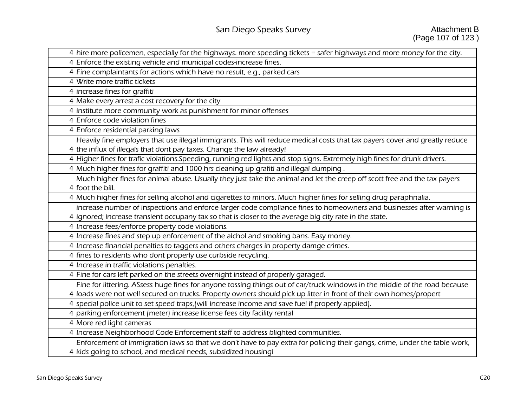|   | hire more policemen, especially for the highways. more speeding tickets = safer highways and more money for the city.       |
|---|-----------------------------------------------------------------------------------------------------------------------------|
|   | Enforce the existing vehicle and municipal codes-increase fines.                                                            |
|   | Fine complaintants for actions which have no result, e.g., parked cars                                                      |
|   | Write more traffic tickets                                                                                                  |
|   | 4 increase fines for graffiti                                                                                               |
|   | 4 Make every arrest a cost recovery for the city                                                                            |
|   | institute more community work as punishment for minor offenses                                                              |
|   | 4 Enforce code violation fines                                                                                              |
|   | 4 Enforce residential parking laws                                                                                          |
|   | Heavily fine employers that use illegal immigrants. This will reduce medical costs that tax payers cover and greatly reduce |
|   | 4 the influx of illegals that dont pay taxes. Change the law already!                                                       |
|   | 4 Higher fines for trafic violations. Speeding, running red lights and stop signs. Extremely high fines for drunk drivers.  |
|   | 4 Much higher fines for graffiti and 1000 hrs cleaning up grafiti and illegal dumping.                                      |
|   | Much higher fines for animal abuse. Usually they just take the animal and let the creep off scott free and the tax payers   |
|   | 4 foot the bill.                                                                                                            |
| 4 | Much higher fines for selling alcohol and cigarettes to minors. Much higher fines for selling drug paraphnalia.             |
|   | increase number of inspections and enforce larger code compliance fines to homeowners and businesses after warning is       |
|   | ignored; increase transient occupany tax so that is closer to the average big city rate in the state.                       |
|   | Increase fees/enforce property code violations.                                                                             |
|   | 4 Increase fines and step up enforcement of the alchol and smoking bans. Easy money.                                        |
|   | Increase financial penalties to taggers and others charges in property damge crimes.                                        |
|   | fines to residents who dont properly use curbside recycling.                                                                |
|   | 4 Increase in traffic violations penalties.                                                                                 |
|   | Fine for cars left parked on the streets overnight instead of properly garaged.                                             |
|   | Fine for littering. ASsess huge fines for anyone tossing things out of car/truck windows in the middle of the road because  |
|   | loads were not well secured on trucks. Property owners should pick up litter in front of their own homes/propert            |
|   | special police unit to set speed traps, (will increase income and save fuel if properly applied).                           |
|   | parking enforcement (meter) increase license fees city facility rental                                                      |
|   | 4 More red light cameras                                                                                                    |
|   | Increase Neighborhood Code Enforcement staff to address blighted communities.                                               |
|   | Enforcement of immigration laws so that we don't have to pay extra for policing their gangs, crime, under the table work,   |
|   | 4 kids going to school, and medical needs, subsidized housing!                                                              |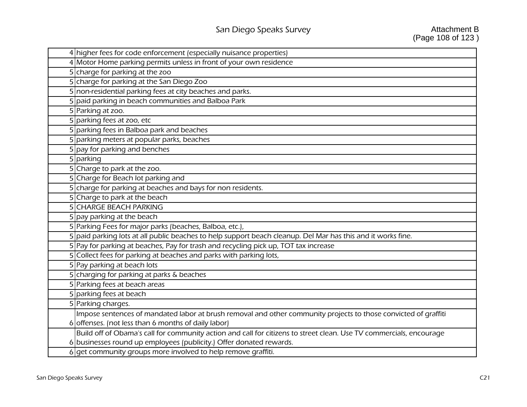| 4 higher fees for code enforcement (especially nuisance properties)                                                 |
|---------------------------------------------------------------------------------------------------------------------|
| 4 Motor Home parking permits unless in front of your own residence                                                  |
| 5 charge for parking at the zoo                                                                                     |
| 5 charge for parking at the San Diego Zoo                                                                           |
| 5 non-residential parking fees at city beaches and parks.                                                           |
| 5 paid parking in beach communities and Balboa Park                                                                 |
| 5 Parking at zoo.                                                                                                   |
| 5 parking fees at zoo, etc                                                                                          |
| 5 parking fees in Balboa park and beaches                                                                           |
| 5 parking meters at popular parks, beaches                                                                          |
| $5$ pay for parking and benches                                                                                     |
| 5 parking                                                                                                           |
| 5 Charge to park at the zoo.                                                                                        |
| 5 Charge for Beach lot parking and                                                                                  |
| 5 charge for parking at beaches and bays for non residents.                                                         |
| 5 Charge to park at the beach                                                                                       |
| 5 CHARGE BEACH PARKING                                                                                              |
| $5$ pay parking at the beach                                                                                        |
| 5 Parking Fees for major parks (beaches, Balboa, etc.),                                                             |
| 5 paid parking lots at all public beaches to help support beach cleanup. Del Mar has this and it works fine.        |
| 5 Pay for parking at beaches, Pay for trash and recycling pick up, TOT tax increase                                 |
| 5 Collect fees for parking at beaches and parks with parking lots,                                                  |
| 5 Pay parking at beach lots                                                                                         |
| 5 charging for parking at parks & beaches                                                                           |
| 5 Parking fees at beach areas                                                                                       |
| 5 parking fees at beach                                                                                             |
| 5 Parking charges.                                                                                                  |
| Impose sentences of mandated labor at brush removal and other community projects to those convicted of graffiti     |
| 6 offenses. (not less than 6 months of daily labor)                                                                 |
| Build off of Obama's call for community action and call for citizens to street clean. Use TV commercials, encourage |
| 6 businesses round up employees (publicity.) Offer donated rewards.                                                 |
| $6$ get community groups more involved to help remove graffiti.                                                     |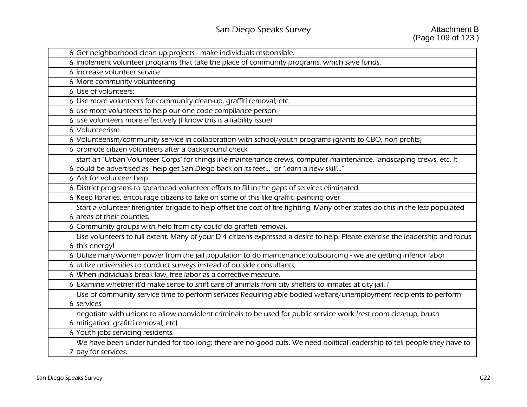|   | 6 Get neighborhood clean up projects - make individuals responsible.                                                                            |
|---|-------------------------------------------------------------------------------------------------------------------------------------------------|
|   | 6 implement volunteer programs that take the place of community programs, which save funds.                                                     |
|   | 6 increase volunteer service                                                                                                                    |
|   | 6 More community volunteering                                                                                                                   |
|   | 6 Use of volunteers;                                                                                                                            |
|   | 6 Use more volunteers for community clean-up, graffiti removal, etc.                                                                            |
|   | use more volunteers to help our one code compliance person                                                                                      |
|   | use volunteers more effectively (I know this is a liability issue)                                                                              |
|   | 6 Volunteerism.                                                                                                                                 |
|   | 6 Volunteerism/community service in collaboration with school/youth programs (grants to CBO, non-profits)                                       |
|   | 6 promote citizen volunteers after a background check                                                                                           |
|   | start an "Urban Volunteer Corps" for things like maintenance crews, computer maintenance, landscaping crews, etc. It                            |
|   | 6 could be advertised as "help get San Diego back on its feet" or "learn a new skill"                                                           |
|   | 6 Ask for volunteer help                                                                                                                        |
|   | 6 District programs to spearhead volunteer efforts to fill in the gaps of services eliminated.                                                  |
|   | 6 Keep libraries, encourage citizens to take on some of this like graffiti painting over                                                        |
|   | Start a volunteer firefighter brigade to help offset the cost of fire fighting. Many other states do this in the less populated                 |
|   | 6 areas of their counties.                                                                                                                      |
|   | Community groups with help from city could do graffeti removal.                                                                                 |
|   | Use volunteers to full extent. Many of your D-4 citizens expressed a desire to help. Please exercise the leadership and focus<br>6 this energy! |
|   | Utilize man/women power from the jail population to do maintenance; outsourcing - we are getting inferior labor                                 |
| 6 | utilize universities to conduct surveys instead of outside consultants;                                                                         |
|   | 6 When individuals break law, free labor as a corrective measure.                                                                               |
|   | Examine whether it'd make sense to shift care of animals from city shelters to inmates at city jail.                                            |
|   | Use of community service time to perform services Requiring able bodied welfare/unemployment recipients to perform                              |
|   | 6 services                                                                                                                                      |
|   | negotiate with unions to allow nonviolent criminals to be used for public service work (rest room cleanup, brush                                |
|   | 6 mitigation, grafitti removal, etc)                                                                                                            |
|   | 6 Youth jobs servicing residents.                                                                                                               |
|   | We have been under funded for too long; there are no good cuts. We need political leadership to tell people they have to                        |
|   | pay for services.                                                                                                                               |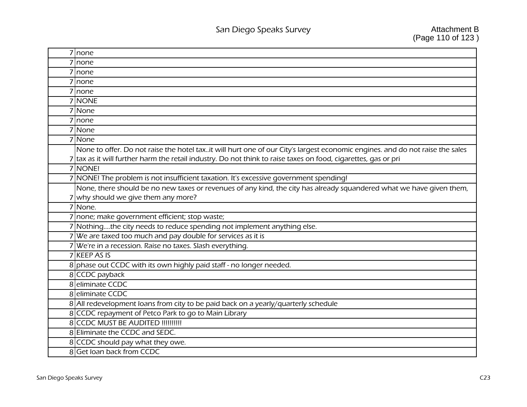| 7 none                                                                                                                       |
|------------------------------------------------------------------------------------------------------------------------------|
| none                                                                                                                         |
| 7 none                                                                                                                       |
| 7 none                                                                                                                       |
| 7 none                                                                                                                       |
| 7 NONE                                                                                                                       |
| 7 None                                                                                                                       |
| 7 none                                                                                                                       |
| 7 None                                                                                                                       |
| 7 None                                                                                                                       |
| None to offer. Do not raise the hotel taxit will hurt one of our City's largest economic engines. and do not raise the sales |
| 7 tax as it will further harm the retail industry. Do not think to raise taxes on food, cigarettes, gas or pri               |
| 7 NONE!                                                                                                                      |
| 7 NONE! The problem is not insufficient taxation. It's excessive government spending!                                        |
| None, there should be no new taxes or revenues of any kind, the city has already squandered what we have given them,         |
| 7 why should we give them any more?                                                                                          |
|                                                                                                                              |
| 7 None.                                                                                                                      |
| 7 none; make government efficient; stop waste;                                                                               |
| 7 Nothingthe city needs to reduce spending not implement anything else.                                                      |
| 7 We are taxed too much and pay double for services as it is                                                                 |
| 7 We're in a recession. Raise no taxes. Slash everything.                                                                    |
| 7 KEEP AS IS                                                                                                                 |
| 8 phase out CCDC with its own highly paid staff - no longer needed.                                                          |
| 8 CCDC payback                                                                                                               |
| 8 eliminate CCDC                                                                                                             |
| 8 eliminate CCDC                                                                                                             |
| 8 All redevelopment loans from city to be paid back on a yearly/quarterly schedule                                           |
| 8 CCDC repayment of Petco Park to go to Main Library                                                                         |
| 8 CCDC MUST BE AUDITED !!!!!!!!!!                                                                                            |
| 8 Eliminate the CCDC and SEDC.                                                                                               |
| 8 CCDC should pay what they owe.<br>8 Get loan back from CCDC                                                                |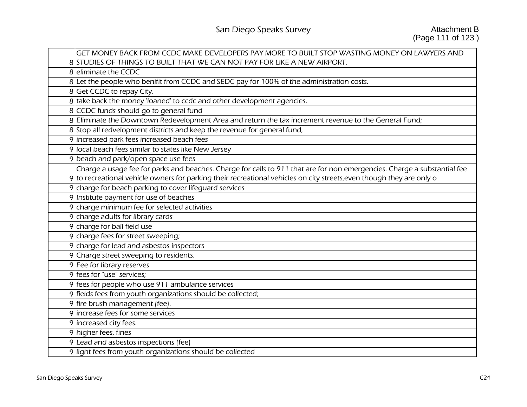| GET MONEY BACK FROM CCDC MAKE DEVELOPERS PAY MORE TO BUILT STOP WASTING MONEY ON LAWYERS AND                             |
|--------------------------------------------------------------------------------------------------------------------------|
| 8 STUDIES OF THINGS TO BUILT THAT WE CAN NOT PAY FOR LIKE A NEW AIRPORT.                                                 |
| 8 eliminate the CCDC                                                                                                     |
| 8 Let the people who benifit from CCDC and SEDC pay for 100% of the administration costs.                                |
| 8 Get CCDC to repay City.                                                                                                |
| 8 take back the money 'loaned' to ccdc and other development agencies.                                                   |
| 8 CCDC funds should go to general fund                                                                                   |
| 8 Eliminate the Downtown Redevelopment Area and return the tax increment revenue to the General Fund;                    |
| 8 Stop all redvelopment districts and keep the revenue for general fund,                                                 |
| 9 increased park fees increased beach fees                                                                               |
| 9 local beach fees similar to states like New Jersey                                                                     |
| 9 beach and park/open space use fees                                                                                     |
| Charge a usage fee for parks and beaches. Charge for calls to 911 that are for non emergencies. Charge a substantial fee |
| 9 to recreational vehicle owners for parking their recreational vehicles on city streets, even though they are only o    |
| 9 charge for beach parking to cover lifeguard services                                                                   |
| 9 Institute payment for use of beaches                                                                                   |
| 9 charge minimum fee for selected activities                                                                             |
| 9 charge adults for library cards                                                                                        |
| 9 charge for ball field use                                                                                              |
| 9 charge fees for street sweeping;                                                                                       |
| 9 charge for lead and asbestos inspectors                                                                                |
| 9 Charge street sweeping to residents.                                                                                   |
| 9 Fee for library reserves                                                                                               |
| 9 fees for "use" services;                                                                                               |
| 9 fees for people who use 911 ambulance services                                                                         |
| 9 fields fees from youth organizations should be collected;                                                              |
| 9 fire brush management (fee).                                                                                           |
| 9 increase fees for some services                                                                                        |
| 9 increased city fees.                                                                                                   |
| 9 higher fees, fines                                                                                                     |
| 9 Lead and asbestos inspections (fee)                                                                                    |
| 9 light fees from youth organizations should be collected                                                                |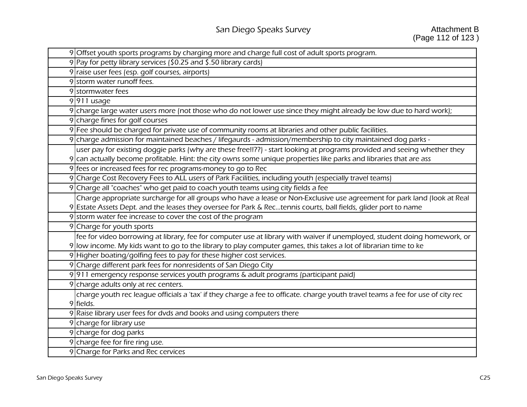| 9 Offset youth sports programs by charging more and charge full cost of adult sports program.                                   |
|---------------------------------------------------------------------------------------------------------------------------------|
| 9 Pay for petty library services (\$0.25 and \$.50 library cards)                                                               |
| 9 raise user fees (esp. golf courses, airports)                                                                                 |
| 9 storm water runoff fees.                                                                                                      |
| 9 stormwater fees                                                                                                               |
| $9 911$ usage                                                                                                                   |
| 9 charge large water users more (not those who do not lower use since they might already be low due to hard work);              |
| 9 charge fines for golf courses                                                                                                 |
| 9 Fee should be charged for private use of community rooms at libraries and other public facilities.                            |
| 9 charge admission for maintained beaches / lifegaurds - admission/membership to city maintained dog parks -                    |
| user pay for existing doggie parks (why are these free!!??) - start looking at programs provided and seeing whether they        |
| 9 can actually become profitable. Hint: the city owns some unique properties like parks and libraries that are ass              |
| 9 fees or increased fees for rec programs-money to go to Rec                                                                    |
| 9 Charge Cost Recovery Fees to ALL users of Park Facilities, including youth (especially travel teams)                          |
| 9 Charge all "coaches" who get paid to coach youth teams using city fields a fee                                                |
| Charge appropriate surcharge for all groups who have a lease or Non-Exclusive use agreement for park land (look at Real         |
| 9 Estate Assets Dept. and the leases they oversee for Park & Rectennis courts, ball fields, glider port to name                 |
| 9 storm water fee increase to cover the cost of the program                                                                     |
| 9 Charge for youth sports                                                                                                       |
| fee for video borrowing at library, fee for computer use at library with waiver if unemployed, student doing homework, or       |
| 9 low income. My kids want to go to the library to play computer games, this takes a lot of librarian time to ke                |
| 9 Higher boating/golfing fees to pay for these higher cost services.                                                            |
| 9 Charge different park fees for nonresidents of San Diego City                                                                 |
| 9 911 emergency response services youth programs & adult programs (participant paid)                                            |
| 9 charge adults only at rec centers.                                                                                            |
| charge youth rec league officials a 'tax' if they charge a fee to officate. charge youth travel teams a fee for use of city rec |
| 9 fields.                                                                                                                       |
| 9 Raise library user fees for dvds and books and using computers there                                                          |
| 9 charge for library use                                                                                                        |
| 9 charge for dog parks                                                                                                          |
| 9 charge fee for fire ring use.                                                                                                 |
| 9 Charge for Parks and Rec cervices                                                                                             |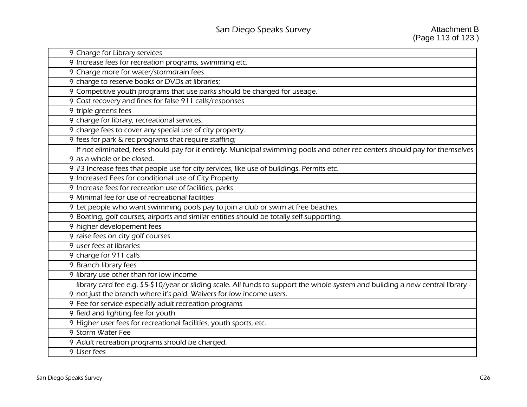| 9 Charge for Library services                                                                                                    |
|----------------------------------------------------------------------------------------------------------------------------------|
| 9 Increase fees for recreation programs, swimming etc.                                                                           |
| 9 Charge more for water/stormdrain fees.                                                                                         |
| 9 charge to reserve books or DVDs at libraries;                                                                                  |
| 9 Competitive youth programs that use parks should be charged for useage.                                                        |
| 9 Cost recovery and fines for false 911 calls/responses                                                                          |
| 9 triple greens fees                                                                                                             |
| 9 charge for library, recreational services.                                                                                     |
| 9 charge fees to cover any special use of city property.                                                                         |
| 9 fees for park & rec programs that require staffing;                                                                            |
| If not eliminated, fees should pay for it entirely: Municipal swimming pools and other rec centers should pay for themselves     |
| 9 as a whole or be closed.                                                                                                       |
| $9$ #3 Increase fees that people use for city services, like use of buildings. Permits etc.                                      |
| 9 Increased Fees for conditional use of City Property.                                                                           |
| 9 Increase fees for recreation use of facilities, parks                                                                          |
| 9 Minimal fee for use of recreational facilities                                                                                 |
| 9 Let people who want swimming pools pay to join a club or swim at free beaches.                                                 |
| 9 Boating, golf courses, airports and similar entities should be totally self-supporting.                                        |
| 9 higher developement fees                                                                                                       |
| 9 raise fees on city golf courses                                                                                                |
| 9 user fees at libraries                                                                                                         |
| 9 charge for 911 calls                                                                                                           |
| 9 Branch library fees                                                                                                            |
| 9 library use other than for low income                                                                                          |
| library card fee e.g. \$5-\$10/year or sliding scale. All funds to support the whole system and building a new central library - |
| 9 not just the branch where it's paid. Waivers for low income users.                                                             |
| 9 Fee for service especially adult recreation programs                                                                           |
| 9 field and lighting fee for youth                                                                                               |
| 9 Higher user fees for recreational facilities, youth sports, etc.                                                               |
| 9 Storm Water Fee                                                                                                                |
| 9 Adult recreation programs should be charged.                                                                                   |
| 9User fees                                                                                                                       |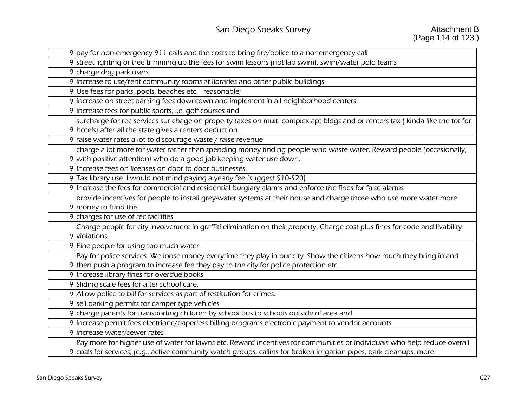|   | 9 pay for non-emergency 911 calls and the costs to bring fire/police to a nonemergency call                                  |
|---|------------------------------------------------------------------------------------------------------------------------------|
|   | 9 street lighting or tree trimming up the fees for swim lessons (not lap swim), swim/water polo teams                        |
|   | 9 charge dog park users                                                                                                      |
| 9 | increase to use/rent community rooms at libraries and other public buildings                                                 |
|   | 9Use fees for parks, pools, beaches etc. - reasonable;                                                                       |
|   | 9 increase on street parking fees downtown and implement in all neighborhood centers                                         |
|   | increase fees for public sports, i.e. golf courses and                                                                       |
|   | surcharge for rec services sur chage on property taxes on multi complex apt bldgs and or renters tax (kinda like the tot for |
|   | 9 hotels) after all the state gives a renters deduction                                                                      |
|   | raise water rates a lot to discourage waste / raise revenue                                                                  |
|   | charge a lot more for water rather than spending money finding people who waste water. Reward people (occasionally,          |
|   | 9 with positive attention) who do a good job keeping water use down.                                                         |
|   | Increase fees on licenses on door to door businesses.                                                                        |
|   | 9 Tax library use. I would not mind paying a yearly fee (suggest \$10-\$20).                                                 |
|   | 9 Increase the fees for commercial and residential burglary alarms and enforce the fines for false alarms                    |
|   | provide incentives for people to install grey-water systems at their house and charge those who use more water more          |
|   | 9 money to fund this                                                                                                         |
|   | 9 charges for use of rec facilities                                                                                          |
|   | Charge people for city involvement in graffiti elimination on their property. Charge cost plus fines for code and livability |
|   | 9 violations.                                                                                                                |
|   | 9 Fine people for using too much water.                                                                                      |
|   | Pay for police services. We loose money everytime they play in our city. Show the citizens how much they bring in and        |
|   | 9 then push a program to increase fee they pay to the city for police protection etc.                                        |
|   | 9 Increase library fines for overdue books                                                                                   |
|   | Sliding scale fees for after school care.                                                                                    |
|   | 9 Allow police to bill for services as part of restitution for crimes.                                                       |
|   | 9 sell parking permits for camper type vehicles                                                                              |
|   | charge parents for transporting children by school bus to schools outside of area and                                        |
|   | 9 increase permit fees electrionc/paperless billing programs electronic payment to vendor accounts                           |
|   | 9 increase water/sewer rates                                                                                                 |
|   | Pay more for higher use of water for lawns etc. Reward incentives for communities or individuals who help reduce overall     |
|   | 9 costs for services, (e.g., active community watch groups, callins for broken irrigation pipes, park cleanups, more         |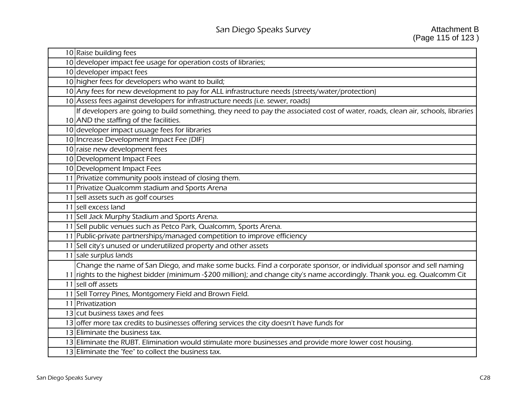| 10 Raise building fees                                                                                                          |
|---------------------------------------------------------------------------------------------------------------------------------|
| 10 developer impact fee usage for operation costs of libraries;                                                                 |
| 10 developer impact fees                                                                                                        |
| 10 higher fees for developers who want to build;                                                                                |
| 10 Any fees for new development to pay for ALL infrastructure needs (streets/water/protection)                                  |
| 10 Assess fees against developers for infrastructure needs (i.e. sewer, roads)                                                  |
| If developers are going to build something, they need to pay the associated cost of water, roads, clean air, schools, libraries |
| 10 AND the staffing of the facilities.                                                                                          |
| 10 developer impact usuage fees for libraries                                                                                   |
| 10 Increase Development Impact Fee (DIF)                                                                                        |
| 10 raise new development fees                                                                                                   |
| 10 Development Impact Fees                                                                                                      |
| 10 Development Impact Fees                                                                                                      |
| 11 Privatize community pools instead of closing them.                                                                           |
| 11 Privatize Qualcomm stadium and Sports Arena                                                                                  |
| 11 sell assets such as golf courses                                                                                             |
| 11 sell excess land                                                                                                             |
| 11 Sell Jack Murphy Stadium and Sports Arena.                                                                                   |
| 11 Sell public venues such as Petco Park, Qualcomm, Sports Arena.                                                               |
| 11 Public-private partnerships/managed competition to improve efficiency                                                        |
| 11 Sell city's unused or underutilized property and other assets                                                                |
| 11 sale surplus lands                                                                                                           |
| Change the name of San Diego, and make some bucks. Find a corporate sponsor, or individual sponsor and sell naming              |
| 11 rights to the highest bidder (minimum -\$200 million); and change city's name accordingly. Thank you. eg. Qualcomm Cit       |
| 11 sell off assets                                                                                                              |
| 11 Sell Torrey Pines, Montgomery Field and Brown Field.                                                                         |
| 11 Privatization                                                                                                                |
| 13 cut business taxes and fees                                                                                                  |
| 13 offer more tax credits to businesses offering services the city doesn't have funds for                                       |
| 13 Eliminate the business tax.                                                                                                  |
| Eliminate the RUBT. Elimination would stimulate more businesses and provide more lower cost housing.                            |
| 13 Eliminate the "fee" to collect the business tax.                                                                             |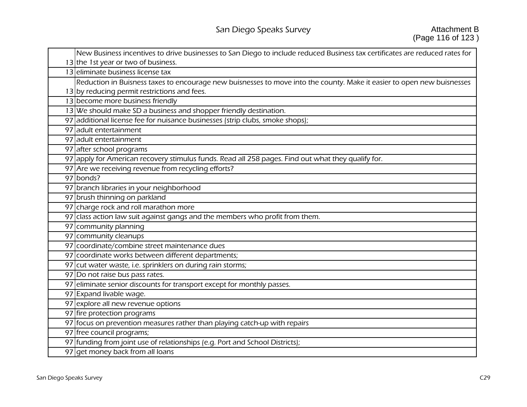| New Business incentives to drive businesses to San Diego to include reduced Business tax certificates are reduced rates for |
|-----------------------------------------------------------------------------------------------------------------------------|
| 13 the 1st year or two of business.                                                                                         |
| 13 eliminate business license tax                                                                                           |
| Reduction in Buisness taxes to encourage new buisnesses to move into the county. Make it easier to open new buisnesses      |
| 13 by reducing permit restrictions and fees.                                                                                |
| 13 become more business friendly                                                                                            |
| 13 We should make SD a business and shopper friendly destination.                                                           |
| 97 additional license fee for nuisance businesses (strip clubs, smoke shops);                                               |
| 97 adult entertainment                                                                                                      |
| 97 adult entertainment                                                                                                      |
| 97 after school programs                                                                                                    |
| 97 apply for American recovery stimulus funds. Read all 258 pages. Find out what they qualify for.                          |
| 97 Are we receiving revenue from recycling efforts?                                                                         |
| 97 bonds?                                                                                                                   |
| 97 branch libraries in your neighborhood                                                                                    |
| 97 brush thinning on parkland                                                                                               |
| 97 charge rock and roll marathon more                                                                                       |
| 97 class action law suit against gangs and the members who profit from them.                                                |
| 97 community planning                                                                                                       |
| 97 community cleanups                                                                                                       |
| 97 coordinate/combine street maintenance dues                                                                               |
| 97 coordinate works between different departments;                                                                          |
| 97 cut water waste, i.e. sprinklers on during rain storms;                                                                  |
| 97 Do not raise bus pass rates.                                                                                             |
| 97 eliminate senior discounts for transport except for monthly passes.                                                      |
| 97 Expand livable wage.                                                                                                     |
| 97 explore all new revenue options                                                                                          |
| 97 fire protection programs                                                                                                 |
| 97 focus on prevention measures rather than playing catch-up with repairs                                                   |
| 97 free council programs;                                                                                                   |
| 97 funding from joint use of relationships (e.g. Port and School Districts);                                                |
| 97 get money back from all loans                                                                                            |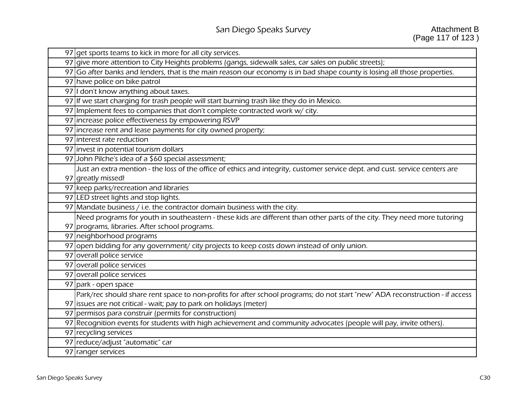| 97 get sports teams to kick in more for all city services.                                                                   |
|------------------------------------------------------------------------------------------------------------------------------|
| 97 give more attention to City Heights problems (gangs, sidewalk sales, car sales on public streets);                        |
| 97 Go after banks and lenders, that is the main reason our economy is in bad shape county is losing all those properties.    |
| 97 have police on bike patrol                                                                                                |
| 97 I don't know anything about taxes.                                                                                        |
| 97 If we start charging for trash people will start burning trash like they do in Mexico.                                    |
| 97 Implement fees to companies that don't complete contracted work w/ city.                                                  |
| 97 increase police effectiveness by empowering RSVP                                                                          |
| 97 increase rent and lease payments for city owned property;                                                                 |
| 97 interest rate reduction                                                                                                   |
| 97 invest in potential tourism dollars                                                                                       |
| 97 John Pilche's idea of a \$60 special assessment;                                                                          |
| Just an extra mention - the loss of the office of ethics and integrity, customer service dept. and cust. service centers are |
| 97 greatly missed!                                                                                                           |
| 97 keep parks/recreation and libraries                                                                                       |
| 97 LED street lights and stop lights.                                                                                        |
|                                                                                                                              |
| 97 Mandate business / i.e. the contractor domain business with the city.                                                     |
| Need programs for youth in southeastern - these kids are different than other parts of the city. They need more tutoring     |
| 97 programs, libraries. After school programs.                                                                               |
| 97 neighborhood programs                                                                                                     |
| 97 open bidding for any government/ city projects to keep costs down instead of only union.                                  |
| 97 overall police service                                                                                                    |
| 97 overall police services                                                                                                   |
| 97 overall police services                                                                                                   |
| 97 park - open space                                                                                                         |
| Park/rec should share rent space to non-profits for after school programs; do not start "new" ADA reconstruction - if access |
| 97 issues are not critical - wait; pay to park on holidays (meter)                                                           |
| 97 permisos para construir (permits for construction)                                                                        |
| 97 Recognition events for students with high achievement and community advocates (people will pay, invite others).           |
| 97 recycling services                                                                                                        |
| 97 reduce/adjust "automatic" car                                                                                             |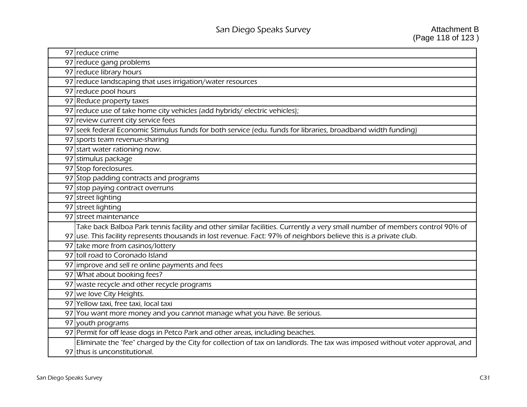|    | 97 reduce crime                                                                                                                                             |
|----|-------------------------------------------------------------------------------------------------------------------------------------------------------------|
|    | 97 reduce gang problems                                                                                                                                     |
|    | 97 reduce library hours                                                                                                                                     |
| 97 | reduce landscaping that uses irrigation/water resources                                                                                                     |
|    | 97 reduce pool hours                                                                                                                                        |
|    | 97 Reduce property taxes                                                                                                                                    |
|    | 97 reduce use of take home city vehicles (add hybrids/ electric vehicles);                                                                                  |
|    | 97 review current city service fees                                                                                                                         |
|    | 97 seek federal Economic Stimulus funds for both service (edu. funds for libraries, broadband width funding)                                                |
| 97 | sports team revenue-sharing                                                                                                                                 |
|    | 97 start water rationing now.                                                                                                                               |
|    | 97 stimulus package                                                                                                                                         |
|    | 97 Stop foreclosures.                                                                                                                                       |
|    | 97 Stop padding contracts and programs                                                                                                                      |
|    | 97 stop paying contract overruns                                                                                                                            |
|    | 97 street lighting                                                                                                                                          |
|    |                                                                                                                                                             |
|    | 97 street lighting                                                                                                                                          |
|    | 97 street maintenance                                                                                                                                       |
|    | Take back Balboa Park tennis facility and other similar facilities. Currently a very small number of members control 90% of                                 |
|    | 97 use. This facility represents thousands in lost revenue. Fact: 97% of neighbors believe this is a private club.                                          |
| 97 | take more from casinos/lottery                                                                                                                              |
|    | 97 toll road to Coronado Island                                                                                                                             |
|    | 97 improve and sell re online payments and fees                                                                                                             |
|    | 97 What about booking fees?                                                                                                                                 |
| 97 | waste recycle and other recycle programs                                                                                                                    |
|    | 97 we love City Heights.                                                                                                                                    |
|    | 97 Yellow taxi, free taxi, local taxi                                                                                                                       |
| 97 | You want more money and you cannot manage what you have. Be serious.                                                                                        |
| 97 | youth programs                                                                                                                                              |
| 97 | Permit for off lease dogs in Petco Park and other areas, including beaches.                                                                                 |
|    | Eliminate the "fee" charged by the City for collection of tax on landlords. The tax was imposed without voter approval, and<br>97 thus is unconstitutional. |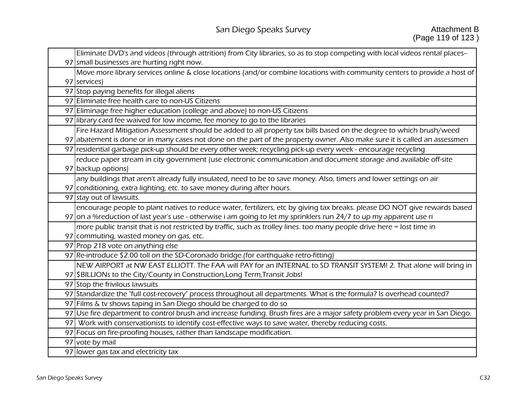| Eliminate DVD's and videos (through attrition) from City libraries, so as to stop competing with local videos rental places-  |
|-------------------------------------------------------------------------------------------------------------------------------|
| 97 small businesses are hurting right now.                                                                                    |
| Move more library services online & close locations (and/or combine locations with community centers to provide a host of     |
| 97 services)                                                                                                                  |
| 97 Stop paying benefits for illegal aliens                                                                                    |
| 97 Eliminate free health care to non-US Citizens                                                                              |
| 97 Eliminage free higher education (college and above) to non-US Citizens                                                     |
| 97 library card fee waived for low income, fee money to go to the libraries                                                   |
| Fire Hazard Mitigation Assessment should be added to all property tax bills based on the degree to which brush/weed           |
| 97 abatement is done or in many cases not done on the part of the property owner. Also make sure it is called an assessmen    |
| 97 residential garbage pick-up should be every other week; recycling pick-up every week - encourage recycling                 |
| reduce paper stream in city government (use electronic communication and document storage and available off-site              |
| 97 backup options)                                                                                                            |
| any buildings that aren't already fully insulated, need to be to save money. Also, timers and lower settings on air           |
| 97 conditioning, extra lighting, etc. to save money during after hours.                                                       |
| 97 stay out of lawsuits.                                                                                                      |
|                                                                                                                               |
| encourage people to plant natives to reduce water, fertilizers, etc by giving tax breaks. please DO NOT give rewards based    |
| 97 on a %reduction of last year's use - otherwise i am going to let my sprinklers run 24/7 to up my apparent use ri           |
| more public transit that is not restricted by traffic, such as trolley lines. too many people drive here = lost time in       |
| 97 commuting, wasted money on gas, etc.                                                                                       |
| 97 Prop 218 vote on anything else                                                                                             |
| 97 Re-introduce \$2.00 toll on the SD-Coronado bridge. (for earthquake retro-fitting)                                         |
| NEW AIRPORT at NW EAST ELLIOTT. The FAA will PAY for an INTERNAL to SD TRANSIT SYSTEM! 2. That alone will bring in            |
| 97   SBILLIONs to the City/County in Construction, Long Term, Transit Jobs!                                                   |
| 97 Stop the frivilous lawsuits                                                                                                |
| 97 Standardize the "full cost-recovery" process throughout all departments. What is the formula? Is overhead counted?         |
| 97 Films & tv shows taping in San Diego should be charged to do so                                                            |
| 97 Use fire department to control brush and increase funding. Brush fires are a major safety problem every year in San Diego. |
| 97 Work with conservationists to identify cost-effective ways to save water, thereby reducing costs.                          |
| 97 Focus on fire-proofing houses, rather than landscape modification.                                                         |
| 97 vote by mail                                                                                                               |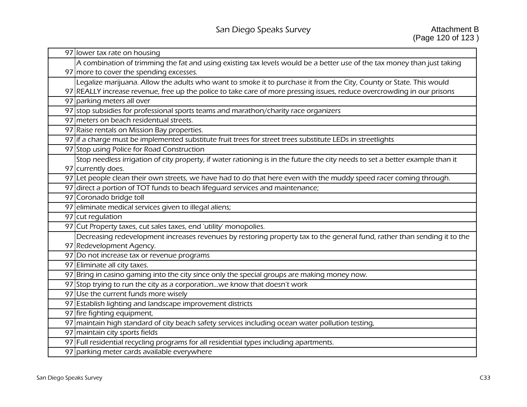|    | 97 lower tax rate on housing                                                                                                                         |
|----|------------------------------------------------------------------------------------------------------------------------------------------------------|
|    | A combination of trimming the fat and using existing tax levels would be a better use of the tax money than just taking                              |
|    | 97 more to cover the spending excesses.                                                                                                              |
|    | Legalize marijuana. Allow the adults who want to smoke it to purchase it from the City, County or State. This would                                  |
|    | 97 REALLY increase revenue, free up the police to take care of more pressing issues, reduce overcrowding in our prisons                              |
|    | 97 parking meters all over                                                                                                                           |
|    | 97 stop subsidies for professional sports teams and marathon/charity race organizers                                                                 |
|    | 97 meters on beach residentual streets.                                                                                                              |
|    | 97 Raise rentals on Mission Bay properties.                                                                                                          |
|    | 97 if a charge must be implemented substitute fruit trees for street trees substitute LEDs in streetlights                                           |
|    | 97 Stop using Police for Road Construction                                                                                                           |
|    | Stop needless irrigation of city property, if water rationing is in the future the city needs to set a better example than it<br>97 currently does.  |
|    | 97 Let people clean their own streets, we have had to do that here even with the muddy speed racer coming through.                                   |
|    | 97 direct a portion of TOT funds to beach lifeguard services and maintenance;                                                                        |
|    | 97 Coronado bridge toll                                                                                                                              |
| 97 | eliminate medical services given to illegal aliens;                                                                                                  |
|    | 97 cut regulation                                                                                                                                    |
|    | 97 Cut Property taxes, cut sales taxes, end 'utility' monopolies.                                                                                    |
|    | Decreasing redevelopment increases revenues by restoring property tax to the general fund, rather than sending it to the<br>97 Redevelopment Agency. |
|    | 97 Do not increase tax or revenue programs                                                                                                           |
|    | 97 Eliminate all city taxes.                                                                                                                         |
|    | 97 Bring in casino gaming into the city since only the special groups are making money now.                                                          |
|    | 97 Stop trying to run the city as a corporation we know that doesn't work                                                                            |
|    | 97 Use the current funds more wisely                                                                                                                 |
|    | 97 Establish lighting and landscape improvement districts                                                                                            |
|    | 97 fire fighting equipment,                                                                                                                          |
|    | 97 maintain high standard of city beach safety services including ocean water pollution testing,                                                     |
|    | 97 maintain city sports fields                                                                                                                       |
|    | 97 Full residential recycling programs for all residential types including apartments.                                                               |
|    | 97 parking meter cards available everywhere                                                                                                          |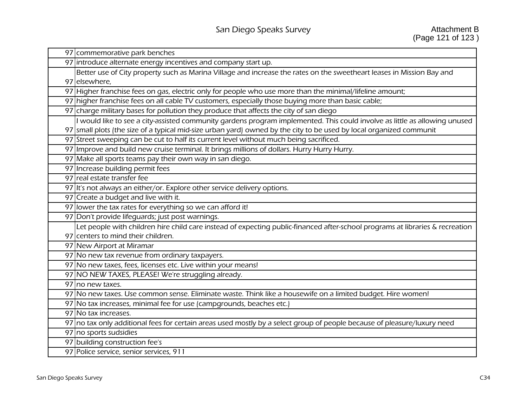|    | 97 commemorative park benches                                                                                                 |
|----|-------------------------------------------------------------------------------------------------------------------------------|
|    | 97 introduce alternate energy incentives and company start up.                                                                |
|    | Better use of City property such as Marina Village and increase the rates on the sweetheart leases in Mission Bay and         |
|    | 97 elsewhere,                                                                                                                 |
|    | 97 Higher franchise fees on gas, electric only for people who use more than the minimal/lifeline amount;                      |
|    | 97 higher franchise fees on all cable TV customers, especially those buying more than basic cable;                            |
|    | 97 charge military bases for pollution they produce that affects the city of san diego                                        |
|    | I would like to see a city-assisted community gardens program implemented. This could involve as little as allowing unused    |
|    | 97 small plots (the size of a typical mid-size urban yard) owned by the city to be used by local organized communit           |
|    | 97 Street sweeping can be cut to half its current level without much being sacrificed.                                        |
| 97 | Improve and build new cruise terminal. It brings millions of dollars. Hurry Hurry Hurry.                                      |
|    | 97 Make all sports teams pay their own way in san diego.                                                                      |
|    | 97 Increase building permit fees                                                                                              |
|    | 97 real estate transfer fee                                                                                                   |
|    | 97 It's not always an either/or. Explore other service delivery options.                                                      |
|    | 97 Create a budget and live with it.                                                                                          |
|    | 97 lower the tax rates for everything so we can afford it!                                                                    |
|    | 97 Don't provide lifequards; just post warnings.                                                                              |
|    | Let people with children hire child care instead of expecting public-financed after-school programs at libraries & recreation |
|    | 97 centers to mind their children.                                                                                            |
|    | 97 New Airport at Miramar                                                                                                     |
|    | 97 No new tax revenue from ordinary taxpayers.                                                                                |
|    | 97 No new taxes, fees, licenses etc. Live within your means!                                                                  |
|    | 97 NO NEW TAXES, PLEASE! We're struggling already.                                                                            |
|    | 97 no new taxes.                                                                                                              |
|    | 97 No new taxes. Use common sense. Eliminate waste. Think like a housewife on a limited budget. Hire women!                   |
|    | 97 No tax increases, minimal fee for use (campgrounds, beaches etc.)                                                          |
|    | 97 No tax increases.                                                                                                          |
|    | 97 no tax only additional fees for certain areas used mostly by a select group of people because of pleasure/luxury need      |
|    | 97 no sports sudsidies                                                                                                        |
|    | 97 building construction fee's                                                                                                |
|    | 97 Police service, senior services, 911                                                                                       |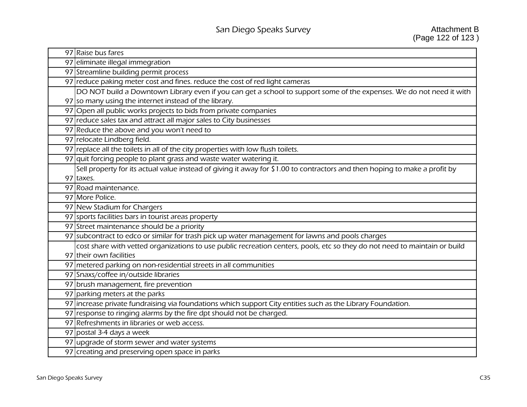|    | 97 Raise bus fares                                                                                                         |
|----|----------------------------------------------------------------------------------------------------------------------------|
|    | 97 eliminate illegal immegration                                                                                           |
|    | 97 Streamline building permit process                                                                                      |
|    | 97 reduce paking meter cost and fines. reduce the cost of red light cameras                                                |
|    | DO NOT build a Downtown Library even if you can get a school to support some of the expenses. We do not need it with       |
|    | 97 so many using the internet instead of the library.                                                                      |
|    | 97 Open all public works projects to bids from private companies                                                           |
|    | 97 reduce sales tax and attract all major sales to City businesses                                                         |
|    | 97 Reduce the above and you won't need to                                                                                  |
|    | 97 relocate Lindberg field.                                                                                                |
|    | 97 replace all the toilets in all of the city properties with low flush toilets.                                           |
|    | 97 quit forcing people to plant grass and waste water watering it.                                                         |
|    | Sell property for its actual value instead of giving it away for \$1.00 to contractors and then hoping to make a profit by |
|    | 97 taxes.                                                                                                                  |
|    | 97 Road maintenance.                                                                                                       |
|    | 97 More Police.                                                                                                            |
|    |                                                                                                                            |
|    | 97 New Stadium for Chargers                                                                                                |
|    | 97 sports facilities bars in tourist areas property                                                                        |
|    | 97 Street maintenance should be a priority                                                                                 |
|    | 97 subcontract to edco or similar for trash pick up water management for lawns and pools charges                           |
|    | cost share with vetted organizations to use public recreation centers, pools, etc so they do not need to maintain or build |
|    | 97 their own facilities                                                                                                    |
|    | 97 metered parking on non-residential streets in all communities                                                           |
|    | 97 Snaxs/coffee in/outside libraries                                                                                       |
|    | 97 brush management, fire prevention                                                                                       |
|    | 97 parking meters at the parks                                                                                             |
|    | 97 increase private fundraising via foundations which support City entities such as the Library Foundation.                |
| 97 | response to ringing alarms by the fire dpt should not be charged.                                                          |
|    | 97 Refreshments in libraries or web access.                                                                                |
|    | 97 postal 3-4 days a week                                                                                                  |
|    | 97 upgrade of storm sewer and water systems<br>97 creating and preserving open space in parks                              |